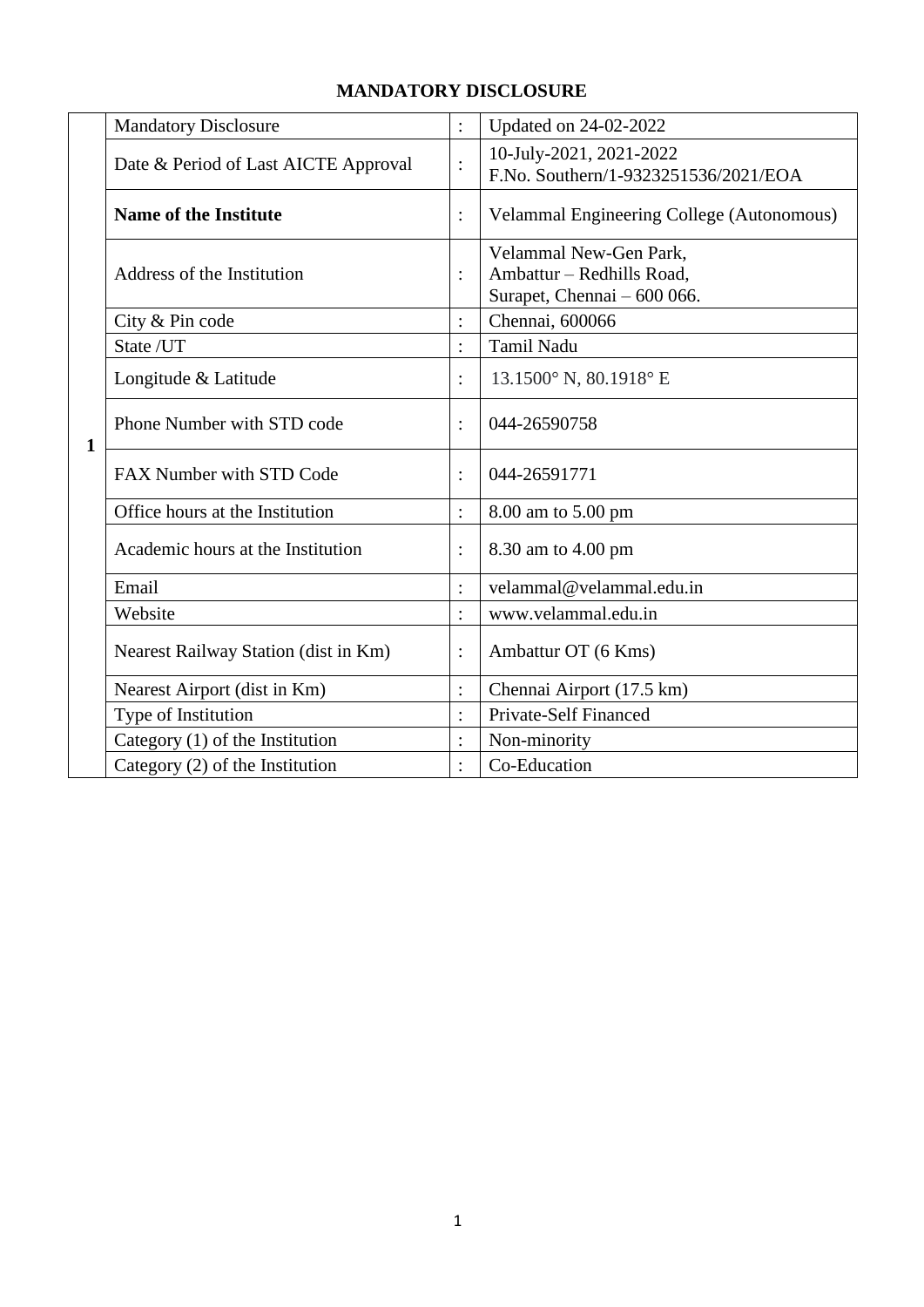|              | <b>Mandatory Disclosure</b>          | $\ddot{\cdot}$ | Updated on 24-02-2022                                                              |
|--------------|--------------------------------------|----------------|------------------------------------------------------------------------------------|
|              | Date & Period of Last AICTE Approval | $\ddot{\cdot}$ | 10-July-2021, 2021-2022<br>F.No. Southern/1-9323251536/2021/EOA                    |
|              | <b>Name of the Institute</b>         |                | <b>Velammal Engineering College (Autonomous)</b>                                   |
|              | Address of the Institution           | $\ddot{\cdot}$ | Velammal New-Gen Park,<br>Ambattur - Redhills Road,<br>Surapet, Chennai - 600 066. |
|              | City & Pin code                      | $\ddot{\cdot}$ | Chennai, 600066                                                                    |
|              | State /UT                            | $\ddot{\cdot}$ | <b>Tamil Nadu</b>                                                                  |
|              | Longitude & Latitude                 | $\ddot{\cdot}$ | 13.1500° N, 80.1918° E                                                             |
| $\mathbf{1}$ | Phone Number with STD code           | $\ddot{\cdot}$ | 044-26590758                                                                       |
|              | FAX Number with STD Code             | $\ddot{\cdot}$ | 044-26591771                                                                       |
|              | Office hours at the Institution      | $\ddot{\cdot}$ | 8.00 am to 5.00 pm                                                                 |
|              | Academic hours at the Institution    | $\ddot{\cdot}$ | 8.30 am to 4.00 pm                                                                 |
|              | Email                                | $\ddot{\cdot}$ | velammal@velammal.edu.in                                                           |
|              | Website                              |                | www.velammal.edu.in                                                                |
|              | Nearest Railway Station (dist in Km) | $\ddot{\cdot}$ | Ambattur OT (6 Kms)                                                                |
|              | Nearest Airport (dist in Km)         | $\ddot{\cdot}$ | Chennai Airport (17.5 km)                                                          |
|              | Type of Institution                  | $\ddot{\cdot}$ | Private-Self Financed                                                              |
|              | Category $(1)$ of the Institution    |                | Non-minority                                                                       |
|              | Category (2) of the Institution      | $\ddot{\cdot}$ | Co-Education                                                                       |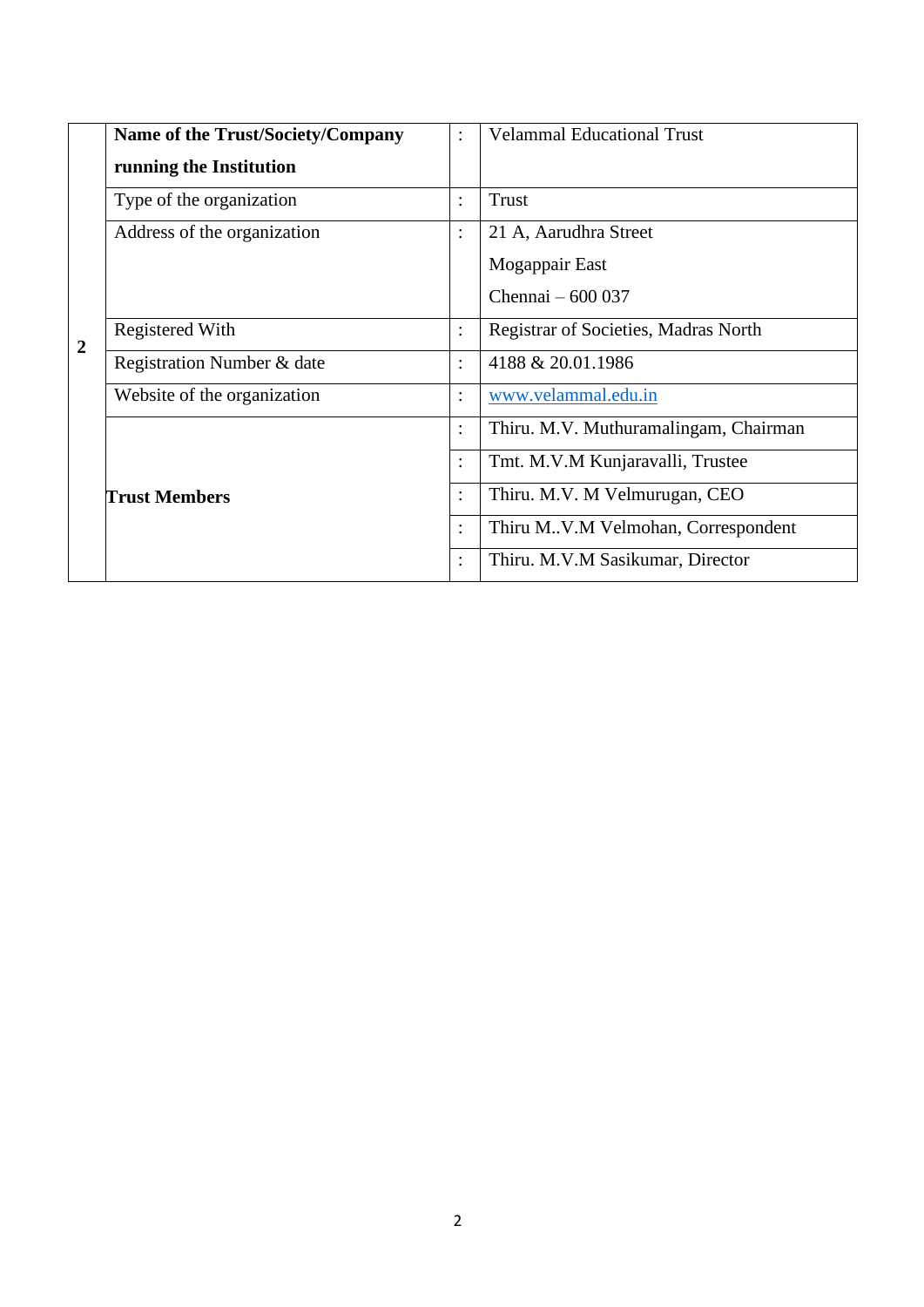|                | Name of the Trust/Society/Company<br>$\ddot{\cdot}$ |                      | <b>Velammal Educational Trust</b>     |
|----------------|-----------------------------------------------------|----------------------|---------------------------------------|
|                | running the Institution                             |                      |                                       |
|                | Type of the organization                            | $\bullet$            | Trust                                 |
|                | Address of the organization                         | $\bullet$            | 21 A, Aarudhra Street                 |
|                |                                                     |                      | Mogappair East                        |
|                |                                                     |                      | Chennai - 600 037                     |
| $\overline{2}$ | <b>Registered With</b>                              | $\ddot{\phantom{a}}$ | Registrar of Societies, Madras North  |
|                | Registration Number & date                          | $\bullet$            | 4188 & 20.01.1986                     |
|                | Website of the organization                         | $\bullet$            | www.velammal.edu.in                   |
|                |                                                     | $\bullet$            | Thiru. M.V. Muthuramalingam, Chairman |
|                |                                                     | $\bullet$            | Tmt. M.V.M Kunjaravalli, Trustee      |
|                | <b>Trust Members</b>                                | $\ddot{\cdot}$       | Thiru. M.V. M Velmurugan, CEO         |
|                |                                                     |                      | Thiru M.V.M Velmohan, Correspondent   |
|                |                                                     |                      | Thiru. M.V.M Sasikumar, Director      |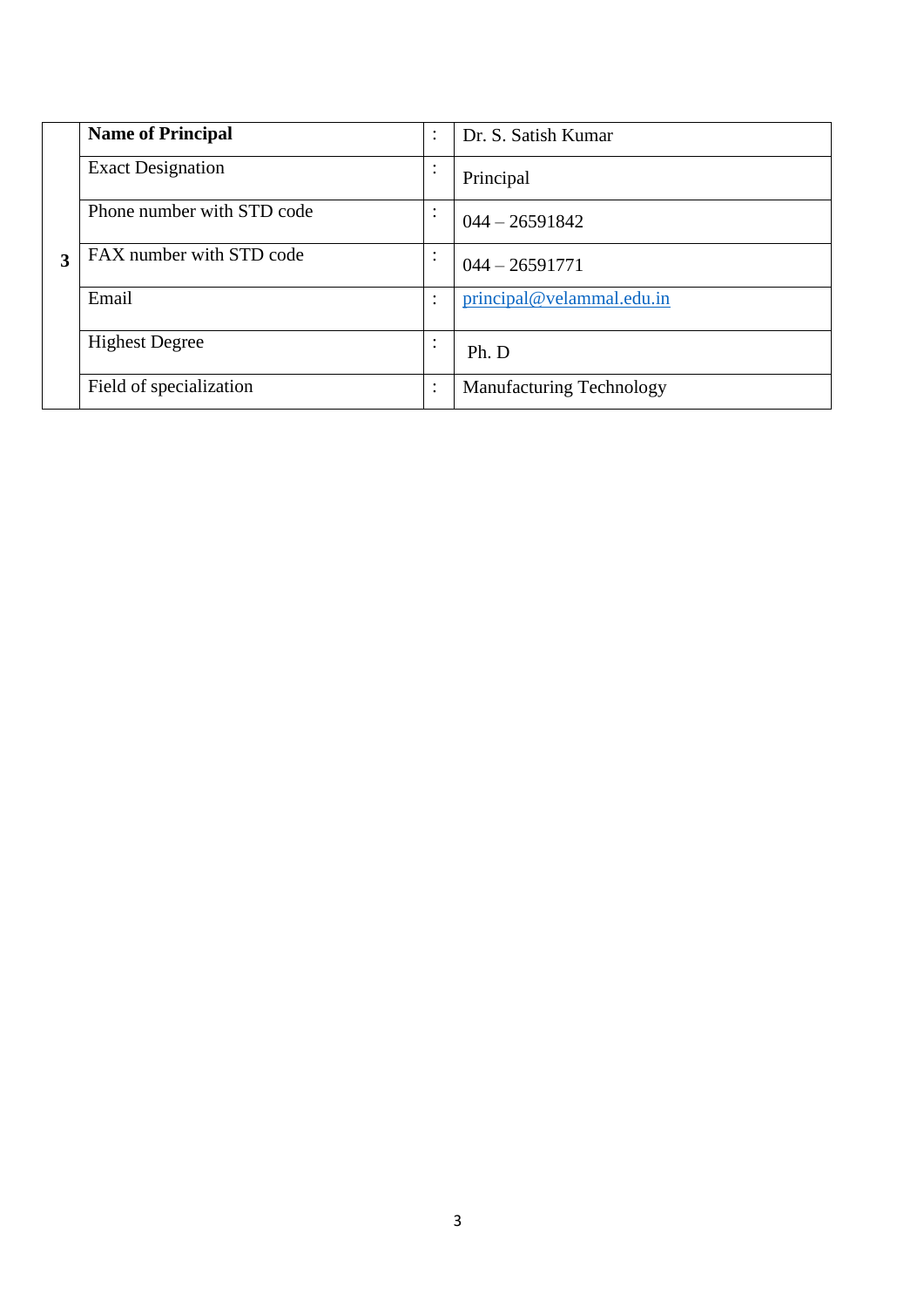|   | <b>Name of Principal</b>   | $\bullet$<br>$\cdot$   | Dr. S. Satish Kumar             |
|---|----------------------------|------------------------|---------------------------------|
|   | <b>Exact Designation</b>   | ٠<br>$\bullet$         | Principal                       |
|   | Phone number with STD code | ٠<br>$\bullet$         | $044 - 26591842$                |
| 3 | FAX number with STD code   | $\bullet$<br>٠.        | $044 - 26591771$                |
|   | Email                      | $\bullet$              | principal@velammal.edu.in       |
|   | <b>Highest Degree</b>      | $\bullet$<br>$\bullet$ | Ph. D                           |
|   | Field of specialization    | $\bullet$<br>$\cdot$   | <b>Manufacturing Technology</b> |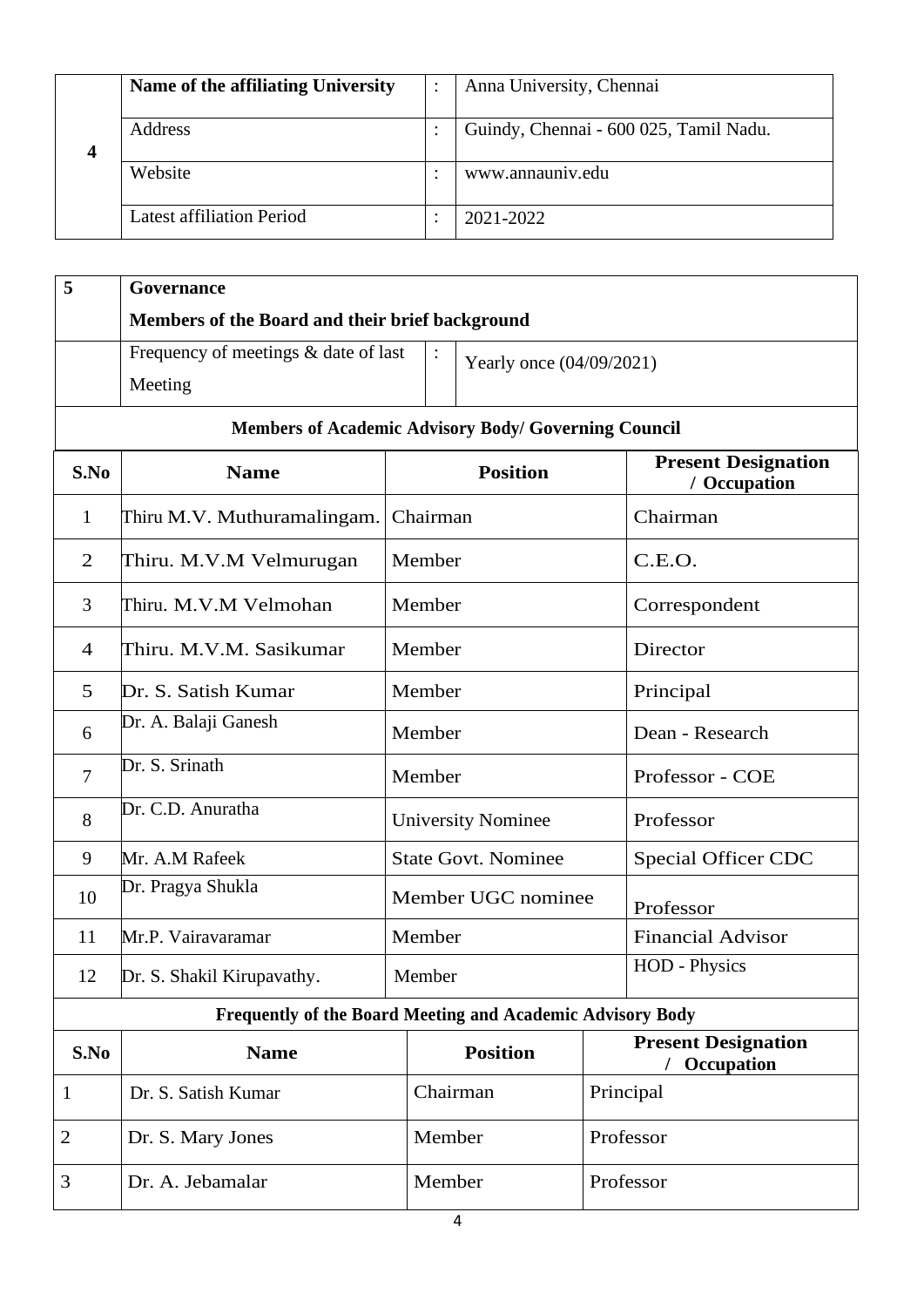|   | Name of the affiliating University | Anna University, Chennai               |
|---|------------------------------------|----------------------------------------|
| 4 | Address                            | Guindy, Chennai - 600 025, Tamil Nadu. |
|   | Website                            | www.annauniv.edu                       |
|   | Latest affiliation Period          | 2021-2022                              |

| 5              | Governance                                                 |                                            |                     |                            |                                            |                            |  |  |  |  |
|----------------|------------------------------------------------------------|--------------------------------------------|---------------------|----------------------------|--------------------------------------------|----------------------------|--|--|--|--|
|                | Members of the Board and their brief background            |                                            |                     |                            |                                            |                            |  |  |  |  |
|                | Frequency of meetings & date of last                       | $\ddot{\cdot}$<br>Yearly once (04/09/2021) |                     |                            |                                            |                            |  |  |  |  |
|                | Meeting                                                    |                                            |                     |                            |                                            |                            |  |  |  |  |
|                | Members of Academic Advisory Body/ Governing Council       |                                            |                     |                            |                                            |                            |  |  |  |  |
| S.No           | <b>Name</b>                                                |                                            |                     | <b>Position</b>            | <b>Present Designation</b><br>/ Occupation |                            |  |  |  |  |
| $\mathbf{1}$   | Thiru M.V. Muthuramalingam.                                |                                            | Chairman            |                            |                                            | Chairman                   |  |  |  |  |
| $\overline{2}$ | Thiru. M.V.M Velmurugan                                    |                                            | Member              |                            |                                            | C.E.O.                     |  |  |  |  |
| 3              | Thiru. M.V.M Velmohan                                      |                                            | Member              |                            |                                            | Correspondent              |  |  |  |  |
| $\overline{4}$ | Thiru. M.V.M. Sasikumar                                    | Member                                     |                     |                            |                                            | Director                   |  |  |  |  |
| 5              | Dr. S. Satish Kumar                                        | Member                                     |                     |                            | Principal                                  |                            |  |  |  |  |
| 6              | Dr. A. Balaji Ganesh                                       |                                            | Member              |                            |                                            | Dean - Research            |  |  |  |  |
| $\overline{7}$ | Dr. S. Srinath                                             |                                            | Member              |                            |                                            | Professor - COE            |  |  |  |  |
| 8              | Dr. C.D. Anuratha                                          |                                            |                     | <b>University Nominee</b>  |                                            | Professor                  |  |  |  |  |
| 9              | Mr. A.M Rafeek                                             |                                            |                     | <b>State Govt. Nominee</b> |                                            | <b>Special Officer CDC</b> |  |  |  |  |
| 10             | Dr. Pragya Shukla                                          |                                            |                     | Member UGC nominee         |                                            | Professor                  |  |  |  |  |
| 11             | Mr.P. Vairavaramar                                         |                                            | Member              |                            |                                            | <b>Financial Advisor</b>   |  |  |  |  |
| 12             | Dr. S. Shakil Kirupavathy.                                 |                                            | Member              |                            |                                            | <b>HOD</b> - Physics       |  |  |  |  |
|                | Frequently of the Board Meeting and Academic Advisory Body |                                            |                     |                            |                                            |                            |  |  |  |  |
| S.No           | <b>Name</b>                                                |                                            |                     | <b>Position</b>            | <b>Present Designation</b><br>Occupation   |                            |  |  |  |  |
| 1              | Dr. S. Satish Kumar                                        |                                            |                     | Chairman                   | Principal                                  |                            |  |  |  |  |
| $\overline{c}$ | Dr. S. Mary Jones                                          |                                            |                     | Member                     |                                            | Professor                  |  |  |  |  |
| 3              | Dr. A. Jebamalar                                           |                                            | Member<br>Professor |                            |                                            |                            |  |  |  |  |
|                |                                                            |                                            |                     |                            |                                            |                            |  |  |  |  |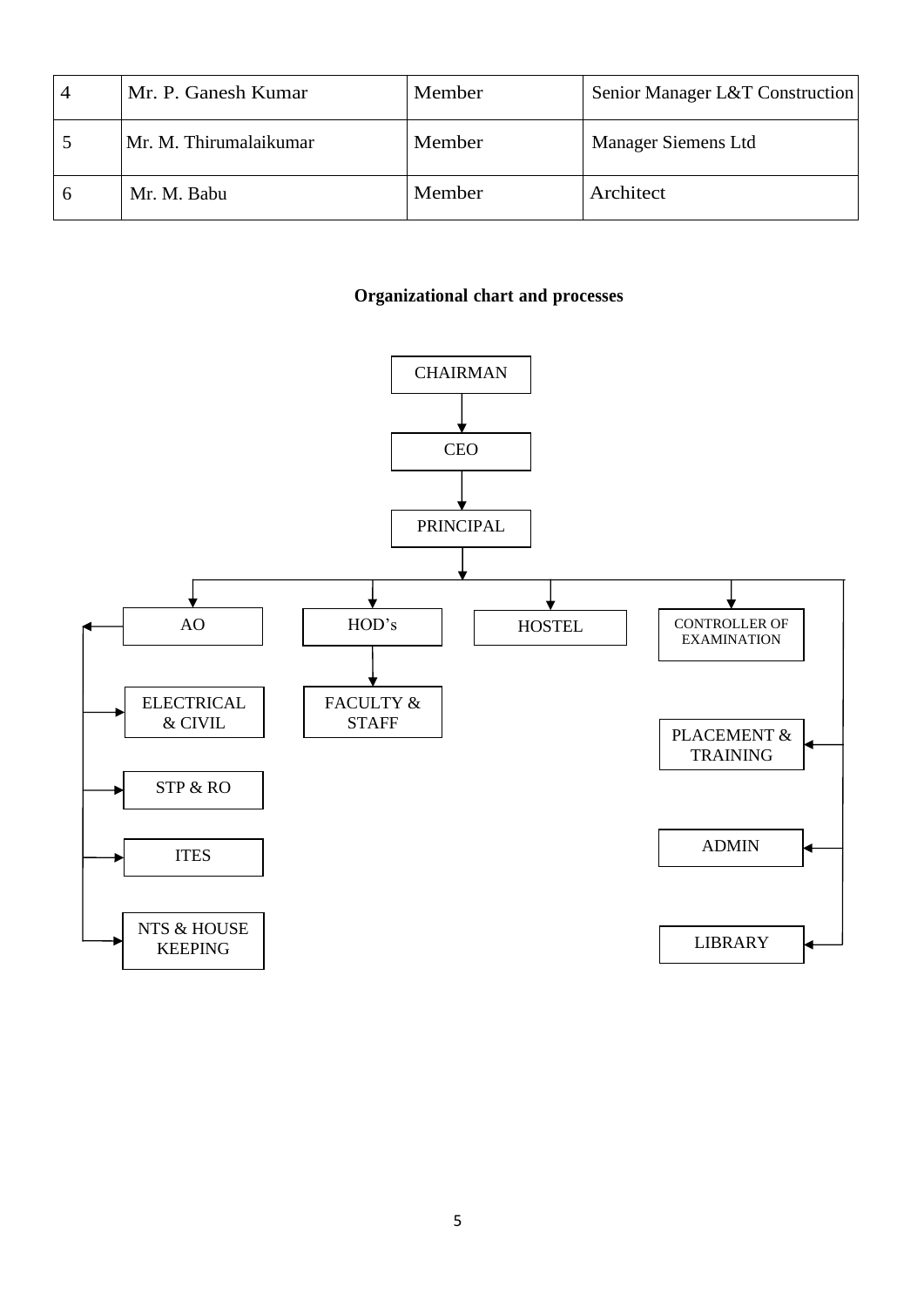| 4 | Mr. P. Ganesh Kumar    | Member | Senior Manager L&T Construction |
|---|------------------------|--------|---------------------------------|
|   | Mr. M. Thirumalaikumar | Member | Manager Siemens Ltd             |
|   | Mr. M. Babu            | Member | Architect                       |

#### **Organizational chart and processes**

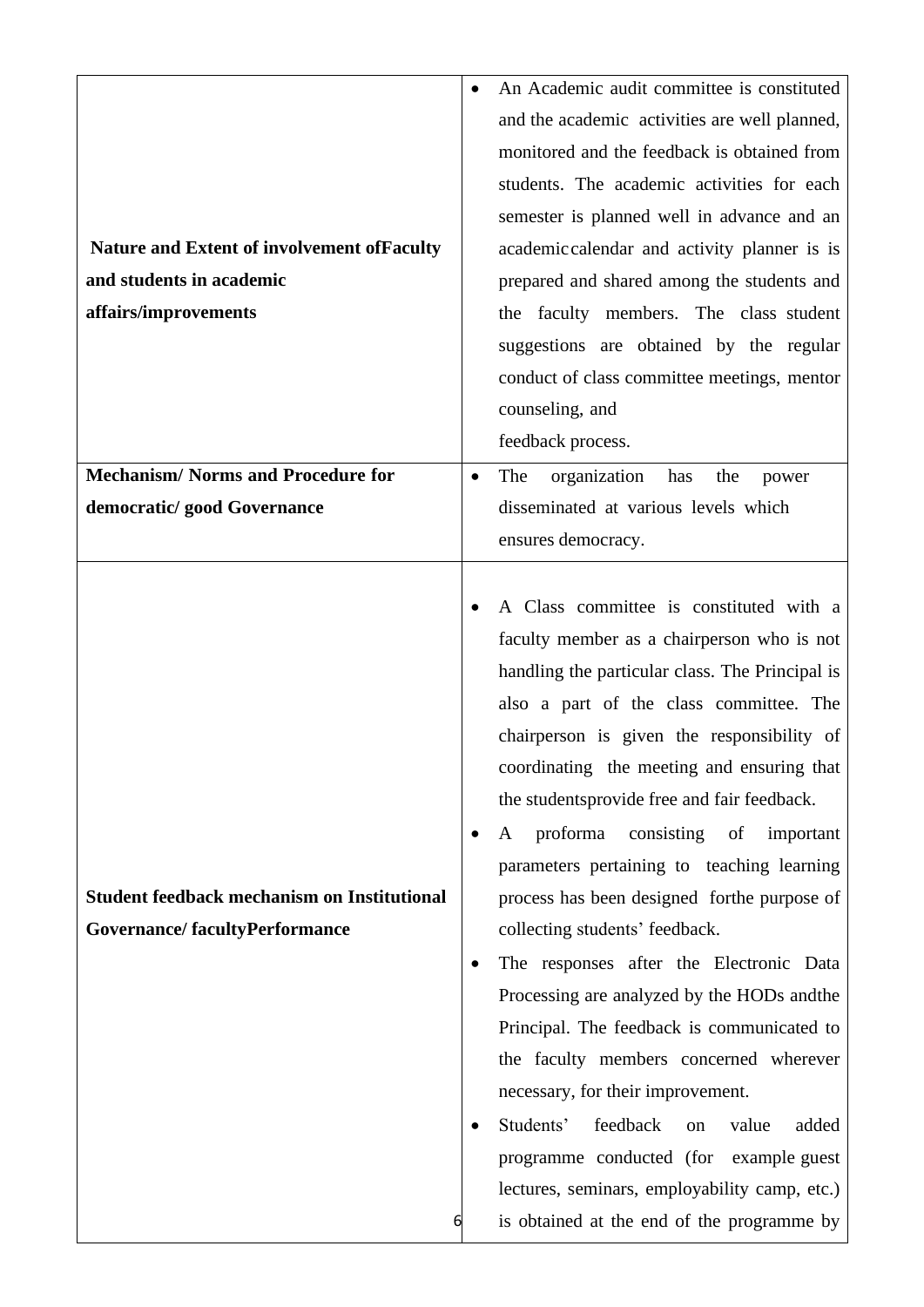|                                                    |           | An Academic audit committee is constituted      |
|----------------------------------------------------|-----------|-------------------------------------------------|
|                                                    |           | and the academic activities are well planned,   |
|                                                    |           | monitored and the feedback is obtained from     |
|                                                    |           | students. The academic activities for each      |
|                                                    |           | semester is planned well in advance and an      |
| <b>Nature and Extent of involvement of Faculty</b> |           | academic calendar and activity planner is is    |
| and students in academic                           |           | prepared and shared among the students and      |
| affairs/improvements                               |           | the faculty members. The class student          |
|                                                    |           | suggestions are obtained by the regular         |
|                                                    |           | conduct of class committee meetings, mentor     |
|                                                    |           | counseling, and                                 |
|                                                    |           | feedback process.                               |
| <b>Mechanism/Norms and Procedure for</b>           | $\bullet$ | organization<br>The<br>has<br>the<br>power      |
| democratic/ good Governance                        |           | disseminated at various levels which            |
|                                                    |           | ensures democracy.                              |
|                                                    |           |                                                 |
|                                                    |           | A Class committee is constituted with a         |
|                                                    |           | faculty member as a chairperson who is not      |
|                                                    |           | handling the particular class. The Principal is |
|                                                    |           | also a part of the class committee. The         |
|                                                    |           | chairperson is given the responsibility of      |
|                                                    |           | coordinating the meeting and ensuring that      |
|                                                    |           | the students provide free and fair feedback.    |
|                                                    | $\bullet$ | proforma<br>consisting<br>of<br>important<br>A  |
|                                                    |           | parameters pertaining to teaching learning      |
| <b>Student feedback mechanism on Institutional</b> |           | process has been designed for the purpose of    |
| <b>Governance/facultyPerformance</b>               |           | collecting students' feedback.                  |
|                                                    | $\bullet$ | The responses after the Electronic Data         |
|                                                    |           | Processing are analyzed by the HODs and the     |
|                                                    |           | Principal. The feedback is communicated to      |
|                                                    |           | the faculty members concerned wherever          |
|                                                    |           | necessary, for their improvement.               |
|                                                    |           | Students'<br>feedback<br>added<br>value<br>on   |
|                                                    |           | programme conducted (for example guest          |
|                                                    |           | lectures, seminars, employability camp, etc.)   |
| 6                                                  |           | is obtained at the end of the programme by      |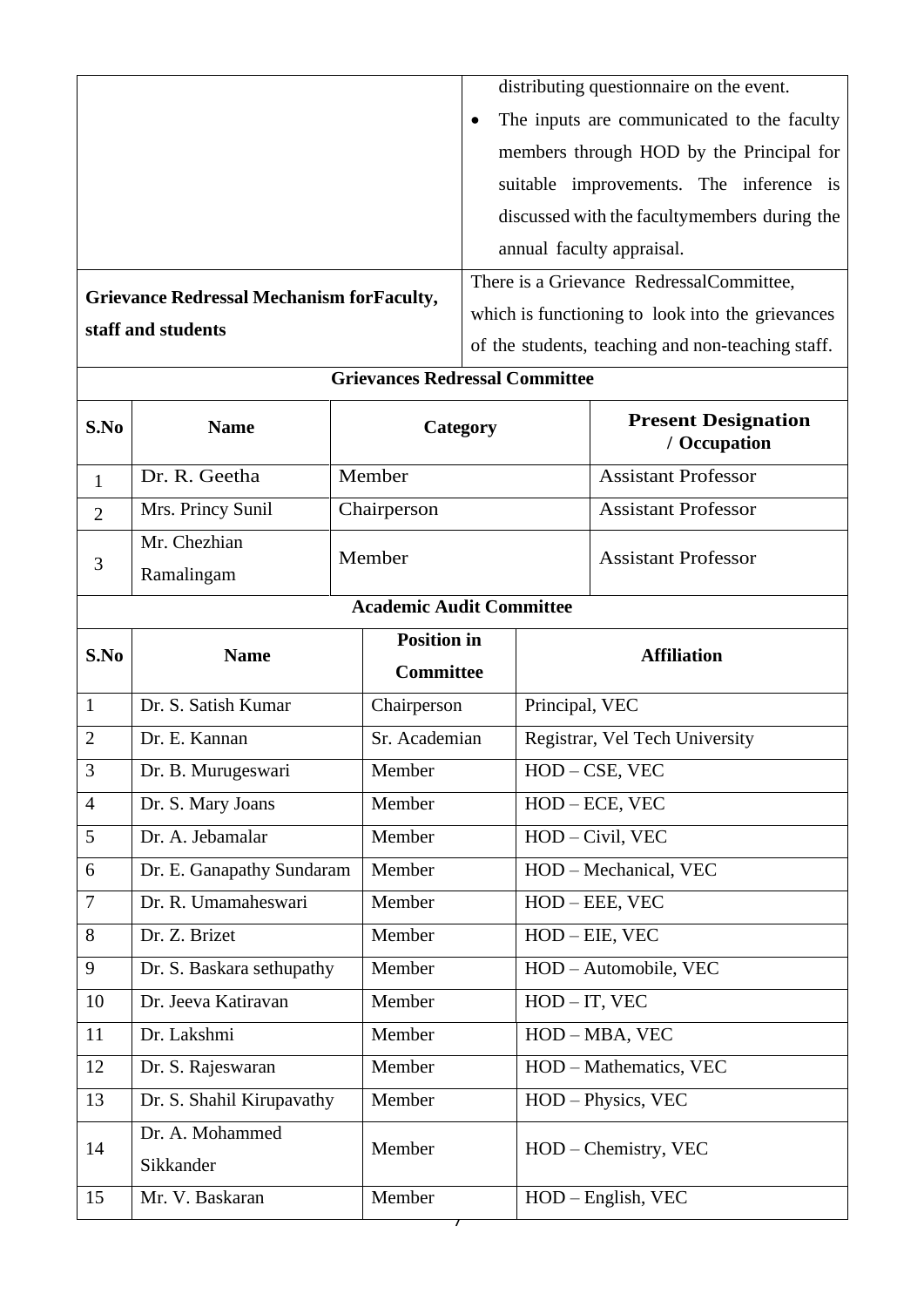|                                 |                                                   |        |                                       |                                                         | distributing questionnaire on the event. |                                                   |  |  |
|---------------------------------|---------------------------------------------------|--------|---------------------------------------|---------------------------------------------------------|------------------------------------------|---------------------------------------------------|--|--|
|                                 |                                                   |        |                                       | The inputs are communicated to the faculty<br>$\bullet$ |                                          |                                                   |  |  |
|                                 |                                                   |        |                                       |                                                         | members through HOD by the Principal for |                                                   |  |  |
|                                 |                                                   |        |                                       |                                                         |                                          | suitable improvements. The inference is           |  |  |
|                                 |                                                   |        |                                       |                                                         |                                          | discussed with the faculty members during the     |  |  |
|                                 |                                                   |        |                                       |                                                         |                                          | annual faculty appraisal.                         |  |  |
|                                 |                                                   |        |                                       |                                                         |                                          | There is a Grievance RedressalCommittee,          |  |  |
|                                 | <b>Grievance Redressal Mechanism for Faculty,</b> |        |                                       |                                                         |                                          | which is functioning to look into the grievances  |  |  |
|                                 | staff and students                                |        |                                       |                                                         |                                          | of the students, teaching and non-teaching staff. |  |  |
|                                 |                                                   |        | <b>Grievances Redressal Committee</b> |                                                         |                                          |                                                   |  |  |
| S.No                            | <b>Name</b>                                       |        | Category                              |                                                         |                                          | <b>Present Designation</b><br>/ Occupation        |  |  |
| 1                               | Dr. R. Geetha                                     |        | Member                                |                                                         |                                          | <b>Assistant Professor</b>                        |  |  |
| $\overline{2}$                  | Mrs. Princy Sunil                                 |        | Chairperson                           |                                                         |                                          | <b>Assistant Professor</b>                        |  |  |
|                                 | Mr. Chezhian                                      |        |                                       |                                                         |                                          |                                                   |  |  |
| 3                               | Ramalingam                                        |        | Member                                | <b>Assistant Professor</b>                              |                                          |                                                   |  |  |
| <b>Academic Audit Committee</b> |                                                   |        |                                       |                                                         |                                          |                                                   |  |  |
| S.No<br><b>Name</b>             |                                                   |        | <b>Position in</b>                    |                                                         | <b>Affiliation</b>                       |                                                   |  |  |
|                                 |                                                   |        | <b>Committee</b>                      |                                                         |                                          |                                                   |  |  |
| $\mathbf{1}$                    | Dr. S. Satish Kumar                               |        | Chairperson                           |                                                         | Principal, VEC                           |                                                   |  |  |
| $\overline{2}$                  | Dr. E. Kannan                                     |        | Sr. Academian                         |                                                         |                                          | Registrar, Vel Tech University                    |  |  |
| 3                               | Dr. B. Murugeswari                                |        | Member                                |                                                         |                                          | HOD - CSE, VEC                                    |  |  |
| $\overline{4}$                  | Dr. S. Mary Joans                                 |        | Member                                |                                                         |                                          | HOD - ECE, VEC                                    |  |  |
| 5                               | Dr. A. Jebamalar                                  |        | Member                                |                                                         | HOD - Civil, VEC                         |                                                   |  |  |
| 6                               | Dr. E. Ganapathy Sundaram                         |        | Member                                |                                                         | HOD - Mechanical, VEC                    |                                                   |  |  |
| $\overline{7}$                  | Dr. R. Umamaheswari                               |        | Member                                |                                                         |                                          | HOD - EEE, VEC                                    |  |  |
| 8                               | Dr. Z. Brizet                                     |        | Member                                |                                                         | HOD - EIE, VEC                           |                                                   |  |  |
| 9<br>Dr. S. Baskara sethupathy  |                                                   |        | Member                                |                                                         | HOD - Automobile, VEC                    |                                                   |  |  |
| Dr. Jeeva Katiravan<br>10       |                                                   |        | Member                                |                                                         | $HOD - IT$ , VEC                         |                                                   |  |  |
| Dr. Lakshmi<br>11               |                                                   | Member |                                       | HOD - MBA, VEC                                          |                                          |                                                   |  |  |
| 12<br>Dr. S. Rajeswaran         |                                                   |        | Member                                |                                                         |                                          | HOD - Mathematics, VEC                            |  |  |
| 13<br>Dr. S. Shahil Kirupavathy |                                                   |        | Member                                |                                                         |                                          | HOD - Physics, VEC                                |  |  |
| 14                              | Dr. A. Mohammed<br>Sikkander                      |        | Member                                |                                                         | HOD – Chemistry, VEC                     |                                                   |  |  |
|                                 |                                                   |        |                                       |                                                         |                                          |                                                   |  |  |
| 15                              | Mr. V. Baskaran                                   |        | Member                                |                                                         |                                          | HOD - English, VEC                                |  |  |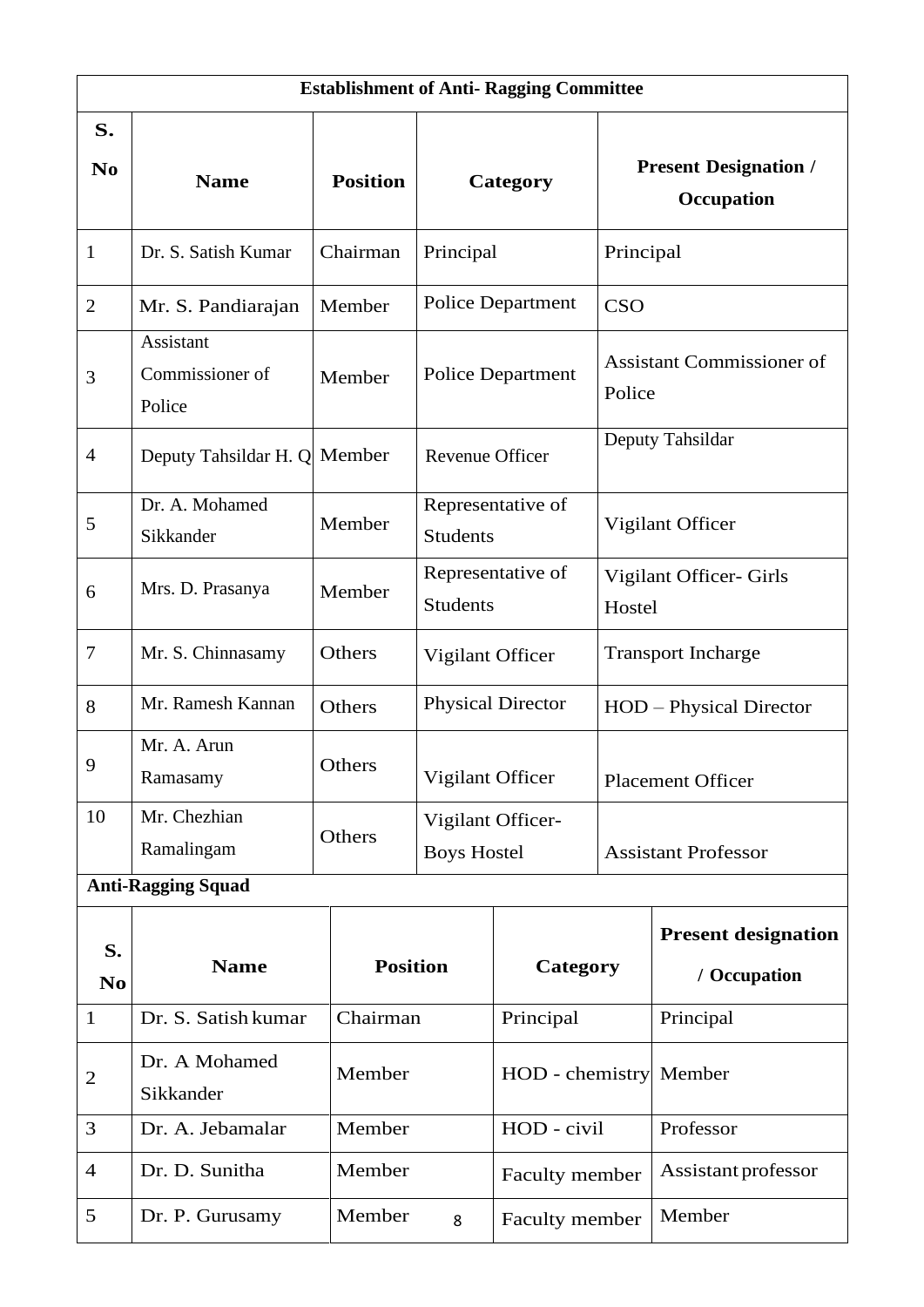|                      | <b>Establishment of Anti- Ragging Committee</b> |                 |                                         |                             |            |                                            |  |  |
|----------------------|-------------------------------------------------|-----------------|-----------------------------------------|-----------------------------|------------|--------------------------------------------|--|--|
| S.<br>$\bf No$       | <b>Name</b>                                     | <b>Position</b> |                                         | Category                    |            | <b>Present Designation /</b><br>Occupation |  |  |
| $\mathbf{1}$         | Dr. S. Satish Kumar                             | Chairman        | Principal                               |                             |            | Principal                                  |  |  |
| $\overline{2}$       | Mr. S. Pandiarajan                              | Member          |                                         | Police Department           | <b>CSO</b> |                                            |  |  |
| 3                    | Assistant<br>Commissioner of<br>Police          | Member          |                                         | <b>Police Department</b>    |            | <b>Assistant Commissioner of</b><br>Police |  |  |
| $\overline{4}$       | Deputy Tahsildar H. Q Member                    |                 | <b>Revenue Officer</b>                  |                             |            | Deputy Tahsildar                           |  |  |
| 5                    | Dr. A. Mohamed<br>Sikkander                     | Member          | <b>Students</b>                         | Representative of           |            | Vigilant Officer                           |  |  |
| 6                    | Mrs. D. Prasanya                                | Member          | <b>Students</b>                         | Representative of<br>Hostel |            | Vigilant Officer- Girls                    |  |  |
| $\tau$               | Mr. S. Chinnasamy                               | Others          | Vigilant Officer                        |                             |            | <b>Transport Incharge</b>                  |  |  |
| 8                    | Mr. Ramesh Kannan                               | Others          |                                         | <b>Physical Director</b>    |            | HOD – Physical Director                    |  |  |
| 9                    | Mr. A. Arun<br>Ramasamy                         | Others          |                                         | Vigilant Officer            |            | <b>Placement Officer</b>                   |  |  |
| 10                   | Mr. Chezhian<br>Ramalingam                      | Others          | Vigilant Officer-<br><b>Boys Hostel</b> |                             |            | <b>Assistant Professor</b>                 |  |  |
|                      | <b>Anti-Ragging Squad</b>                       |                 |                                         |                             |            |                                            |  |  |
| S.<br>N <sub>0</sub> | <b>Name</b>                                     | <b>Position</b> |                                         | Category                    |            | <b>Present designation</b><br>/ Occupation |  |  |
| $\mathbf{1}$         | Dr. S. Satish kumar                             | Chairman        |                                         | Principal                   |            | Principal                                  |  |  |
| $\mathbf{2}$         | Dr. A Mohamed<br>Sikkander                      | Member          |                                         | HOD - chemistry             |            | Member                                     |  |  |
| 3                    | Dr. A. Jebamalar                                | Member          |                                         | HOD - civil                 |            | Professor                                  |  |  |
| $\overline{4}$       | Dr. D. Sunitha                                  | Member          |                                         | Faculty member              |            | Assistant professor                        |  |  |
| 5                    | Dr. P. Gurusamy                                 | Member          | 8                                       | Faculty member              |            | Member                                     |  |  |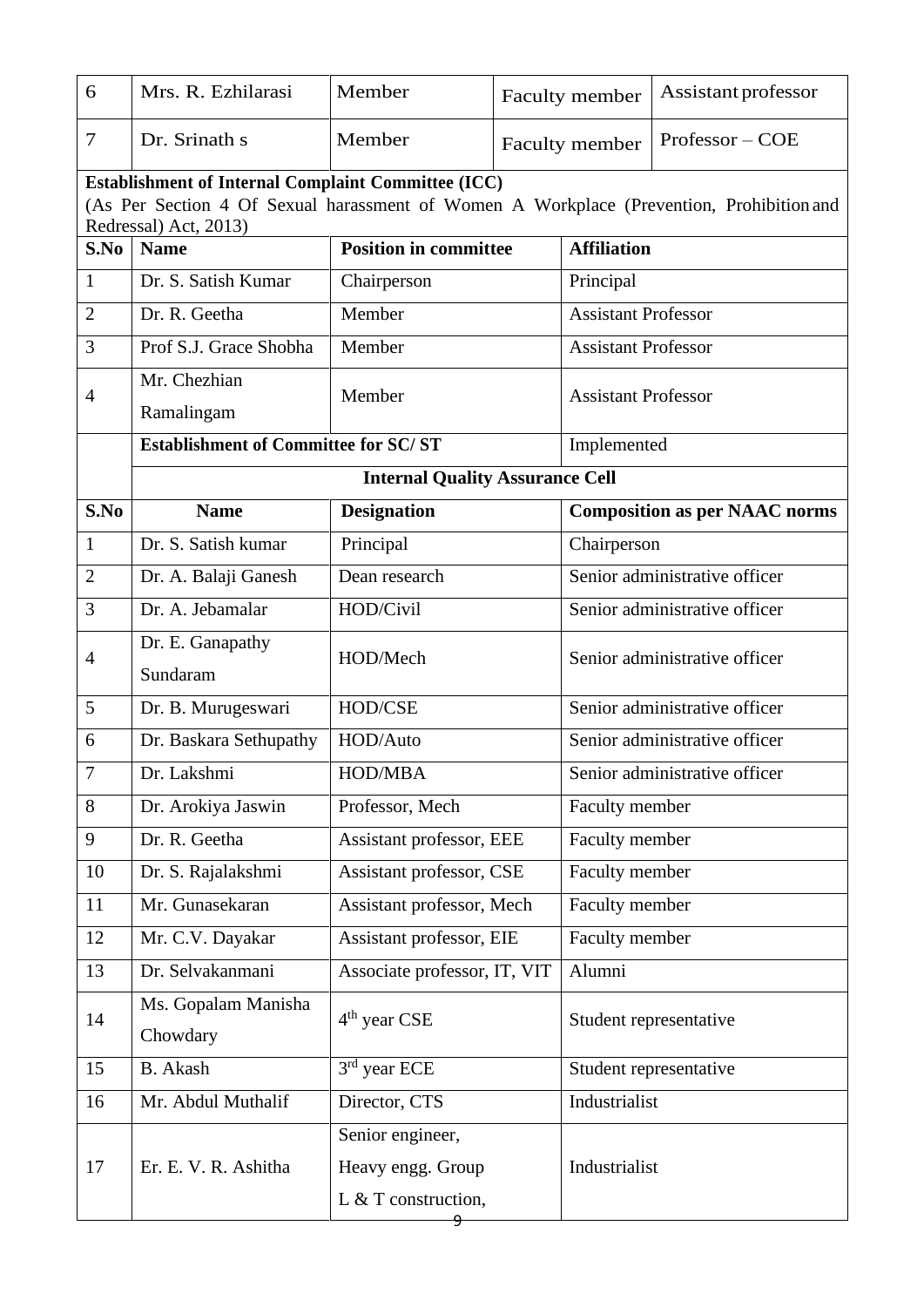| 6              | Mrs. R. Ezhilarasi                                                                                                | Member                                 |  | Assistant professor<br>Faculty member |                                      |  |  |  |
|----------------|-------------------------------------------------------------------------------------------------------------------|----------------------------------------|--|---------------------------------------|--------------------------------------|--|--|--|
| 7              | Dr. Srinath s                                                                                                     | Member                                 |  | Faculty member                        | Professor – COE                      |  |  |  |
|                | <b>Establishment of Internal Complaint Committee (ICC)</b>                                                        |                                        |  |                                       |                                      |  |  |  |
|                | (As Per Section 4 Of Sexual harassment of Women A Workplace (Prevention, Prohibition and<br>Redressal) Act, 2013) |                                        |  |                                       |                                      |  |  |  |
| S.No           | <b>Position in committee</b><br><b>Name</b>                                                                       |                                        |  | <b>Affiliation</b>                    |                                      |  |  |  |
| $\mathbf{1}$   | Dr. S. Satish Kumar                                                                                               | Chairperson                            |  | Principal                             |                                      |  |  |  |
| $\overline{2}$ | Dr. R. Geetha                                                                                                     | Member                                 |  | <b>Assistant Professor</b>            |                                      |  |  |  |
| 3              | Prof S.J. Grace Shobha                                                                                            | Member                                 |  | <b>Assistant Professor</b>            |                                      |  |  |  |
| $\overline{4}$ | Mr. Chezhian                                                                                                      | Member                                 |  | <b>Assistant Professor</b>            |                                      |  |  |  |
|                | Ramalingam                                                                                                        |                                        |  |                                       |                                      |  |  |  |
|                | <b>Establishment of Committee for SC/ST</b>                                                                       |                                        |  | Implemented                           |                                      |  |  |  |
|                |                                                                                                                   | <b>Internal Quality Assurance Cell</b> |  |                                       |                                      |  |  |  |
| S.No           | <b>Name</b>                                                                                                       | <b>Designation</b>                     |  |                                       | <b>Composition as per NAAC norms</b> |  |  |  |
| $\mathbf{1}$   | Dr. S. Satish kumar                                                                                               | Principal                              |  | Chairperson                           |                                      |  |  |  |
| $\mathfrak{2}$ | Dr. A. Balaji Ganesh                                                                                              | Dean research                          |  | Senior administrative officer         |                                      |  |  |  |
| 3              | Dr. A. Jebamalar                                                                                                  | HOD/Civil                              |  | Senior administrative officer         |                                      |  |  |  |
| $\overline{4}$ | Dr. E. Ganapathy                                                                                                  | HOD/Mech                               |  | Senior administrative officer         |                                      |  |  |  |
|                | Sundaram                                                                                                          |                                        |  |                                       |                                      |  |  |  |
| 5              | Dr. B. Murugeswari                                                                                                | HOD/CSE                                |  | Senior administrative officer         |                                      |  |  |  |
| 6              | Dr. Baskara Sethupathy                                                                                            | HOD/Auto                               |  | Senior administrative officer         |                                      |  |  |  |
| 7              | Dr. Lakshmi                                                                                                       | HOD/MBA                                |  | Senior administrative officer         |                                      |  |  |  |
| 8              | Dr. Arokiya Jaswin                                                                                                | Professor, Mech                        |  | Faculty member                        |                                      |  |  |  |
| 9              | Dr. R. Geetha                                                                                                     | Assistant professor, EEE               |  | Faculty member                        |                                      |  |  |  |
| 10             | Dr. S. Rajalakshmi                                                                                                | Assistant professor, CSE               |  | Faculty member                        |                                      |  |  |  |
| 11             | Mr. Gunasekaran                                                                                                   | Assistant professor, Mech              |  | Faculty member                        |                                      |  |  |  |
| 12             | Mr. C.V. Dayakar                                                                                                  | Assistant professor, EIE               |  | Faculty member                        |                                      |  |  |  |
| 13             | Dr. Selvakanmani                                                                                                  | Associate professor, IT, VIT           |  | Alumni                                |                                      |  |  |  |
| 14             | Ms. Gopalam Manisha                                                                                               | $4th$ year CSE                         |  |                                       |                                      |  |  |  |
|                | Chowdary                                                                                                          |                                        |  | Student representative                |                                      |  |  |  |
| 15             | <b>B.</b> Akash                                                                                                   | $3rd$ year ECE                         |  | Student representative                |                                      |  |  |  |
| 16             | Mr. Abdul Muthalif                                                                                                | Director, CTS                          |  | Industrialist                         |                                      |  |  |  |
|                |                                                                                                                   | Senior engineer,                       |  |                                       |                                      |  |  |  |
| 17             | Er. E. V. R. Ashitha                                                                                              | Heavy engg. Group                      |  | Industrialist                         |                                      |  |  |  |
|                |                                                                                                                   | L & T construction,                    |  |                                       |                                      |  |  |  |
|                |                                                                                                                   |                                        |  |                                       |                                      |  |  |  |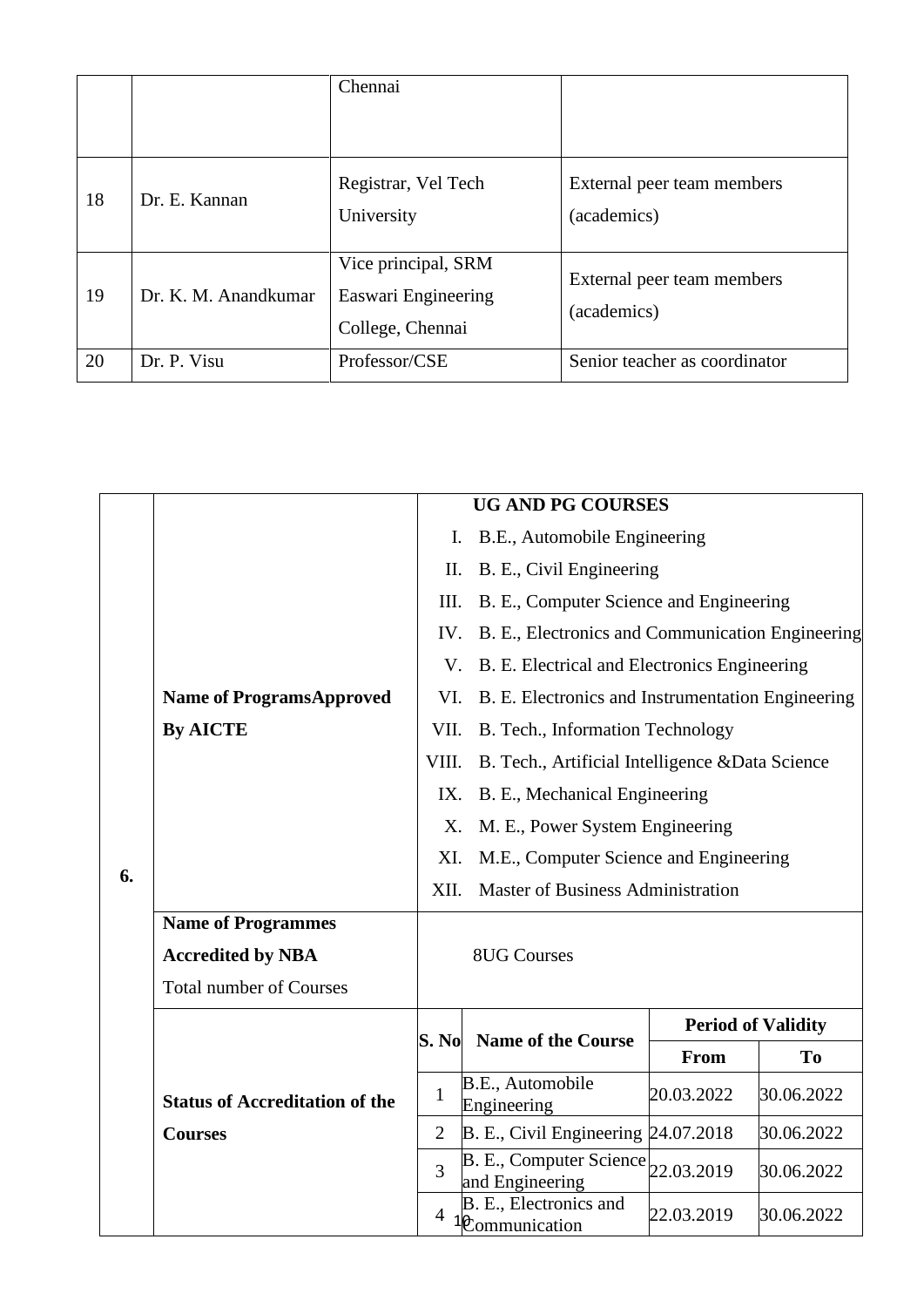|    |                      | Chennai                                                        |                                           |
|----|----------------------|----------------------------------------------------------------|-------------------------------------------|
|    |                      |                                                                |                                           |
| 18 | Dr. E. Kannan        | Registrar, Vel Tech<br>University                              | External peer team members<br>(academics) |
| 19 | Dr. K. M. Anandkumar | Vice principal, SRM<br>Easwari Engineering<br>College, Chennai | External peer team members<br>(academics) |
| 20 | Dr. P. Visu          | Professor/CSE                                                  | Senior teacher as coordinator             |

|    |                                                    |                                               | <b>UG AND PG COURSES</b>                                           |            |                           |  |  |
|----|----------------------------------------------------|-----------------------------------------------|--------------------------------------------------------------------|------------|---------------------------|--|--|
|    |                                                    | Ι.                                            | B.E., Automobile Engineering                                       |            |                           |  |  |
|    |                                                    | Π.                                            | B. E., Civil Engineering                                           |            |                           |  |  |
|    |                                                    | III.                                          | B. E., Computer Science and Engineering                            |            |                           |  |  |
|    |                                                    | IV.                                           | B. E., Electronics and Communication Engineering                   |            |                           |  |  |
|    | <b>Name of ProgramsApproved</b><br><b>By AICTE</b> | V.                                            | B. E. Electrical and Electronics Engineering                       |            |                           |  |  |
|    |                                                    | VI.                                           | B. E. Electronics and Instrumentation Engineering                  |            |                           |  |  |
|    |                                                    | VII.                                          | B. Tech., Information Technology                                   |            |                           |  |  |
|    |                                                    | VIII.                                         | B. Tech., Artificial Intelligence & Data Science                   |            |                           |  |  |
|    |                                                    | IX.                                           | B. E., Mechanical Engineering                                      |            |                           |  |  |
|    |                                                    | M. E., Power System Engineering<br>X.         |                                                                    |            |                           |  |  |
|    |                                                    | XI.<br>M.E., Computer Science and Engineering |                                                                    |            |                           |  |  |
| 6. |                                                    |                                               | <b>Master of Business Administration</b><br>XII.                   |            |                           |  |  |
|    | <b>Name of Programmes</b>                          |                                               |                                                                    |            |                           |  |  |
|    | <b>Accredited by NBA</b>                           | <b>8UG Courses</b>                            |                                                                    |            |                           |  |  |
|    | <b>Total number of Courses</b>                     |                                               |                                                                    |            |                           |  |  |
|    |                                                    |                                               |                                                                    |            | <b>Period of Validity</b> |  |  |
|    |                                                    | S. No                                         | <b>Name of the Course</b>                                          | From       | <b>To</b>                 |  |  |
|    | <b>Status of Accreditation of the</b>              | 1                                             | B.E., Automobile<br>Engineering                                    | 20.03.2022 | 30.06.2022                |  |  |
|    | <b>Courses</b>                                     | $\overline{2}$                                | B. E., Civil Engineering 24.07.2018                                |            | 30.06.2022                |  |  |
|    | 3                                                  |                                               | $B. E., Computer Science$ <sub>22.03.2019</sub><br>and Engineering |            | 30.06.2022                |  |  |
|    |                                                    | 4                                             | B. E., Electronics and<br>1 <sup><i>C</i></sup> ommunication       | 22.03.2019 | 30.06.2022                |  |  |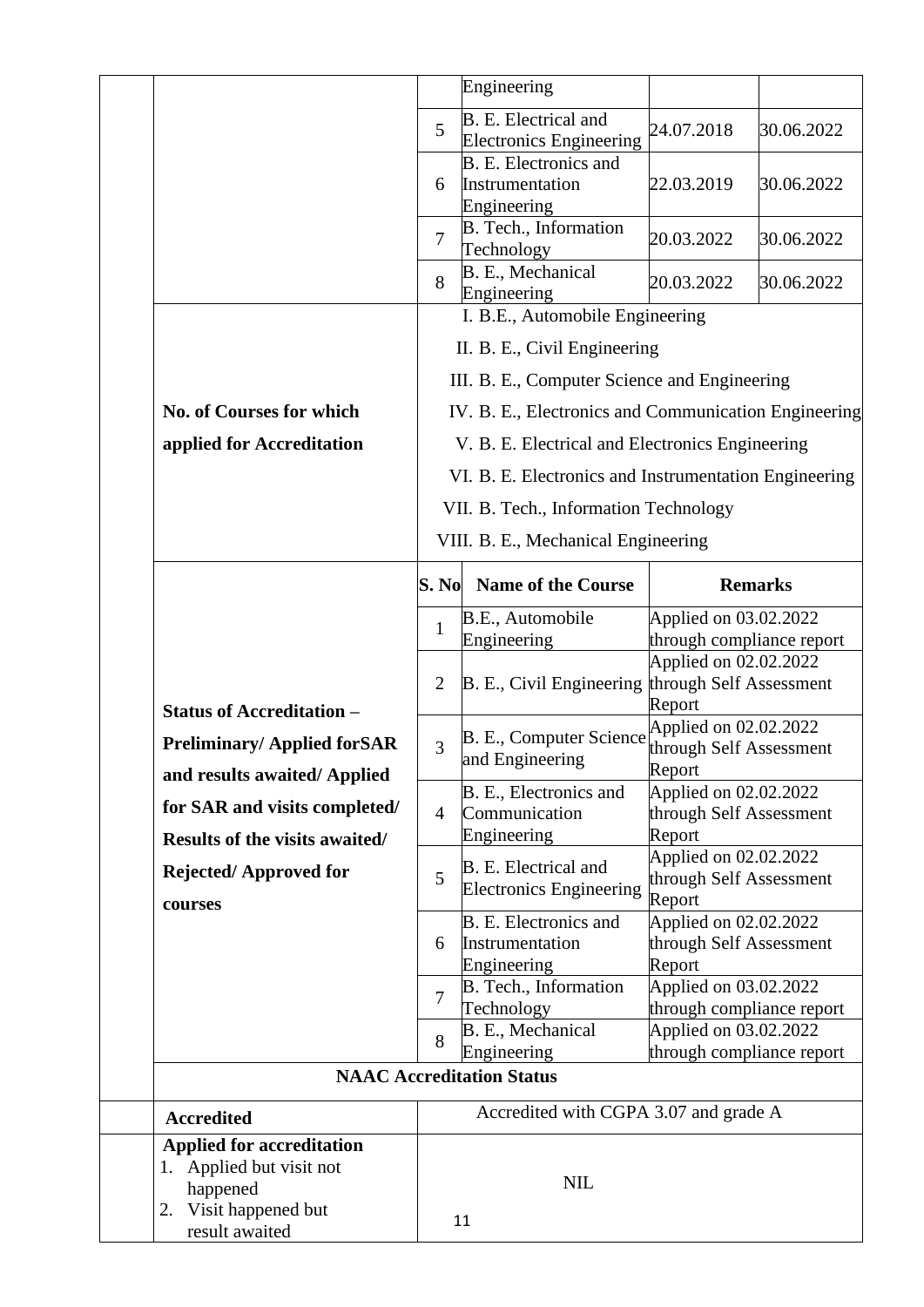|  |                                                                       |                                                       | Engineering                                                    |                                                            |            |
|--|-----------------------------------------------------------------------|-------------------------------------------------------|----------------------------------------------------------------|------------------------------------------------------------|------------|
|  |                                                                       | 5                                                     | B. E. Electrical and<br><b>Electronics Engineering</b>         | 24.07.2018                                                 | 30.06.2022 |
|  |                                                                       | 6                                                     | <b>B.</b> E. Electronics and<br>Instrumentation<br>Engineering | 22.03.2019                                                 | 30.06.2022 |
|  |                                                                       | $\overline{7}$                                        | B. Tech., Information<br>Technology                            | 20.03.2022                                                 | 30.06.2022 |
|  |                                                                       | 8                                                     | B. E., Mechanical<br>Engineering                               | 20.03.2022                                                 | 30.06.2022 |
|  |                                                                       |                                                       | I. B.E., Automobile Engineering                                |                                                            |            |
|  |                                                                       |                                                       | II. B. E., Civil Engineering                                   |                                                            |            |
|  |                                                                       |                                                       | III. B. E., Computer Science and Engineering                   |                                                            |            |
|  | No. of Courses for which                                              |                                                       | IV. B. E., Electronics and Communication Engineering           |                                                            |            |
|  | applied for Accreditation                                             |                                                       | V. B. E. Electrical and Electronics Engineering                |                                                            |            |
|  |                                                                       |                                                       | VI. B. E. Electronics and Instrumentation Engineering          |                                                            |            |
|  |                                                                       |                                                       | VII. B. Tech., Information Technology                          |                                                            |            |
|  |                                                                       |                                                       | VIII. B. E., Mechanical Engineering                            |                                                            |            |
|  |                                                                       |                                                       |                                                                |                                                            |            |
|  |                                                                       | S. No                                                 | <b>Name of the Course</b>                                      | <b>Remarks</b>                                             |            |
|  |                                                                       | $\mathbf{1}$                                          | B.E., Automobile<br>Engineering                                | Applied on 03.02.2022<br>through compliance report         |            |
|  |                                                                       | B. E., Civil Engineering through Self Assessment<br>2 |                                                                | Applied on 02.02.2022                                      |            |
|  |                                                                       |                                                       |                                                                |                                                            |            |
|  | <b>Status of Accreditation -</b><br><b>Preliminary/Applied forSAR</b> | 3                                                     | B. E., Computer Science                                        | Report<br>Applied on 02.02.2022<br>through Self Assessment |            |
|  | and results awaited/Applied                                           |                                                       | and Engineering                                                | Report                                                     |            |
|  | for SAR and visits completed/                                         | $\overline{4}$                                        | B. E., Electronics and<br>Communication                        | Applied on 02.02.2022<br>through Self Assessment           |            |
|  | Results of the visits awaited/                                        |                                                       | Engineering                                                    | Report                                                     |            |
|  | <b>Rejected/Approved for</b>                                          | 5                                                     | B. E. Electrical and<br><b>Electronics Engineering</b>         | Applied on 02.02.2022<br>through Self Assessment<br>Report |            |
|  | courses                                                               |                                                       | <b>B.</b> E. Electronics and                                   | Applied on 02.02.2022                                      |            |
|  |                                                                       | 6                                                     | Instrumentation                                                | through Self Assessment                                    |            |
|  |                                                                       |                                                       | Engineering<br>B. Tech., Information                           | Report<br>Applied on 03.02.2022                            |            |
|  |                                                                       | 7                                                     | Technology                                                     | through compliance report                                  |            |
|  |                                                                       | 8                                                     | B. E., Mechanical                                              | Applied on 03.02.2022                                      |            |
|  |                                                                       |                                                       | Engineering<br><b>NAAC Accreditation Status</b>                | through compliance report                                  |            |
|  |                                                                       |                                                       | Accredited with CGPA 3.07 and grade A                          |                                                            |            |
|  | <b>Accredited</b>                                                     |                                                       |                                                                |                                                            |            |
|  | <b>Applied for accreditation</b><br>1. Applied but visit not          |                                                       |                                                                |                                                            |            |
|  | happened<br>Visit happened but<br>2.                                  |                                                       | <b>NIL</b>                                                     |                                                            |            |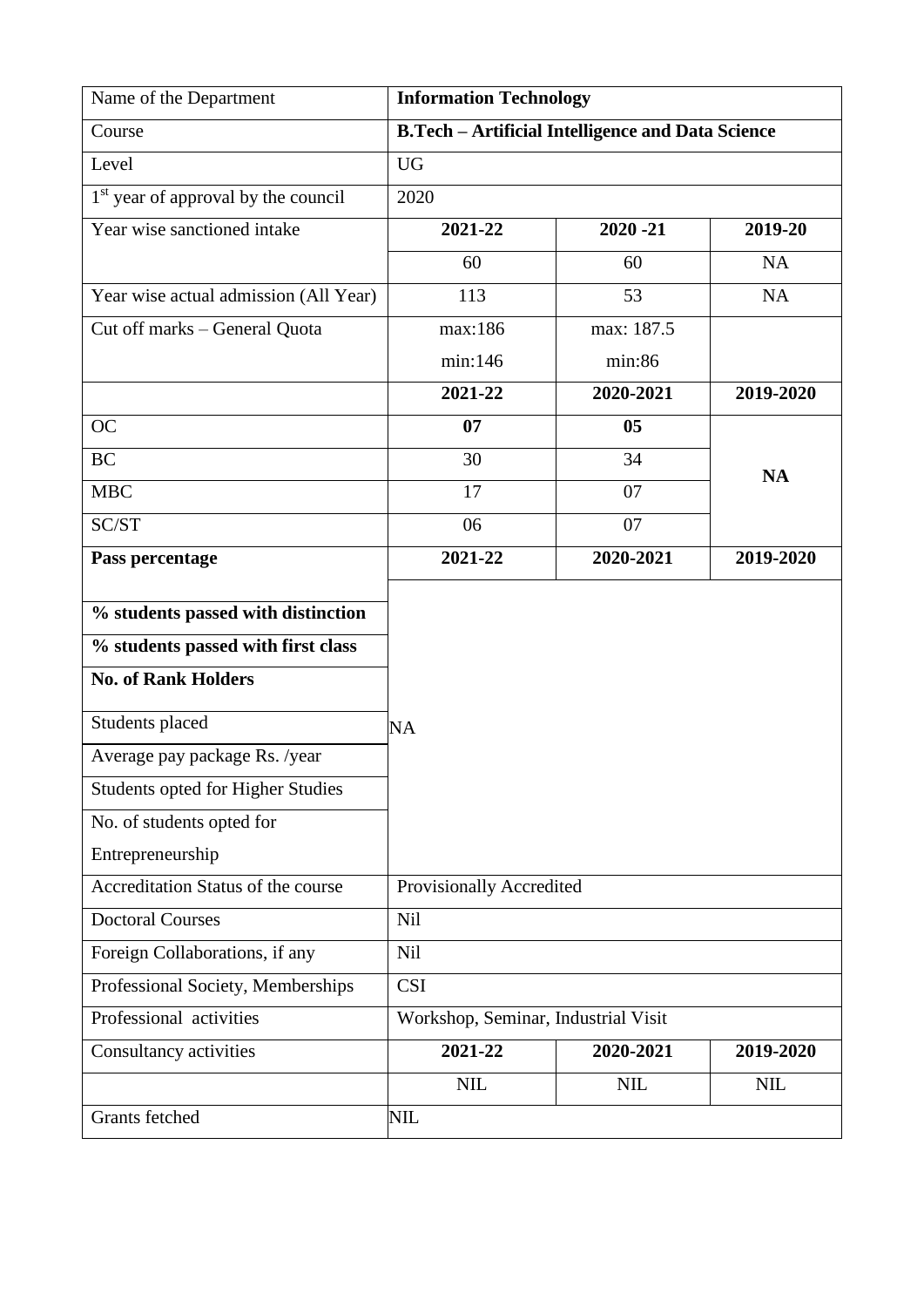| Name of the Department                                                                                 | <b>Information Technology</b>                            |                |            |  |
|--------------------------------------------------------------------------------------------------------|----------------------------------------------------------|----------------|------------|--|
| Course                                                                                                 | <b>B.Tech - Artificial Intelligence and Data Science</b> |                |            |  |
| Level                                                                                                  | <b>UG</b>                                                |                |            |  |
| 1 <sup>st</sup> year of approval by the council                                                        | 2020                                                     |                |            |  |
| Year wise sanctioned intake                                                                            | 2021-22                                                  | $2020 - 21$    | 2019-20    |  |
|                                                                                                        | 60                                                       | 60             | <b>NA</b>  |  |
| Year wise actual admission (All Year)                                                                  | 113                                                      | 53             | <b>NA</b>  |  |
| Cut off marks - General Quota                                                                          | max:186                                                  | max: 187.5     |            |  |
|                                                                                                        | min:146                                                  | min:86         |            |  |
|                                                                                                        | 2021-22                                                  | 2020-2021      | 2019-2020  |  |
| <b>OC</b>                                                                                              | 07                                                       | 0 <sub>5</sub> |            |  |
| <b>BC</b>                                                                                              | 30                                                       | 34             | <b>NA</b>  |  |
| <b>MBC</b>                                                                                             | 17                                                       | 07             |            |  |
| SC/ST                                                                                                  | 06                                                       | 07             |            |  |
| Pass percentage                                                                                        | 2021-22                                                  | 2020-2021      | 2019-2020  |  |
| % students passed with distinction<br>% students passed with first class<br><b>No. of Rank Holders</b> |                                                          |                |            |  |
| Students placed                                                                                        | NA                                                       |                |            |  |
| Average pay package Rs. /year                                                                          |                                                          |                |            |  |
| <b>Students opted for Higher Studies</b>                                                               |                                                          |                |            |  |
| No. of students opted for                                                                              |                                                          |                |            |  |
| Entrepreneurship                                                                                       |                                                          |                |            |  |
| Accreditation Status of the course                                                                     | Provisionally Accredited                                 |                |            |  |
| <b>Doctoral Courses</b>                                                                                | Nil                                                      |                |            |  |
| Foreign Collaborations, if any                                                                         | Nil                                                      |                |            |  |
| Professional Society, Memberships                                                                      | <b>CSI</b>                                               |                |            |  |
| Professional activities                                                                                | Workshop, Seminar, Industrial Visit                      |                |            |  |
| Consultancy activities                                                                                 | 2021-22                                                  | 2020-2021      | 2019-2020  |  |
|                                                                                                        | NIL                                                      | <b>NIL</b>     | <b>NIL</b> |  |
| Grants fetched                                                                                         | NIL                                                      |                |            |  |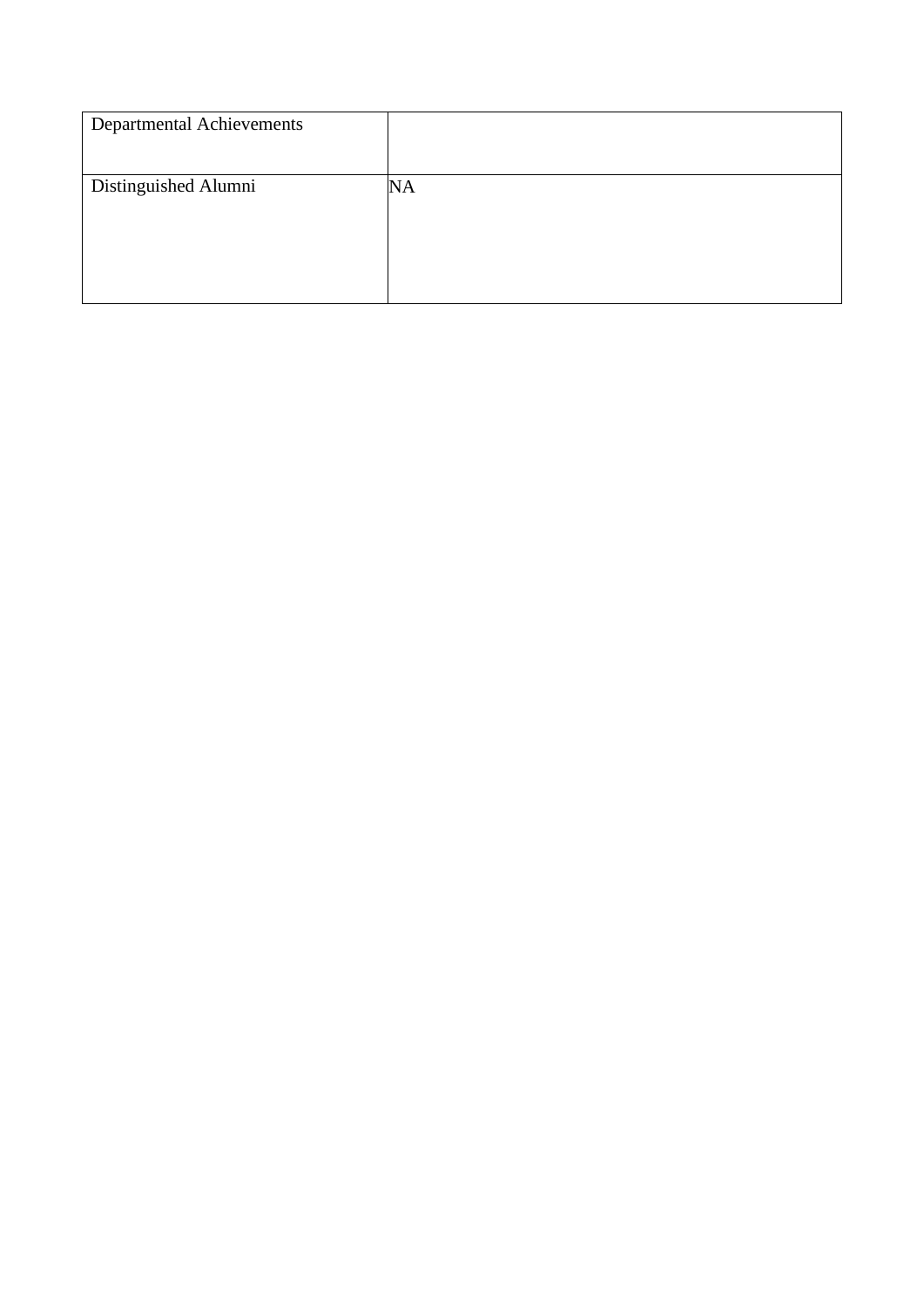| <b>Departmental Achievements</b> |    |
|----------------------------------|----|
| Distinguished Alumni             | NA |
|                                  |    |
|                                  |    |
|                                  |    |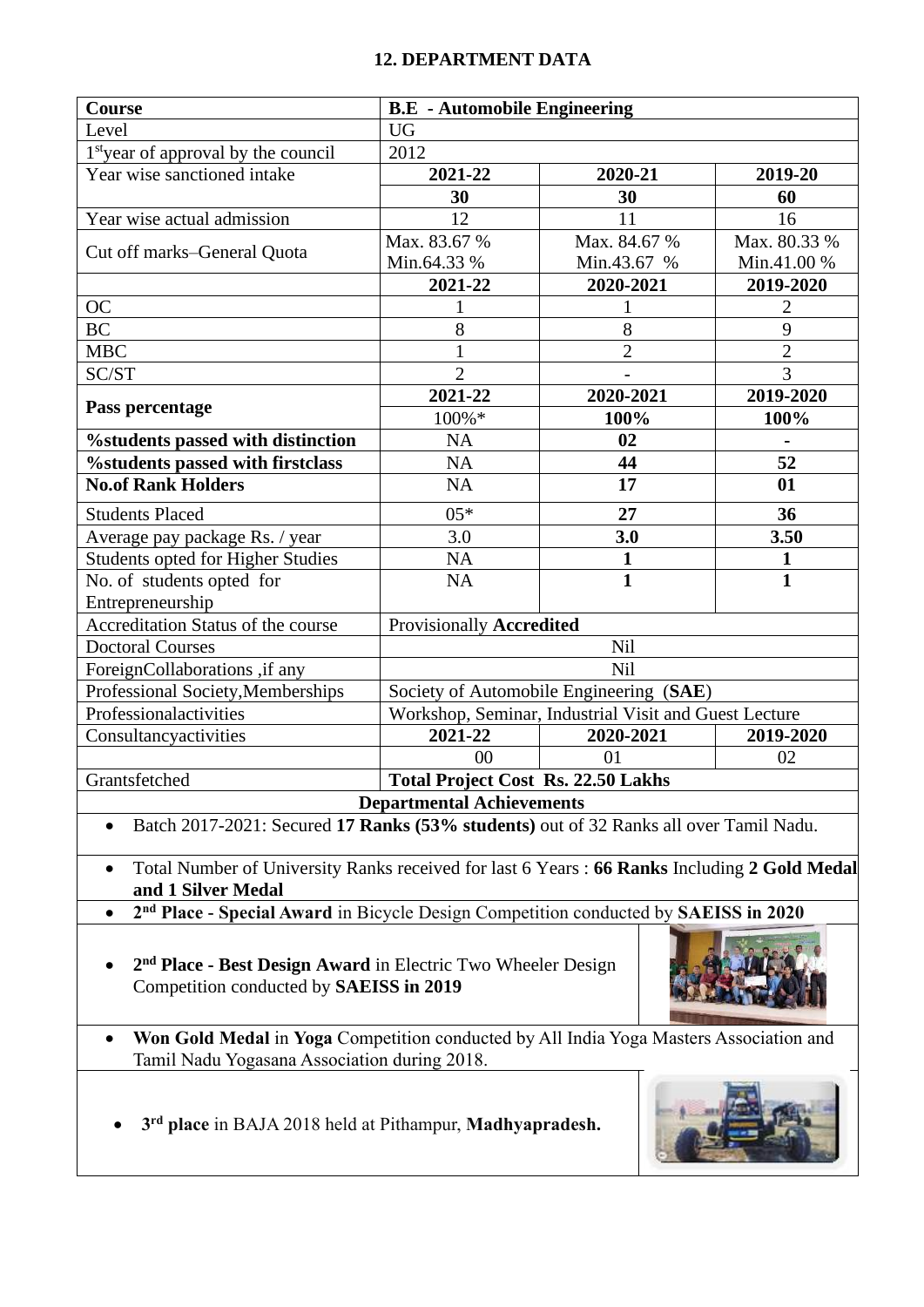#### **12. DEPARTMENT DATA**

| Course                                                                                                            | <b>B.E</b> - Automobile Engineering       |                                                       |                |  |
|-------------------------------------------------------------------------------------------------------------------|-------------------------------------------|-------------------------------------------------------|----------------|--|
| Level                                                                                                             | <b>UG</b>                                 |                                                       |                |  |
| 1 <sup>st</sup> year of approval by the council                                                                   | 2012                                      |                                                       |                |  |
| Year wise sanctioned intake                                                                                       | 2021-22                                   | 2020-21                                               | 2019-20        |  |
|                                                                                                                   | 30                                        | 30                                                    | 60             |  |
| Year wise actual admission                                                                                        | 12                                        | 11                                                    | 16             |  |
|                                                                                                                   | Max. 83.67 %                              | Max. 84.67 %                                          | Max. 80.33 %   |  |
| Cut off marks–General Quota                                                                                       | Min.64.33 %                               | Min.43.67 %                                           | Min.41.00 %    |  |
|                                                                                                                   | 2021-22                                   | 2020-2021                                             | 2019-2020      |  |
| <b>OC</b>                                                                                                         | 1                                         | 1                                                     | $\overline{2}$ |  |
| <b>BC</b>                                                                                                         | 8                                         | 8                                                     | 9              |  |
| <b>MBC</b>                                                                                                        | $\mathbf{1}$                              | $\overline{2}$                                        | $\overline{2}$ |  |
| SC/ST                                                                                                             | $\overline{2}$                            | $\overline{a}$                                        | $\overline{3}$ |  |
| Pass percentage                                                                                                   | 2021-22                                   | 2020-2021                                             | 2019-2020      |  |
|                                                                                                                   | 100%*                                     | 100%                                                  | 100%           |  |
| <b>%students passed with distinction</b>                                                                          | <b>NA</b>                                 | 02                                                    |                |  |
| %students passed with firstclass                                                                                  | <b>NA</b>                                 | 44                                                    | 52             |  |
| <b>No.of Rank Holders</b>                                                                                         | <b>NA</b>                                 | 17                                                    | 01             |  |
| <b>Students Placed</b>                                                                                            | $05*$                                     | 27                                                    | 36             |  |
| Average pay package Rs. / year                                                                                    | 3.0                                       | 3.0                                                   | 3.50           |  |
| Students opted for Higher Studies                                                                                 | <b>NA</b>                                 | $\mathbf{1}$                                          | 1              |  |
| No. of students opted for                                                                                         | NA                                        | $\overline{\mathbf{1}}$                               | $\mathbf{1}$   |  |
| Entrepreneurship                                                                                                  |                                           |                                                       |                |  |
| Accreditation Status of the course                                                                                | <b>Provisionally Accredited</b>           |                                                       |                |  |
| <b>Doctoral Courses</b>                                                                                           |                                           | Nil                                                   |                |  |
| ForeignCollaborations ,if any                                                                                     |                                           | Nil                                                   |                |  |
| Professional Society, Memberships                                                                                 |                                           | Society of Automobile Engineering (SAE)               |                |  |
| Professionalactivities                                                                                            |                                           | Workshop, Seminar, Industrial Visit and Guest Lecture |                |  |
| Consultancyactivities                                                                                             | 2021-22                                   | 2020-2021                                             | 2019-2020      |  |
|                                                                                                                   | 0 <sup>0</sup>                            | 01                                                    | 02             |  |
| Grantsfetched                                                                                                     | <b>Total Project Cost Rs. 22.50 Lakhs</b> |                                                       |                |  |
|                                                                                                                   | <b>Departmental Achievements</b>          |                                                       |                |  |
| Batch 2017-2021: Secured 17 Ranks (53% students) out of 32 Ranks all over Tamil Nadu.                             |                                           |                                                       |                |  |
| Total Number of University Ranks received for last 6 Years: 66 Ranks Including 2 Gold Medal<br>and 1 Silver Medal |                                           |                                                       |                |  |
| 2 <sup>nd</sup> Place - Special Award in Bicycle Design Competition conducted by SAEISS in 2020<br>$\bullet$      |                                           |                                                       |                |  |
|                                                                                                                   |                                           |                                                       |                |  |

• **2 nd Place - Best Design Award** in Electric Two Wheeler Design Competition conducted by **SAEISS in 2019**



- **Won Gold Medal** in **Yoga** Competition conducted by All India Yoga Masters Association and Tamil Nadu Yogasana Association during 2018.
- **3 rd place** in BAJA 2018 held at Pithampur, **Madhyapradesh.**

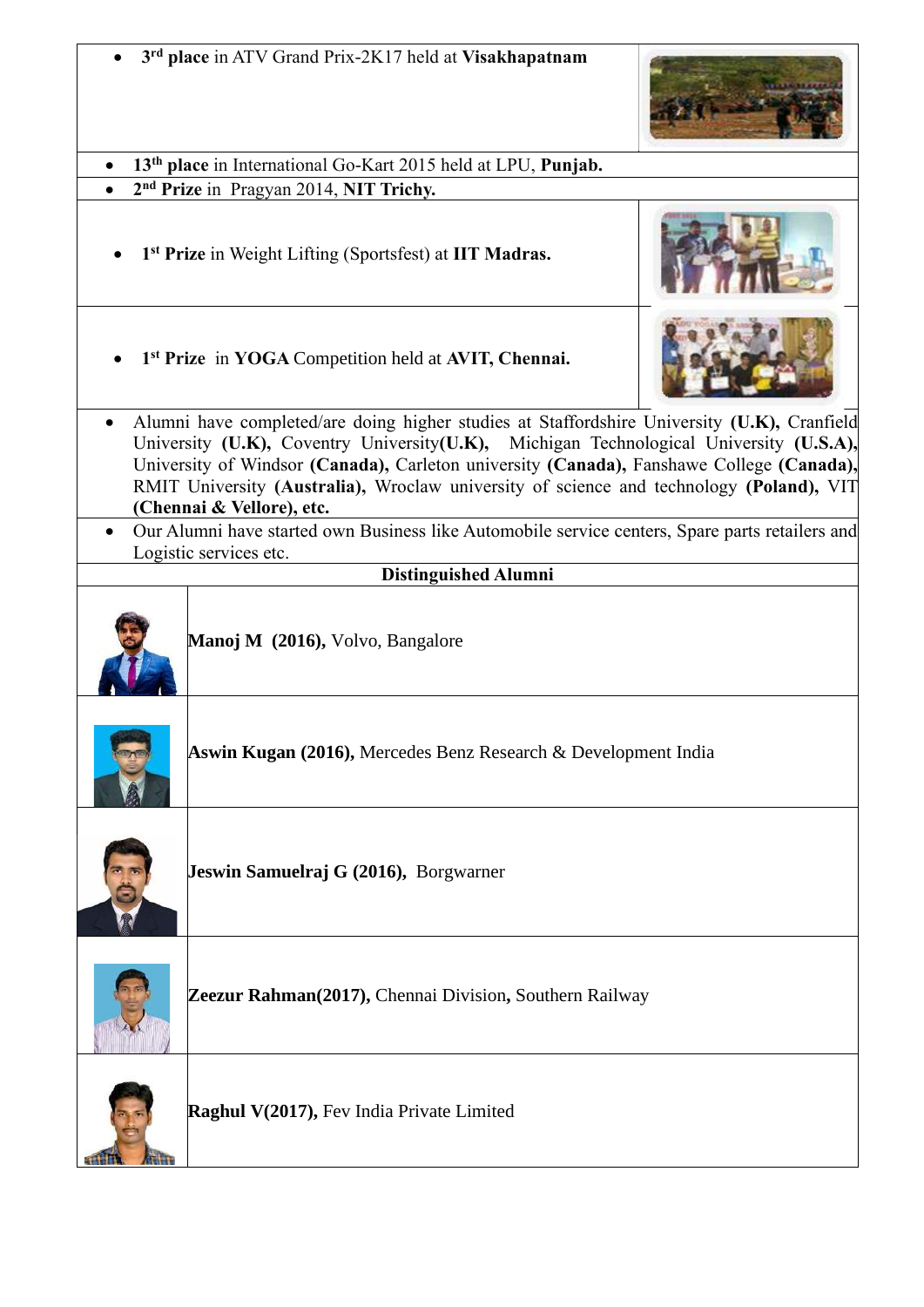|           | 3rd place in ATV Grand Prix-2K17 held at Visakhapatnam                                                                                                                                                                                                                                                                                                                                                    |  |  |  |
|-----------|-----------------------------------------------------------------------------------------------------------------------------------------------------------------------------------------------------------------------------------------------------------------------------------------------------------------------------------------------------------------------------------------------------------|--|--|--|
|           | 13 <sup>th</sup> place in International Go-Kart 2015 held at LPU, Punjab.                                                                                                                                                                                                                                                                                                                                 |  |  |  |
|           | 2 <sup>nd</sup> Prize in Pragyan 2014, NIT Trichy.                                                                                                                                                                                                                                                                                                                                                        |  |  |  |
|           | 1 <sup>st</sup> Prize in Weight Lifting (Sportsfest) at IIT Madras.                                                                                                                                                                                                                                                                                                                                       |  |  |  |
|           | 1 <sup>st</sup> Prize in YOGA Competition held at AVIT, Chennai.                                                                                                                                                                                                                                                                                                                                          |  |  |  |
| $\bullet$ | Alumni have completed/are doing higher studies at Staffordshire University (U.K), Cranfield<br>University (U.K), Coventry University(U.K), Michigan Technological University (U.S.A),<br>University of Windsor (Canada), Carleton university (Canada), Fanshawe College (Canada),<br>RMIT University (Australia), Wroclaw university of science and technology (Poland), VIT<br>(Chennai & Vellore), etc. |  |  |  |
|           | Our Alumni have started own Business like Automobile service centers, Spare parts retailers and<br>Logistic services etc.                                                                                                                                                                                                                                                                                 |  |  |  |
|           | <b>Distinguished Alumni</b>                                                                                                                                                                                                                                                                                                                                                                               |  |  |  |
|           | Manoj M (2016), Volvo, Bangalore                                                                                                                                                                                                                                                                                                                                                                          |  |  |  |
|           | Aswin Kugan (2016), Mercedes Benz Research & Development India                                                                                                                                                                                                                                                                                                                                            |  |  |  |
|           | Jeswin Samuelraj G (2016), Borgwarner                                                                                                                                                                                                                                                                                                                                                                     |  |  |  |
|           | Zeezur Rahman(2017), Chennai Division, Southern Railway                                                                                                                                                                                                                                                                                                                                                   |  |  |  |
|           | Raghul V(2017), Fev India Private Limited                                                                                                                                                                                                                                                                                                                                                                 |  |  |  |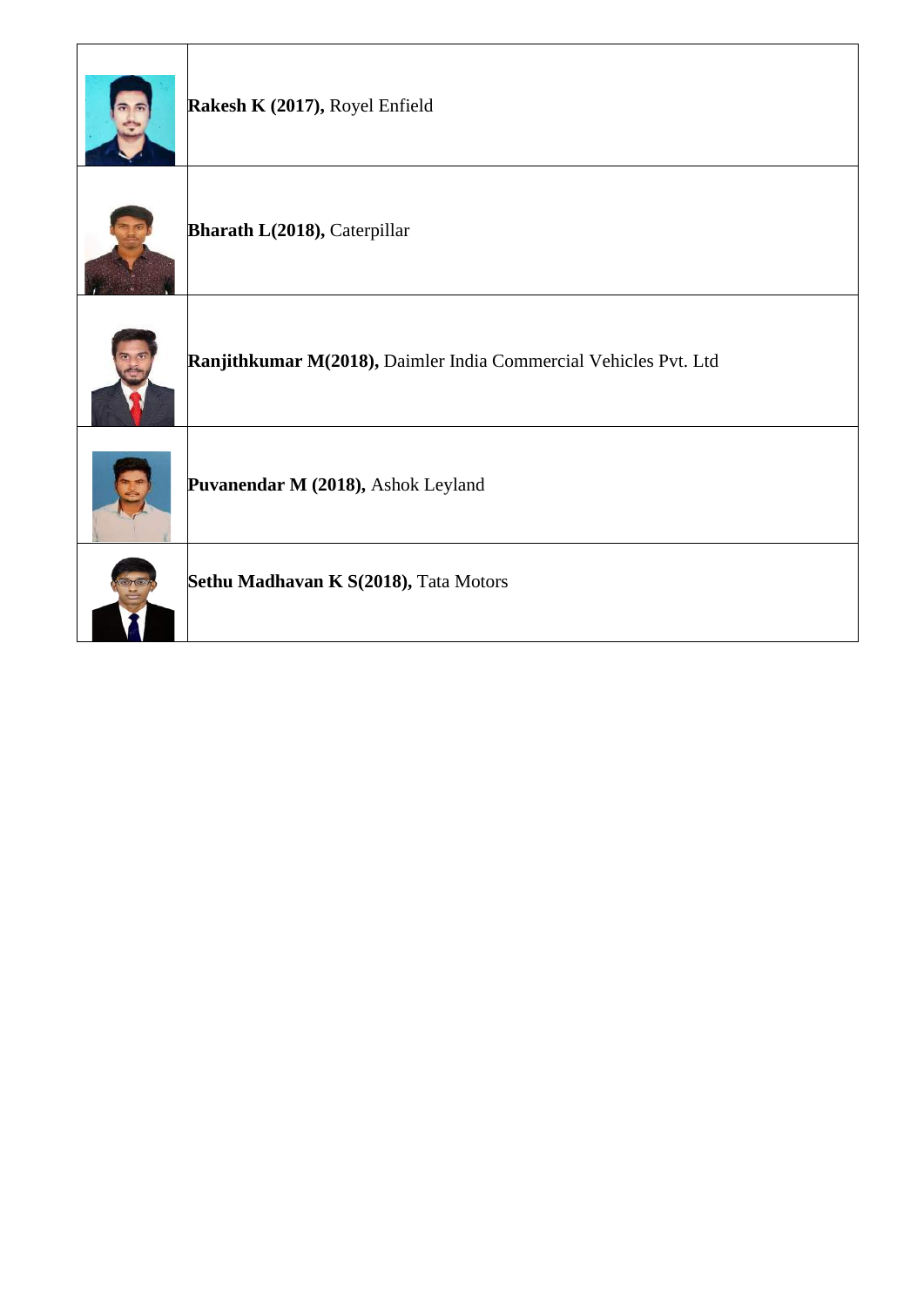| Rakesh K (2017), Royel Enfield                                   |
|------------------------------------------------------------------|
| Bharath L(2018), Caterpillar                                     |
| Ranjithkumar M(2018), Daimler India Commercial Vehicles Pvt. Ltd |
| Puvanendar M (2018), Ashok Leyland                               |
| Sethu Madhavan K S(2018), Tata Motors                            |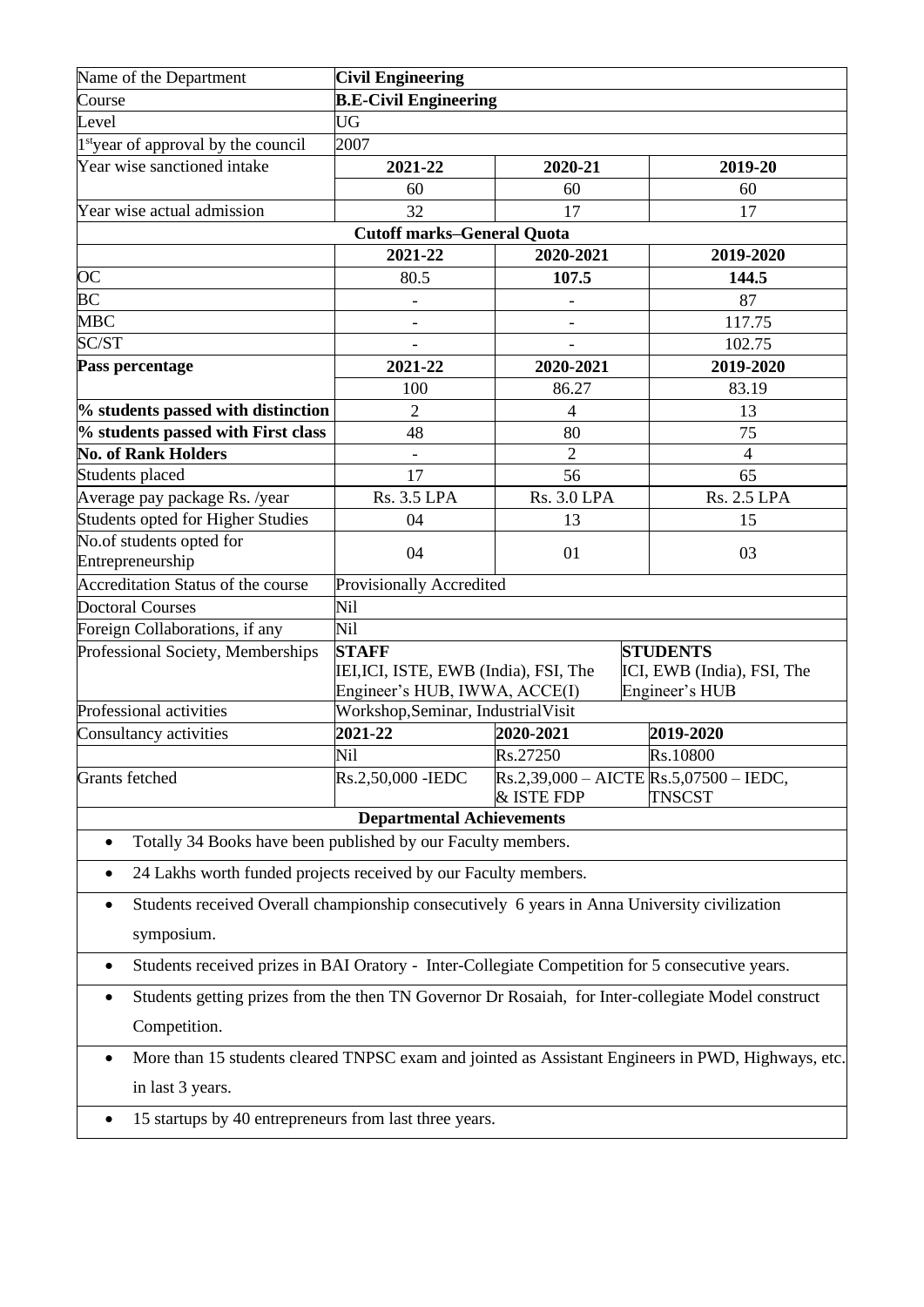| Name of the Department                                                                                    | <b>Civil Engineering</b>                                                                        |                                                           |                                                                 |  |  |
|-----------------------------------------------------------------------------------------------------------|-------------------------------------------------------------------------------------------------|-----------------------------------------------------------|-----------------------------------------------------------------|--|--|
| Course                                                                                                    | <b>B.E-Civil Engineering</b>                                                                    |                                                           |                                                                 |  |  |
| Level                                                                                                     | <b>UG</b>                                                                                       |                                                           |                                                                 |  |  |
| 1 <sup>st</sup> year of approval by the council                                                           | 2007                                                                                            |                                                           |                                                                 |  |  |
| Year wise sanctioned intake                                                                               | 2021-22                                                                                         | 2020-21                                                   | 2019-20                                                         |  |  |
|                                                                                                           | 60                                                                                              | 60                                                        | 60                                                              |  |  |
| Year wise actual admission                                                                                | 32                                                                                              | 17                                                        | 17                                                              |  |  |
|                                                                                                           | <b>Cutoff marks-General Quota</b>                                                               |                                                           |                                                                 |  |  |
|                                                                                                           | 2021-22                                                                                         | 2020-2021                                                 | 2019-2020                                                       |  |  |
| <b>OC</b>                                                                                                 | 80.5                                                                                            | 107.5                                                     | 144.5                                                           |  |  |
| <b>BC</b>                                                                                                 |                                                                                                 |                                                           | 87                                                              |  |  |
| <b>MBC</b>                                                                                                |                                                                                                 |                                                           | 117.75                                                          |  |  |
| SC/ST                                                                                                     |                                                                                                 |                                                           | 102.75                                                          |  |  |
| Pass percentage                                                                                           | 2021-22                                                                                         | 2020-2021                                                 | 2019-2020                                                       |  |  |
|                                                                                                           | 100                                                                                             | 86.27                                                     | 83.19                                                           |  |  |
| % students passed with distinction                                                                        | 2                                                                                               | 4                                                         | 13                                                              |  |  |
| % students passed with First class                                                                        | 48                                                                                              | 80                                                        | 75                                                              |  |  |
| <b>No. of Rank Holders</b>                                                                                |                                                                                                 | $\overline{c}$                                            | $\overline{4}$                                                  |  |  |
| Students placed                                                                                           | 17                                                                                              | 56                                                        | 65                                                              |  |  |
| Average pay package Rs. /year                                                                             | <b>Rs. 3.5 LPA</b>                                                                              | <b>Rs. 3.0 LPA</b>                                        | <b>Rs. 2.5 LPA</b>                                              |  |  |
| Students opted for Higher Studies                                                                         | 04                                                                                              | 13                                                        | 15                                                              |  |  |
| No.of students opted for<br>Entrepreneurship                                                              | 04                                                                                              | 01                                                        | 03                                                              |  |  |
| Accreditation Status of the course                                                                        | Provisionally Accredited                                                                        |                                                           |                                                                 |  |  |
| <b>Doctoral Courses</b>                                                                                   | Nil                                                                                             |                                                           |                                                                 |  |  |
| Foreign Collaborations, if any                                                                            | Nil                                                                                             |                                                           |                                                                 |  |  |
| Professional Society, Memberships                                                                         | <b>STAFF</b><br>IEI, ICI, ISTE, EWB (India), FSI, The<br>Engineer's HUB, IWWA, ACCE(I)          |                                                           | <b>STUDENTS</b><br>ICI, EWB (India), FSI, The<br>Engineer's HUB |  |  |
| Professional activities                                                                                   | Workshop, Seminar, Industrial Visit                                                             |                                                           |                                                                 |  |  |
| Consultancy activities                                                                                    | 2021-22                                                                                         | 2020-2021                                                 | 2019-2020                                                       |  |  |
|                                                                                                           | Nil                                                                                             | Rs.27250                                                  | Rs.10800                                                        |  |  |
| Grants fetched                                                                                            | Rs.2,50,000 - IEDC                                                                              | $Rs.2,39,000 - AICTE$ $Rs.5,07500 - IEDC$ ,<br>& ISTE FDP | <b>TNSCST</b>                                                   |  |  |
|                                                                                                           | <b>Departmental Achievements</b>                                                                |                                                           |                                                                 |  |  |
| Totally 34 Books have been published by our Faculty members.<br>٠                                         |                                                                                                 |                                                           |                                                                 |  |  |
| 24 Lakhs worth funded projects received by our Faculty members.                                           |                                                                                                 |                                                           |                                                                 |  |  |
| Students received Overall championship consecutively 6 years in Anna University civilization<br>$\bullet$ |                                                                                                 |                                                           |                                                                 |  |  |
| symposium.                                                                                                |                                                                                                 |                                                           |                                                                 |  |  |
| $\bullet$                                                                                                 | Students received prizes in BAI Oratory - Inter-Collegiate Competition for 5 consecutive years. |                                                           |                                                                 |  |  |
| Students getting prizes from the then TN Governor Dr Rosaiah, for Inter-collegiate Model construct        |                                                                                                 |                                                           |                                                                 |  |  |
| Competition.                                                                                              |                                                                                                 |                                                           |                                                                 |  |  |
| More than 15 students cleared TNPSC exam and jointed as Assistant Engineers in PWD, Highways, etc.        |                                                                                                 |                                                           |                                                                 |  |  |
| in last 3 years.                                                                                          |                                                                                                 |                                                           |                                                                 |  |  |
| 15 startups by 40 entrepreneurs from last three years.<br>$\bullet$                                       |                                                                                                 |                                                           |                                                                 |  |  |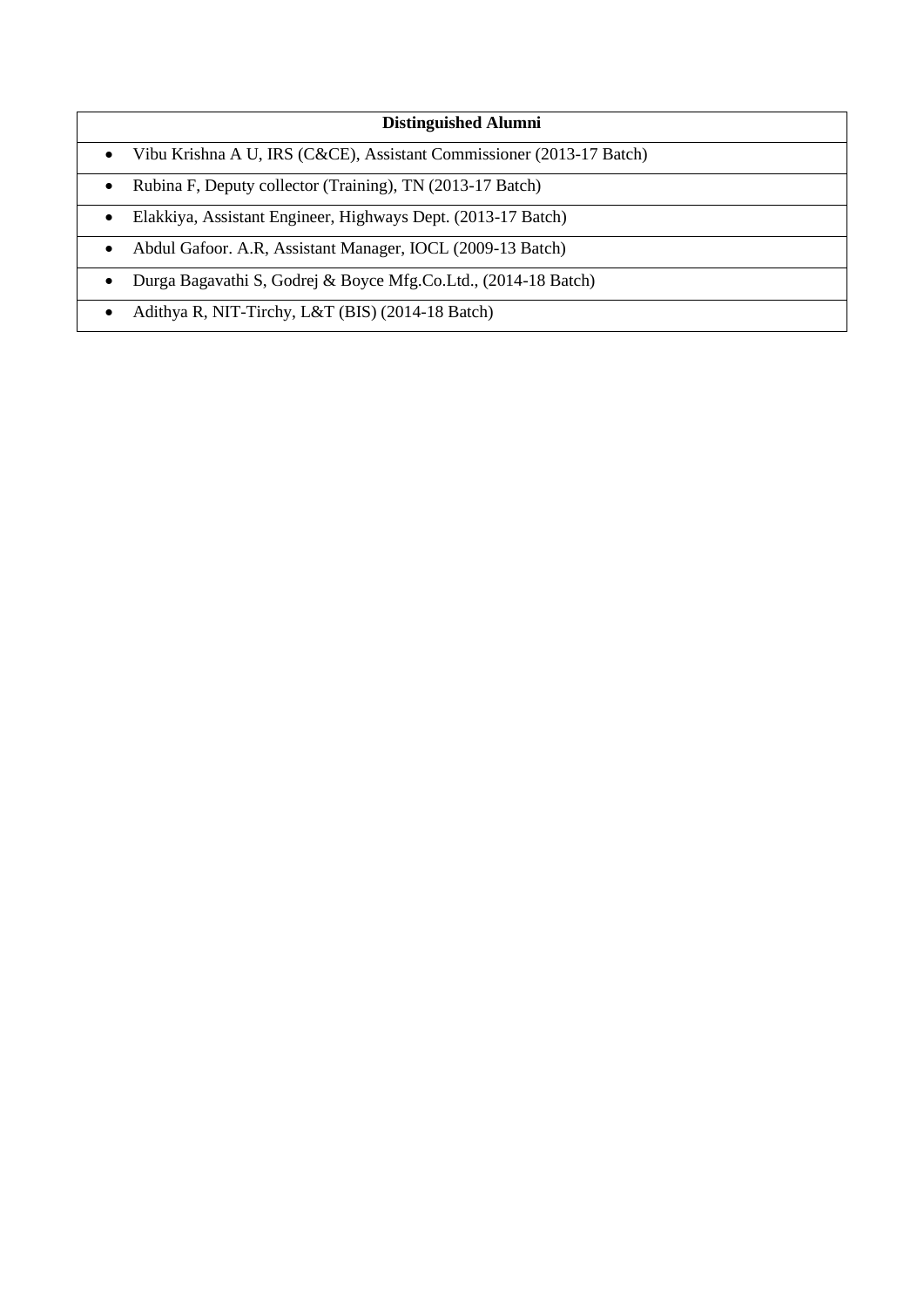- Vibu Krishna A U, IRS (C&CE), Assistant Commissioner (2013-17 Batch)
- Rubina F, Deputy collector (Training), TN (2013-17 Batch)
- Elakkiya, Assistant Engineer, Highways Dept. (2013-17 Batch)
- Abdul Gafoor. A.R, Assistant Manager, IOCL (2009-13 Batch)
- Durga Bagavathi S, Godrej & Boyce Mfg.Co.Ltd., (2014-18 Batch)
- Adithya R, NIT-Tirchy, L&T (BIS) (2014-18 Batch)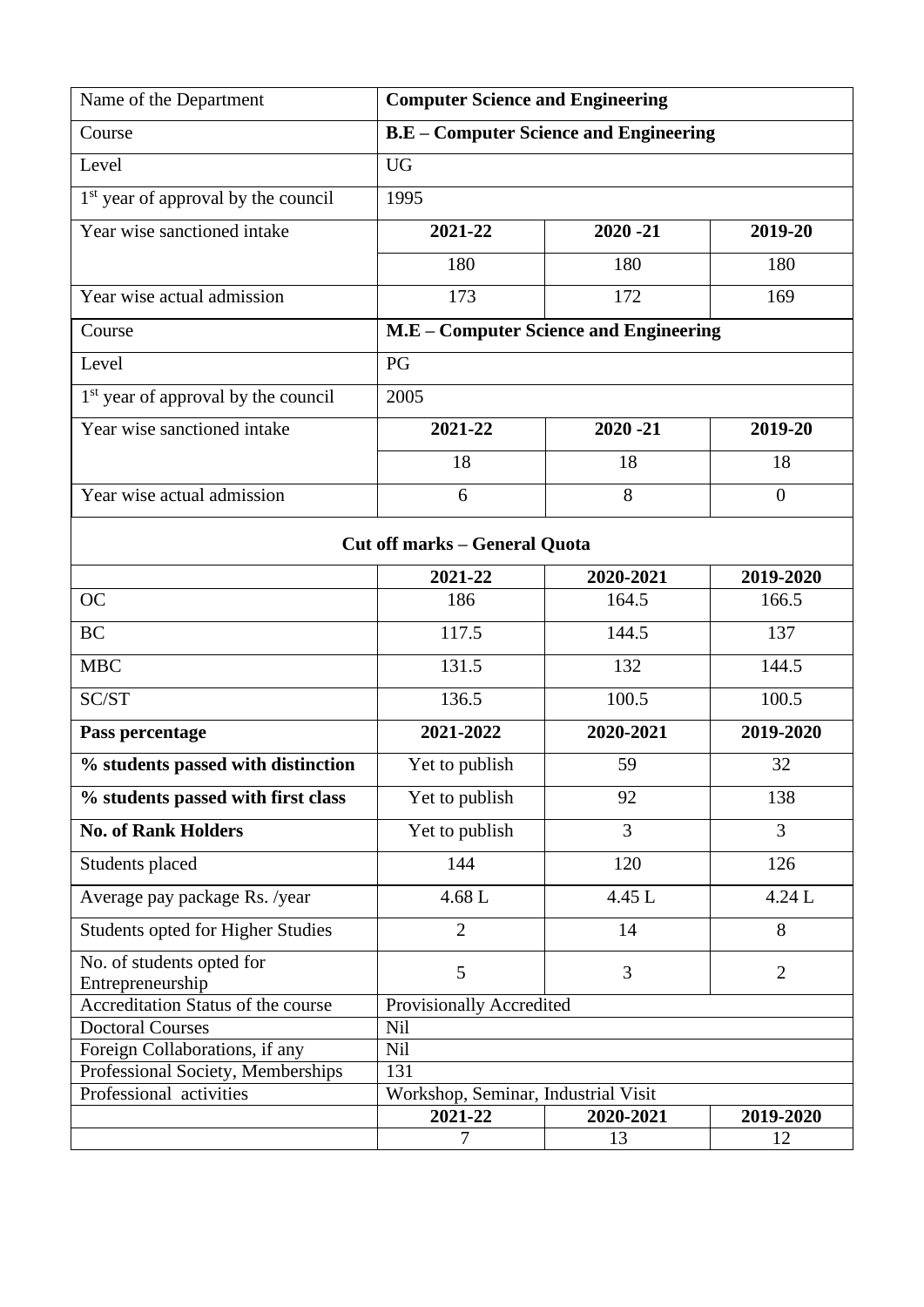| Name of the Department                                       | <b>Computer Science and Engineering</b>       |                                        |                |  |
|--------------------------------------------------------------|-----------------------------------------------|----------------------------------------|----------------|--|
| Course                                                       | <b>B.E</b> – Computer Science and Engineering |                                        |                |  |
| Level                                                        | <b>UG</b>                                     |                                        |                |  |
| 1 <sup>st</sup> year of approval by the council              | 1995                                          |                                        |                |  |
| Year wise sanctioned intake                                  | 2021-22                                       | $2020 - 21$                            | 2019-20        |  |
|                                                              | 180                                           | 180                                    | 180            |  |
| Year wise actual admission                                   | 173                                           | 172                                    | 169            |  |
| Course                                                       |                                               | M.E - Computer Science and Engineering |                |  |
| Level                                                        | PG                                            |                                        |                |  |
| 1 <sup>st</sup> year of approval by the council              | 2005                                          |                                        |                |  |
| Year wise sanctioned intake                                  | 2021-22                                       | $2020 - 21$                            | 2019-20        |  |
|                                                              | 18                                            | 18                                     | 18             |  |
| Year wise actual admission                                   | 6                                             | 8                                      | $\overline{0}$ |  |
|                                                              |                                               |                                        |                |  |
|                                                              | <b>Cut off marks - General Quota</b>          |                                        |                |  |
|                                                              | 2021-22                                       | 2020-2021                              | 2019-2020      |  |
| <b>OC</b>                                                    | 186                                           | 164.5                                  | 166.5          |  |
| <b>BC</b>                                                    | 117.5                                         | 144.5                                  | 137            |  |
| <b>MBC</b>                                                   | 131.5                                         | 132                                    | 144.5          |  |
| SC/ST                                                        | 136.5                                         | 100.5                                  | 100.5          |  |
| Pass percentage                                              | 2021-2022                                     | 2020-2021                              | 2019-2020      |  |
| % students passed with distinction                           | Yet to publish                                | 59                                     | 32             |  |
| % students passed with first class                           | Yet to publish                                | 92                                     | 138            |  |
| <b>No. of Rank Holders</b>                                   | Yet to publish                                | 3                                      | 3              |  |
| Students placed                                              | 144                                           | 120                                    | 126            |  |
| Average pay package Rs. /year                                | $4.68$ L                                      | 4.45 L                                 | 4.24 L         |  |
| <b>Students opted for Higher Studies</b>                     | $\overline{2}$                                | 14                                     | 8              |  |
| No. of students opted for                                    | 5                                             | 3                                      | $\overline{2}$ |  |
| Entrepreneurship                                             |                                               |                                        |                |  |
| Accreditation Status of the course                           | Provisionally Accredited                      |                                        |                |  |
| <b>Doctoral Courses</b>                                      | <b>Nil</b><br>Nil                             |                                        |                |  |
| Foreign Collaborations, if any                               | 131                                           |                                        |                |  |
| Professional Society, Memberships<br>Professional activities | Workshop, Seminar, Industrial Visit           |                                        |                |  |
|                                                              | 2021-22                                       | 2020-2021                              | 2019-2020      |  |
|                                                              | 7                                             | 13                                     | 12             |  |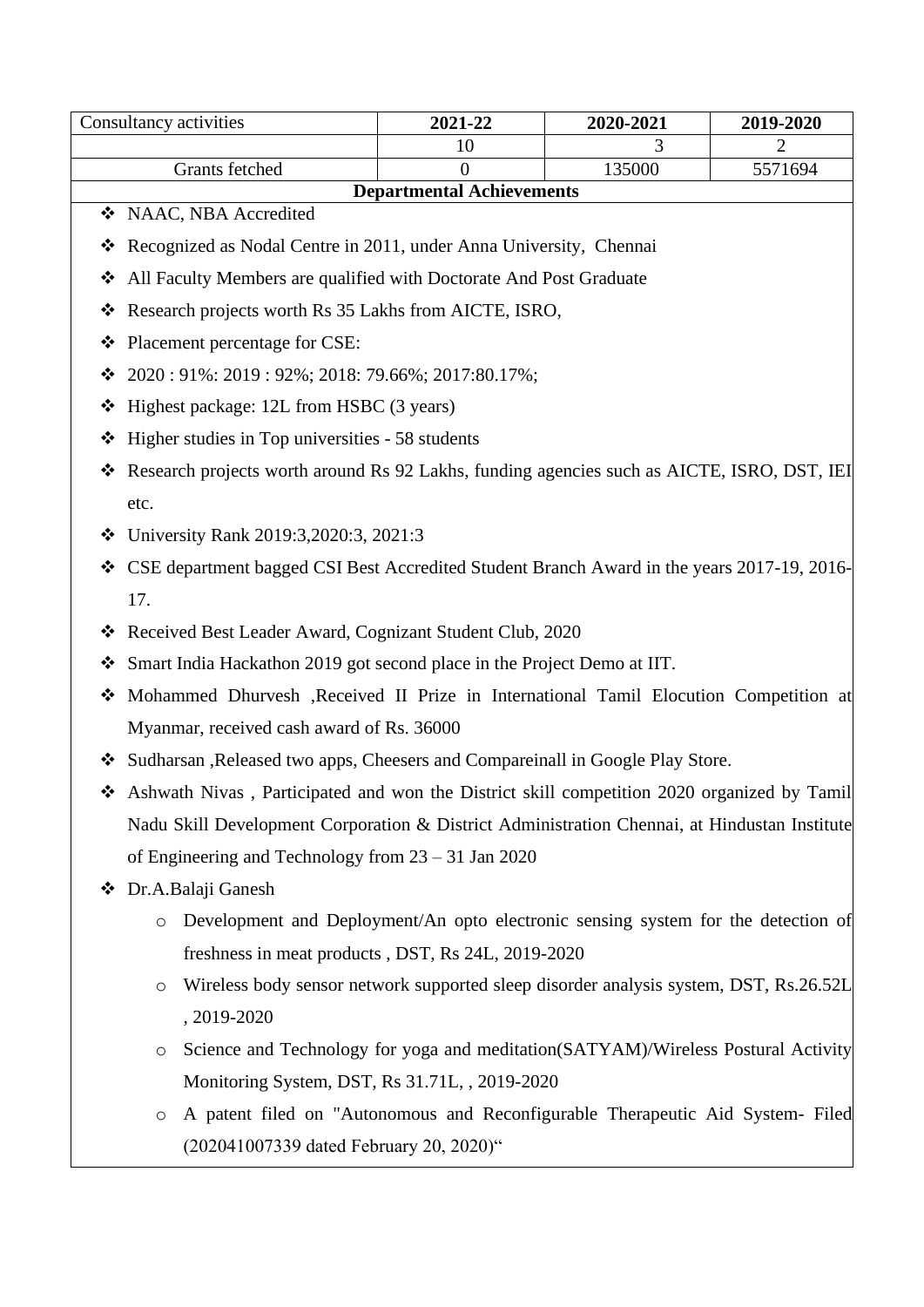|   | Consultancy activities                                                                       | 2021-22                          | 2020-2021 | 2019-2020 |
|---|----------------------------------------------------------------------------------------------|----------------------------------|-----------|-----------|
|   |                                                                                              | 10                               | 3         | 2         |
|   | Grants fetched                                                                               | 0                                | 135000    | 5571694   |
|   | ❖ NAAC, NBA Accredited                                                                       | <b>Departmental Achievements</b> |           |           |
|   |                                                                                              |                                  |           |           |
| ❖ | Recognized as Nodal Centre in 2011, under Anna University, Chennai                           |                                  |           |           |
| ❖ | All Faculty Members are qualified with Doctorate And Post Graduate                           |                                  |           |           |
| ❖ | Research projects worth Rs 35 Lakhs from AICTE, ISRO,                                        |                                  |           |           |
| ❖ | Placement percentage for CSE:                                                                |                                  |           |           |
| ❖ | 2020: 91%: 2019: 92%; 2018: 79.66%; 2017:80.17%;                                             |                                  |           |           |
| ❖ | Highest package: 12L from HSBC (3 years)                                                     |                                  |           |           |
| ❖ | Higher studies in Top universities - 58 students                                             |                                  |           |           |
| ❖ | Research projects worth around Rs 92 Lakhs, funding agencies such as AICTE, ISRO, DST, IEI   |                                  |           |           |
|   | etc.                                                                                         |                                  |           |           |
| ❖ | University Rank 2019:3,2020:3, 2021:3                                                        |                                  |           |           |
| ❖ | CSE department bagged CSI Best Accredited Student Branch Award in the years 2017-19, 2016-   |                                  |           |           |
|   | 17.                                                                                          |                                  |           |           |
| ❖ | Received Best Leader Award, Cognizant Student Club, 2020                                     |                                  |           |           |
| ❖ | Smart India Hackathon 2019 got second place in the Project Demo at IIT.                      |                                  |           |           |
| ❖ | Mohammed Dhurvesh , Received II Prize in International Tamil Elocution Competition at        |                                  |           |           |
|   | Myanmar, received cash award of Rs. 36000                                                    |                                  |           |           |
| ❖ | Sudharsan , Released two apps, Cheesers and Compareinall in Google Play Store.               |                                  |           |           |
| ❖ | Ashwath Nivas, Participated and won the District skill competition 2020 organized by Tamil   |                                  |           |           |
|   | Nadu Skill Development Corporation & District Administration Chennai, at Hindustan Institute |                                  |           |           |
|   | of Engineering and Technology from $23 - 31$ Jan 2020                                        |                                  |           |           |
| ❖ | Dr.A.Balaji Ganesh                                                                           |                                  |           |           |
|   | Development and Deployment/An opto electronic sensing system for the detection of<br>$\circ$ |                                  |           |           |
|   | freshness in meat products, DST, Rs 24L, 2019-2020                                           |                                  |           |           |
|   | Wireless body sensor network supported sleep disorder analysis system, DST, Rs.26.52L<br>O   |                                  |           |           |
|   | , 2019-2020                                                                                  |                                  |           |           |
|   |                                                                                              |                                  |           |           |

- o Science and Technology for yoga and meditation(SATYAM)/Wireless Postural Activity Monitoring System, DST, Rs 31.71L, , 2019-2020
- o A patent filed on "Autonomous and Reconfigurable Therapeutic Aid System- Filed (202041007339 dated February 20, 2020)"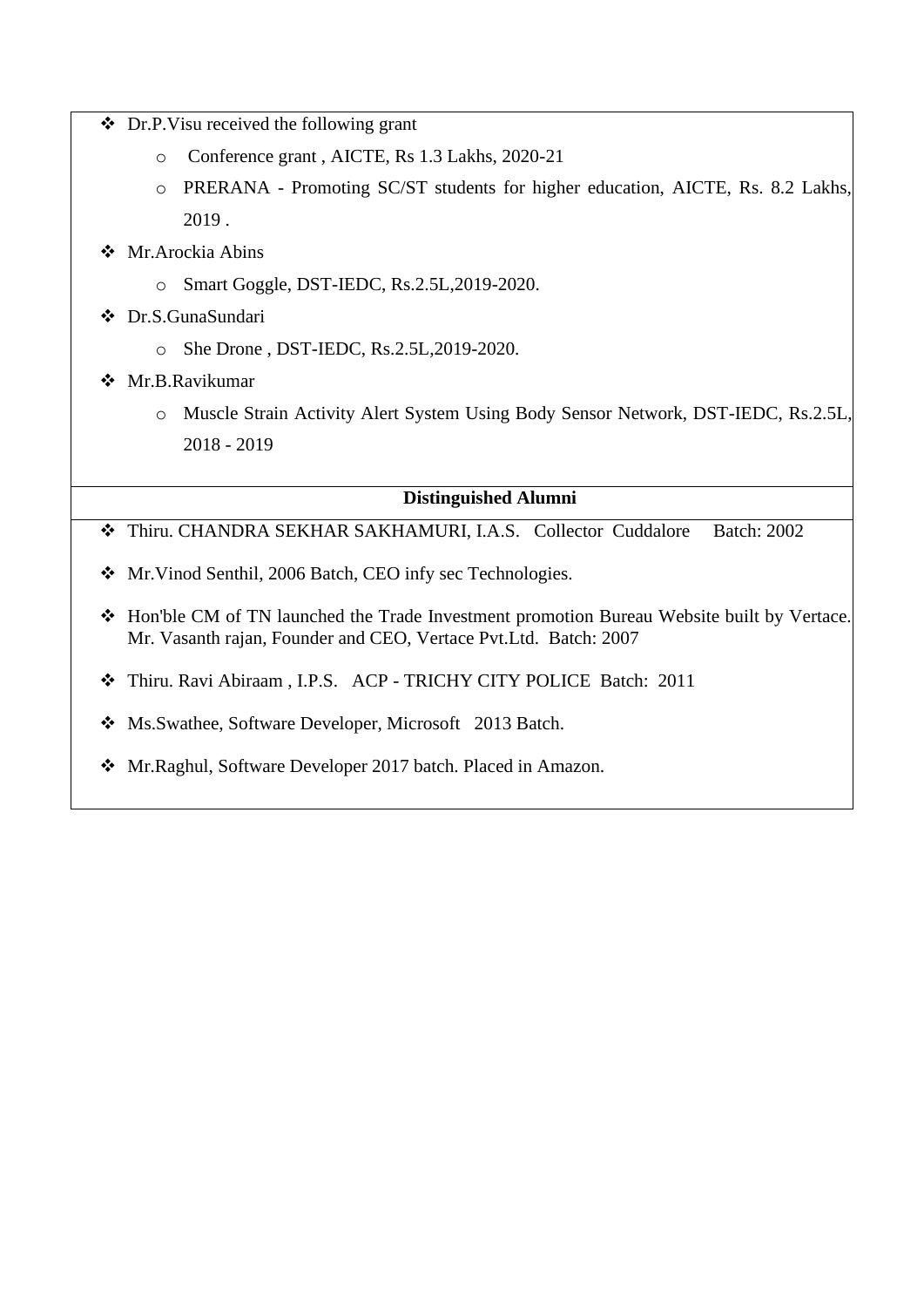- ❖ Dr.P.Visu received the following grant
	- o Conference grant , AICTE, Rs 1.3 Lakhs, 2020-21
	- o PRERANA Promoting SC/ST students for higher education, AICTE, Rs. 8.2 Lakhs, 2019 .
- ❖ Mr.Arockia Abins
	- o Smart Goggle, DST-IEDC, Rs.2.5L,2019-2020.
- ❖ Dr.S.GunaSundari
	- o She Drone , DST-IEDC, Rs.2.5L,2019-2020.
- ❖ Mr.B.Ravikumar
	- o Muscle Strain Activity Alert System Using Body Sensor Network, DST-IEDC, Rs.2.5L, 2018 - 2019

- ❖ Thiru. CHANDRA SEKHAR SAKHAMURI, I.A.S. Collector Cuddalore Batch: 2002
- ❖ Mr.Vinod Senthil, 2006 Batch, CEO infy sec Technologies.
- ❖ Hon'ble CM of TN launched the Trade Investment promotion Bureau Website built by Vertace. Mr. Vasanth rajan, Founder and CEO, Vertace Pvt.Ltd. Batch: 2007
- ❖ Thiru. Ravi Abiraam , I.P.S. ACP TRICHY CITY POLICE Batch: 2011
- ❖ Ms.Swathee, Software Developer, Microsoft 2013 Batch.
- ❖ Mr.Raghul, Software Developer 2017 batch. Placed in Amazon.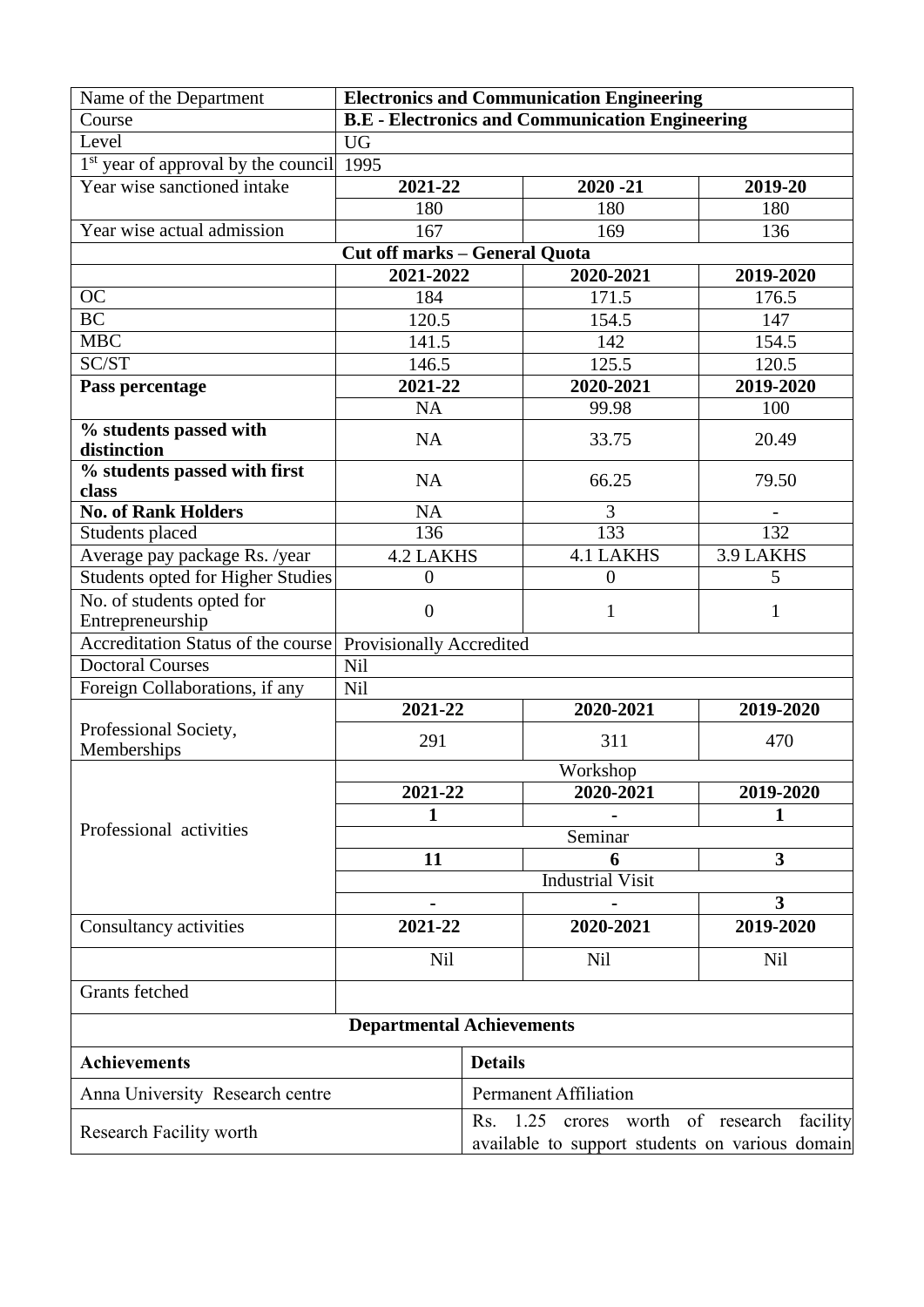| Name of the Department                   | <b>Electronics and Communication Engineering</b>       |                                                                                               |                       |           |
|------------------------------------------|--------------------------------------------------------|-----------------------------------------------------------------------------------------------|-----------------------|-----------|
| Course                                   | <b>B.E</b> - Electronics and Communication Engineering |                                                                                               |                       |           |
| Level                                    | <b>UG</b>                                              |                                                                                               |                       |           |
| $1st$ year of approval by the council    | 1995                                                   |                                                                                               |                       |           |
| Year wise sanctioned intake              | 2021-22                                                |                                                                                               | $2020 - 21$           | 2019-20   |
|                                          | 180                                                    |                                                                                               | 180                   | 180       |
| Year wise actual admission               | 167                                                    |                                                                                               | 169                   | 136       |
|                                          | <b>Cut off marks - General Quota</b>                   |                                                                                               |                       |           |
|                                          | 2021-2022                                              |                                                                                               | 2020-2021             | 2019-2020 |
| <b>OC</b>                                | 184                                                    |                                                                                               | 171.5                 | 176.5     |
| $\overline{BC}$                          | 120.5                                                  |                                                                                               | 154.5                 | 147       |
| <b>MBC</b>                               | 141.5                                                  |                                                                                               | 142                   | 154.5     |
| SC/ST                                    | 146.5                                                  |                                                                                               | 125.5                 | 120.5     |
| Pass percentage                          | 2021-22                                                |                                                                                               | 2020-2021             | 2019-2020 |
|                                          | <b>NA</b>                                              |                                                                                               | 99.98                 | 100       |
| % students passed with                   | <b>NA</b>                                              |                                                                                               | 33.75                 | 20.49     |
| distinction                              |                                                        |                                                                                               |                       |           |
| % students passed with first<br>class    | <b>NA</b>                                              |                                                                                               | 66.25                 | 79.50     |
| <b>No. of Rank Holders</b>               | <b>NA</b>                                              |                                                                                               | 3                     |           |
| Students placed                          | 136                                                    |                                                                                               | 133                   | 132       |
| Average pay package Rs. /year            | <b>4.2 LAKHS</b>                                       |                                                                                               | <b>4.1 LAKHS</b>      | 3.9 LAKHS |
| <b>Students opted for Higher Studies</b> | $\overline{0}$                                         |                                                                                               | $\theta$              | 5         |
| No. of students opted for                | $\overline{0}$                                         |                                                                                               | 1                     | 1         |
| Entrepreneurship                         |                                                        |                                                                                               |                       |           |
| Accreditation Status of the course       | Provisionally Accredited                               |                                                                                               |                       |           |
| <b>Doctoral Courses</b>                  | <b>Nil</b>                                             |                                                                                               |                       |           |
| Foreign Collaborations, if any           | Nil                                                    |                                                                                               |                       |           |
|                                          | 2021-22<br>2020-2021                                   |                                                                                               | 2019-2020             |           |
| Professional Society,                    | 291                                                    |                                                                                               | 311                   | 470       |
| Memberships                              |                                                        |                                                                                               |                       |           |
|                                          | $2021 - 22$                                            |                                                                                               | Workshop<br>2020-2021 | 2019-2020 |
|                                          |                                                        |                                                                                               |                       |           |
| Professional activities                  | 1                                                      |                                                                                               | Seminar               | 1         |
|                                          |                                                        |                                                                                               |                       | 3         |
|                                          | 11                                                     | 6<br><b>Industrial Visit</b>                                                                  |                       |           |
|                                          |                                                        |                                                                                               |                       | 3         |
|                                          | 2021-22                                                |                                                                                               | 2020-2021             | 2019-2020 |
| Consultancy activities                   |                                                        |                                                                                               |                       |           |
|                                          | <b>Nil</b>                                             |                                                                                               | Nil                   | Nil       |
| <b>Grants</b> fetched                    |                                                        |                                                                                               |                       |           |
|                                          | <b>Departmental Achievements</b>                       |                                                                                               |                       |           |
| <b>Achievements</b>                      |                                                        | <b>Details</b>                                                                                |                       |           |
| Anna University Research centre          |                                                        | <b>Permanent Affiliation</b>                                                                  |                       |           |
| Research Facility worth                  |                                                        | Rs. 1.25 crores worth of research facility<br>available to support students on various domain |                       |           |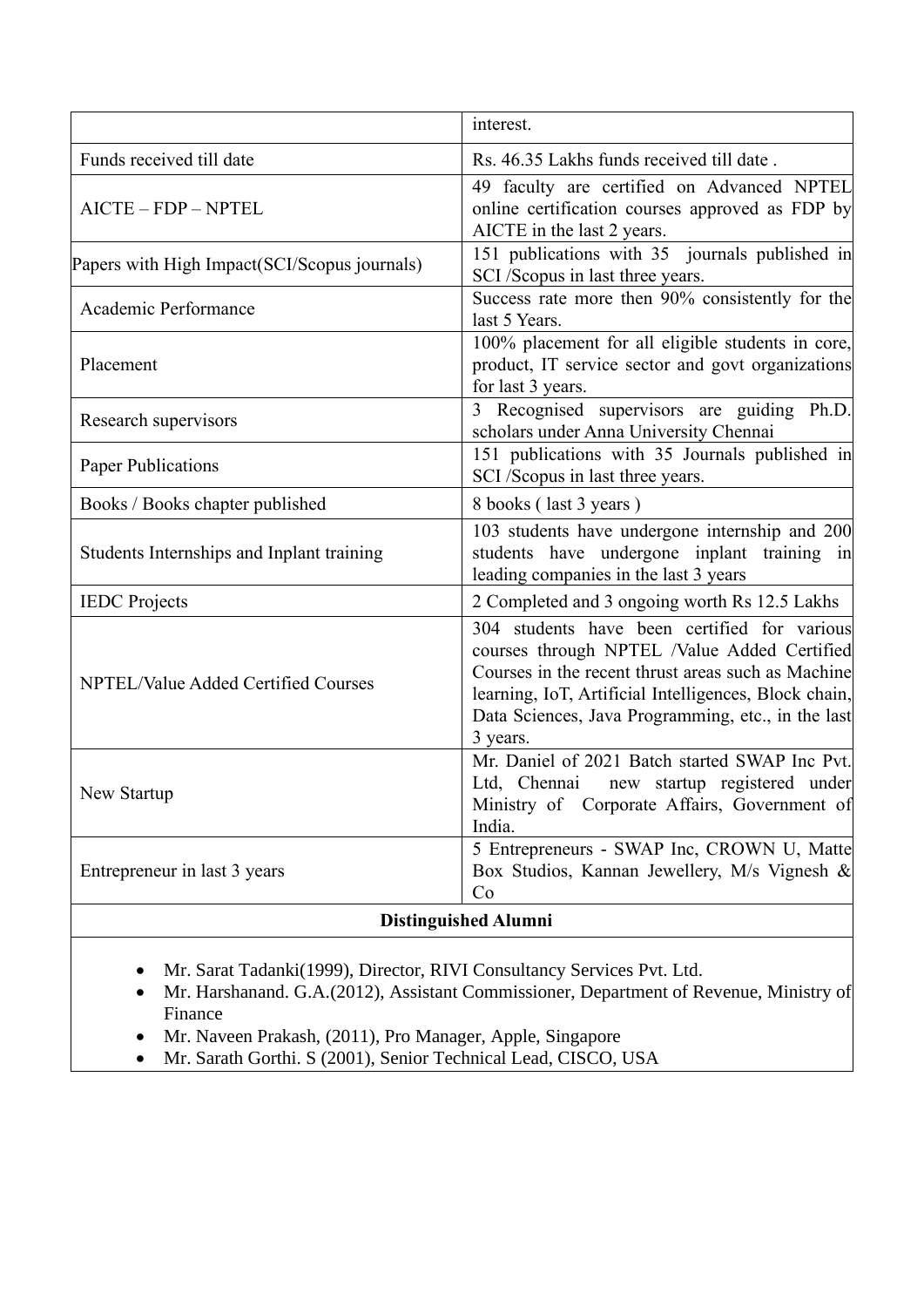|                                              | interest.                                                                                                                                                                                                                                                                     |
|----------------------------------------------|-------------------------------------------------------------------------------------------------------------------------------------------------------------------------------------------------------------------------------------------------------------------------------|
| Funds received till date                     | Rs. 46.35 Lakhs funds received till date.                                                                                                                                                                                                                                     |
| AICTE - FDP - NPTEL                          | 49 faculty are certified on Advanced NPTEL<br>online certification courses approved as FDP by<br>AICTE in the last 2 years.                                                                                                                                                   |
| Papers with High Impact(SCI/Scopus journals) | 151 publications with 35 journals published in<br>SCI /Scopus in last three years.                                                                                                                                                                                            |
| Academic Performance                         | Success rate more then 90% consistently for the<br>last 5 Years.                                                                                                                                                                                                              |
| Placement                                    | 100% placement for all eligible students in core,<br>product, IT service sector and govt organizations<br>for last 3 years.                                                                                                                                                   |
| Research supervisors                         | 3 Recognised supervisors are guiding Ph.D.<br>scholars under Anna University Chennai                                                                                                                                                                                          |
| Paper Publications                           | 151 publications with 35 Journals published in<br>SCI /Scopus in last three years.                                                                                                                                                                                            |
| Books / Books chapter published              | 8 books (last 3 years)                                                                                                                                                                                                                                                        |
| Students Internships and Inplant training    | 103 students have undergone internship and 200<br>students have undergone inplant training in<br>leading companies in the last 3 years                                                                                                                                        |
| <b>IEDC</b> Projects                         | 2 Completed and 3 ongoing worth Rs 12.5 Lakhs                                                                                                                                                                                                                                 |
| NPTEL/Value Added Certified Courses          | 304 students have been certified for various<br>courses through NPTEL /Value Added Certified<br>Courses in the recent thrust areas such as Machine<br>learning, IoT, Artificial Intelligences, Block chain,<br>Data Sciences, Java Programming, etc., in the last<br>3 years. |
| New Startup                                  | Mr. Daniel of 2021 Batch started SWAP Inc Pvt.<br>Ltd, Chennai<br>new startup registered under<br>Ministry of Corporate Affairs, Government of<br>India.                                                                                                                      |
| Entrepreneur in last 3 years                 | 5 Entrepreneurs - SWAP Inc, CROWN U, Matte<br>Box Studios, Kannan Jewellery, M/s Vignesh &<br>Co                                                                                                                                                                              |
|                                              | <b>Distinguished Alumni</b>                                                                                                                                                                                                                                                   |

- Mr. Sarat Tadanki(1999), Director, RIVI Consultancy Services Pvt. Ltd.
- Mr. Harshanand. G.A.(2012), Assistant Commissioner, Department of Revenue, Ministry of Finance
- Mr. Naveen Prakash, (2011), Pro Manager, Apple, Singapore
- Mr. Sarath Gorthi. S (2001), Senior Technical Lead, CISCO, USA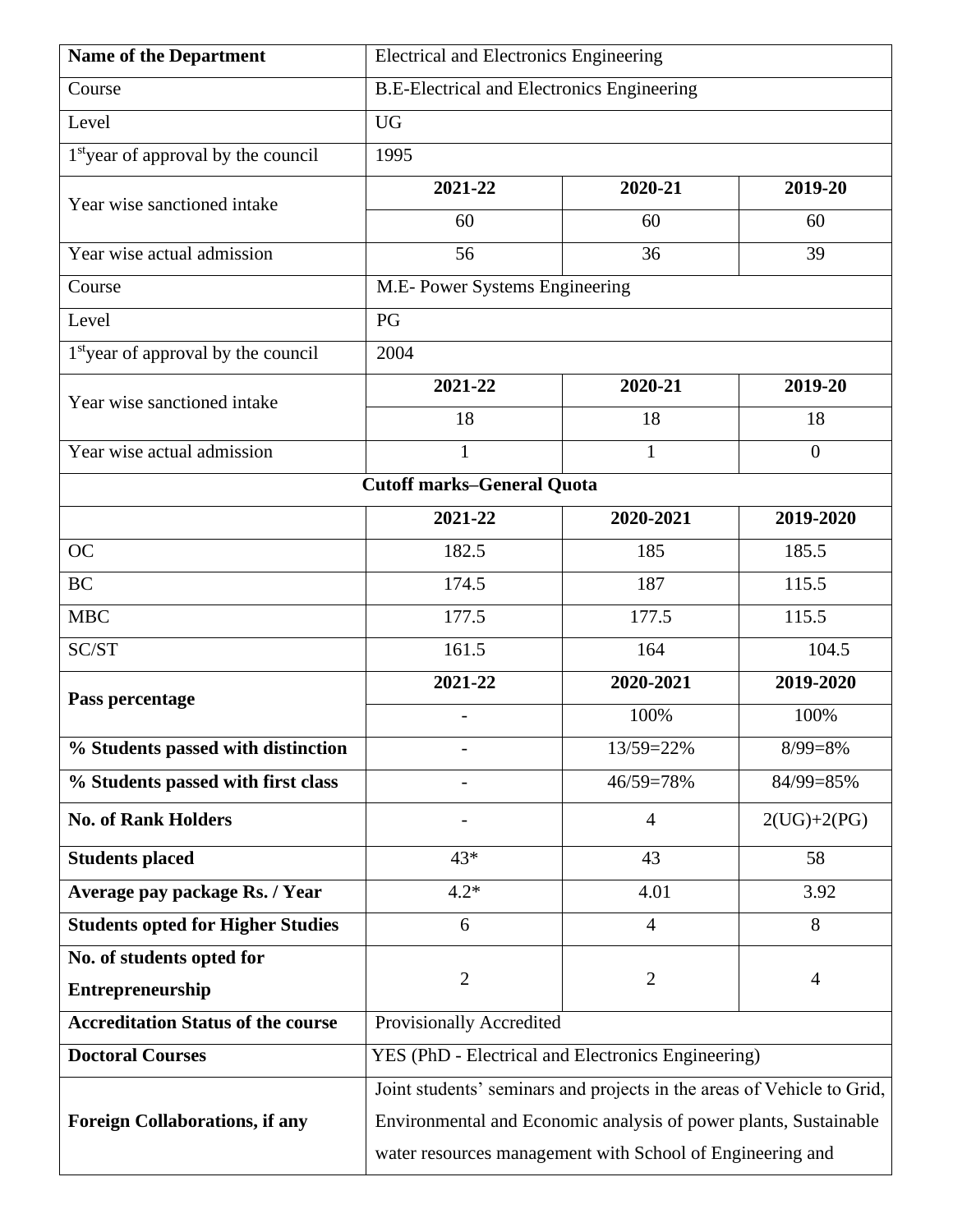| <b>Name of the Department</b>                   | Electrical and Electronics Engineering                                 |                |                |
|-------------------------------------------------|------------------------------------------------------------------------|----------------|----------------|
| Course                                          | <b>B.E-Electrical and Electronics Engineering</b>                      |                |                |
| Level                                           | <b>UG</b>                                                              |                |                |
| 1 <sup>st</sup> year of approval by the council | 1995                                                                   |                |                |
| Year wise sanctioned intake                     | 2021-22                                                                | 2020-21        | 2019-20        |
|                                                 | 60                                                                     | 60             | 60             |
| Year wise actual admission                      | 56                                                                     | 36             | 39             |
| Course                                          | M.E- Power Systems Engineering                                         |                |                |
| Level                                           | PG                                                                     |                |                |
| 1 <sup>st</sup> year of approval by the council | 2004                                                                   |                |                |
| Year wise sanctioned intake                     | 2021-22                                                                | 2020-21        | 2019-20        |
|                                                 | 18                                                                     | 18             | 18             |
| Year wise actual admission                      | $\mathbf{1}$                                                           | $\mathbf{1}$   | $\overline{0}$ |
|                                                 | <b>Cutoff marks-General Quota</b>                                      |                |                |
|                                                 | 2021-22                                                                | 2020-2021      | 2019-2020      |
| <b>OC</b>                                       | 182.5                                                                  | 185            | 185.5          |
| <b>BC</b>                                       | 174.5                                                                  | 187            | 115.5          |
| <b>MBC</b>                                      | 177.5                                                                  | 177.5          | 115.5          |
| SC/ST                                           | 161.5                                                                  | 164            | 104.5          |
| Pass percentage                                 | 2021-22                                                                | 2020-2021      | 2019-2020      |
|                                                 | $\overline{a}$                                                         | 100%           | 100%           |
| % Students passed with distinction              |                                                                        | 13/59=22%      | $8/99=8%$      |
| % Students passed with first class              |                                                                        | 46/59=78%      | 84/99=85%      |
| <b>No. of Rank Holders</b>                      |                                                                        | $\overline{4}$ | $2(UG)+2(PG)$  |
| <b>Students placed</b>                          | $43*$                                                                  | 43             | 58             |
| Average pay package Rs. / Year                  | $4.2*$                                                                 | 4.01           | 3.92           |
| <b>Students opted for Higher Studies</b>        | 6                                                                      | $\overline{4}$ | 8              |
| No. of students opted for                       |                                                                        |                |                |
| Entrepreneurship                                | $\overline{c}$                                                         | $\overline{2}$ | $\overline{4}$ |
| <b>Accreditation Status of the course</b>       | Provisionally Accredited                                               |                |                |
| <b>Doctoral Courses</b>                         | YES (PhD - Electrical and Electronics Engineering)                     |                |                |
|                                                 | Joint students' seminars and projects in the areas of Vehicle to Grid, |                |                |
| <b>Foreign Collaborations, if any</b>           | Environmental and Economic analysis of power plants, Sustainable       |                |                |
|                                                 | water resources management with School of Engineering and              |                |                |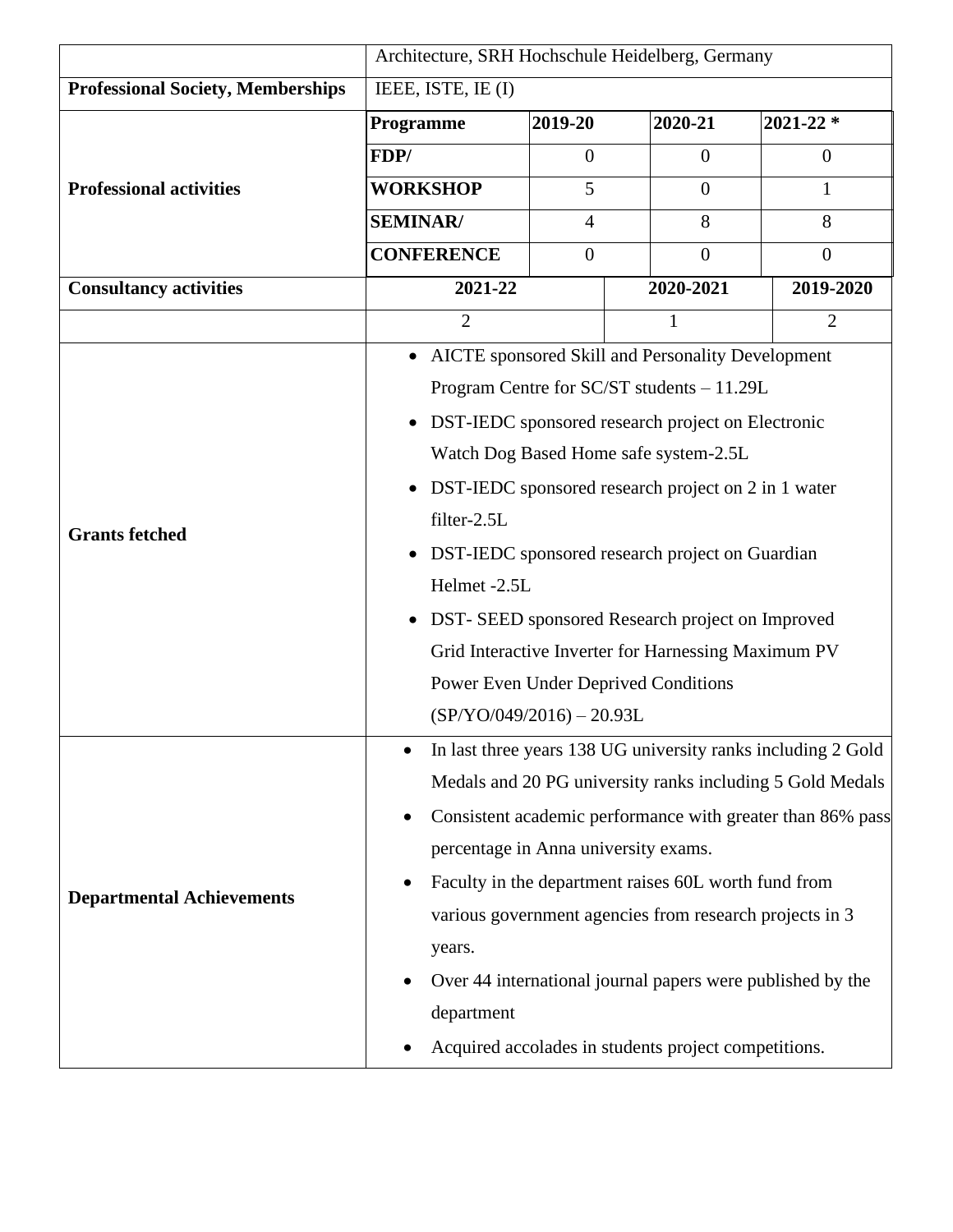|                                          | Architecture, SRH Hochschule Heidelberg, Germany                 |                                                              |                                                           |                |  |
|------------------------------------------|------------------------------------------------------------------|--------------------------------------------------------------|-----------------------------------------------------------|----------------|--|
| <b>Professional Society, Memberships</b> | IEEE, ISTE, IE (I)                                               |                                                              |                                                           |                |  |
|                                          | Programme                                                        | 2019-20                                                      |                                                           | $2021 - 22$ *  |  |
|                                          | FDP/                                                             | $\overline{0}$                                               | $\Omega$                                                  | $\overline{0}$ |  |
| <b>Professional activities</b>           | <b>WORKSHOP</b>                                                  | 5                                                            | $\overline{0}$                                            | 1              |  |
|                                          | <b>SEMINAR/</b>                                                  | 4                                                            | 8                                                         | 8              |  |
|                                          | <b>CONFERENCE</b><br>$\overline{0}$                              |                                                              | $\overline{0}$                                            | $\theta$       |  |
| <b>Consultancy activities</b>            | 2021-22                                                          |                                                              | 2020-2021                                                 | 2019-2020      |  |
|                                          | $\overline{2}$                                                   |                                                              | 1                                                         | $\overline{2}$ |  |
|                                          |                                                                  |                                                              | • AICTE sponsored Skill and Personality Development       |                |  |
|                                          |                                                                  |                                                              | Program Centre for SC/ST students - 11.29L                |                |  |
|                                          | $\bullet$                                                        |                                                              | DST-IEDC sponsored research project on Electronic         |                |  |
| <b>Grants fetched</b>                    |                                                                  |                                                              | Watch Dog Based Home safe system-2.5L                     |                |  |
|                                          | DST-IEDC sponsored research project on 2 in 1 water<br>$\bullet$ |                                                              |                                                           |                |  |
|                                          | filter-2.5L                                                      |                                                              |                                                           |                |  |
|                                          | DST-IEDC sponsored research project on Guardian                  |                                                              |                                                           |                |  |
|                                          | Helmet -2.5L                                                     |                                                              |                                                           |                |  |
|                                          | DST- SEED sponsored Research project on Improved<br>$\bullet$    |                                                              |                                                           |                |  |
|                                          | Grid Interactive Inverter for Harnessing Maximum PV              |                                                              |                                                           |                |  |
|                                          | Power Even Under Deprived Conditions                             |                                                              |                                                           |                |  |
|                                          | $(SP/YO/049/2016) - 20.93L$                                      |                                                              |                                                           |                |  |
|                                          |                                                                  | In last three years 138 UG university ranks including 2 Gold |                                                           |                |  |
|                                          |                                                                  |                                                              | Medals and 20 PG university ranks including 5 Gold Medals |                |  |
|                                          | Consistent academic performance with greater than 86% pass       |                                                              |                                                           |                |  |
|                                          | percentage in Anna university exams.                             |                                                              |                                                           |                |  |
|                                          | Faculty in the department raises 60L worth fund from             |                                                              |                                                           |                |  |
| <b>Departmental Achievements</b>         | various government agencies from research projects in 3          |                                                              |                                                           |                |  |
|                                          | years.                                                           |                                                              |                                                           |                |  |
|                                          | Over 44 international journal papers were published by the       |                                                              |                                                           |                |  |
|                                          | department                                                       |                                                              |                                                           |                |  |
|                                          |                                                                  |                                                              | Acquired accolades in students project competitions.      |                |  |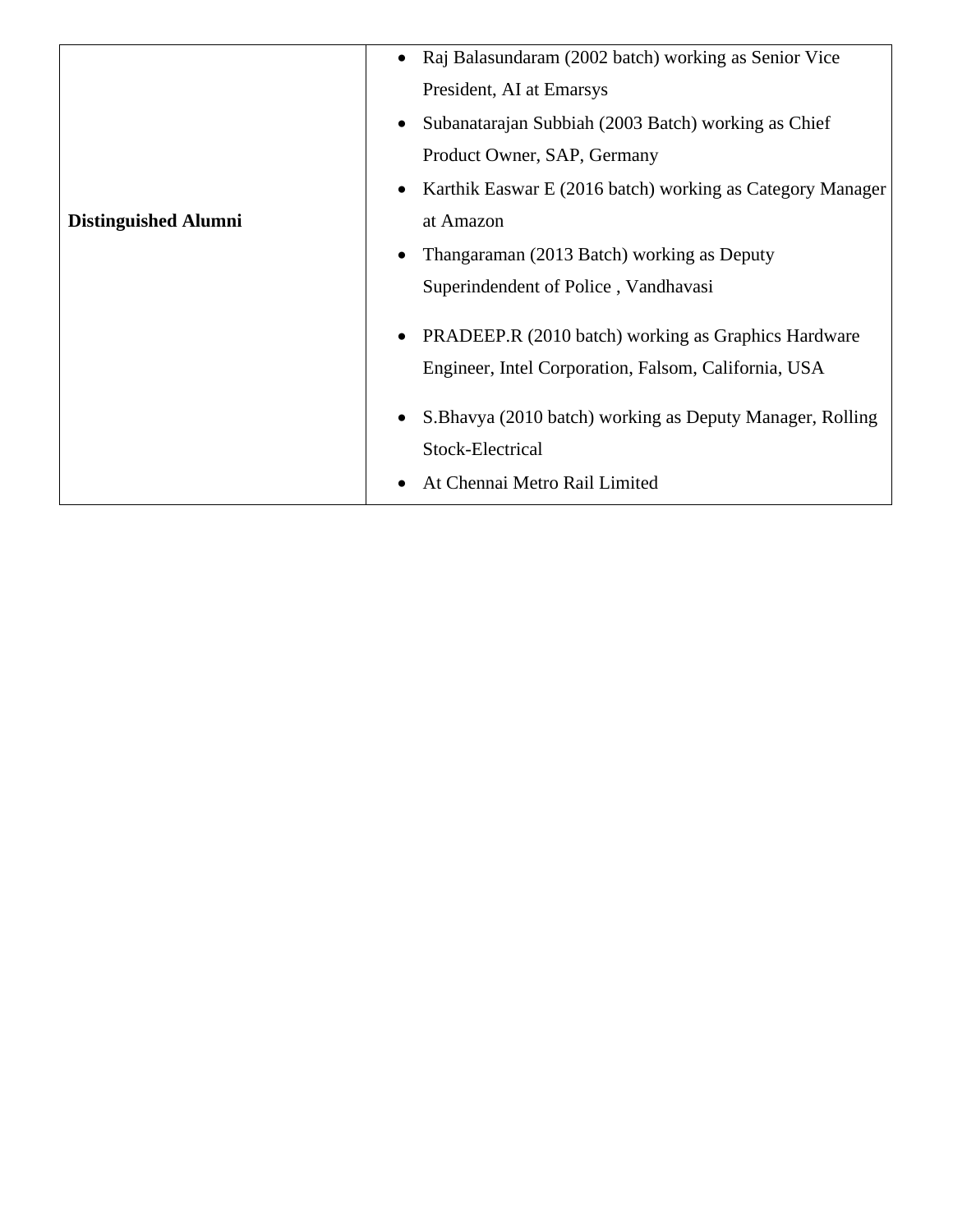|                             | Raj Balasundaram (2002 batch) working as Senior Vice<br>$\bullet$                  |
|-----------------------------|------------------------------------------------------------------------------------|
|                             | President, AI at Emarsys                                                           |
|                             | Subanatarajan Subbiah (2003 Batch) working as Chief                                |
|                             | Product Owner, SAP, Germany                                                        |
|                             | Karthik Easwar E (2016 batch) working as Category Manager                          |
| <b>Distinguished Alumni</b> | at Amazon                                                                          |
|                             | Thangaraman (2013 Batch) working as Deputy                                         |
|                             | Superindendent of Police, Vandhavasi                                               |
|                             | PRADEEP.R (2010 batch) working as Graphics Hardware<br>٠                           |
|                             | Engineer, Intel Corporation, Falsom, California, USA                               |
|                             | S. Bhavya (2010 batch) working as Deputy Manager, Rolling<br>٠<br>Stock-Electrical |
|                             | At Chennai Metro Rail Limited                                                      |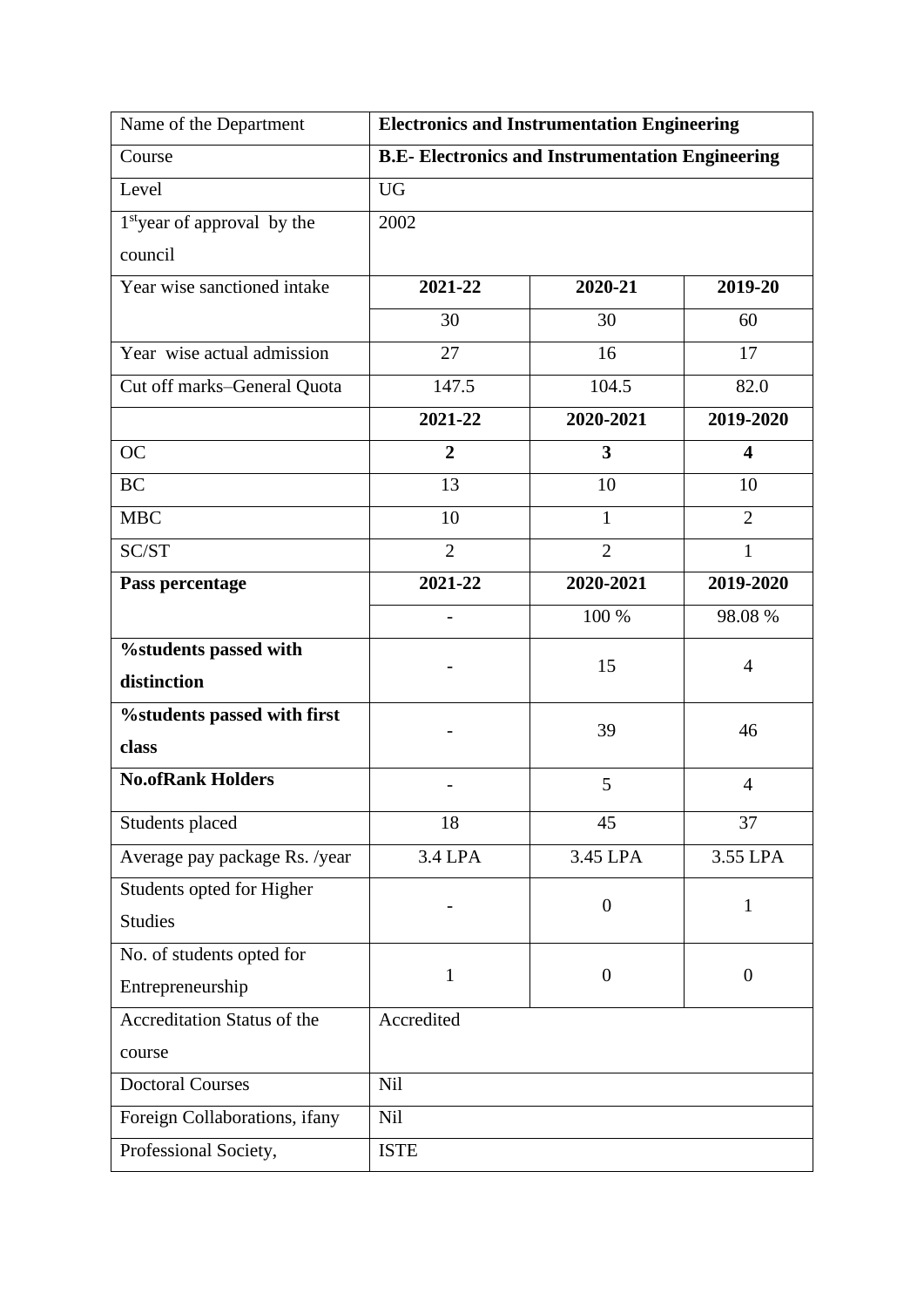| Name of the Department                  | <b>Electronics and Instrumentation Engineering</b>      |                |                         |
|-----------------------------------------|---------------------------------------------------------|----------------|-------------------------|
| Course                                  | <b>B.E- Electronics and Instrumentation Engineering</b> |                |                         |
| Level                                   | <b>UG</b>                                               |                |                         |
| 1 <sup>st</sup> year of approval by the | 2002                                                    |                |                         |
| council                                 |                                                         |                |                         |
| Year wise sanctioned intake             | 2021-22                                                 | 2020-21        | 2019-20                 |
|                                         | 30                                                      | 30             | 60                      |
| Year wise actual admission              | 27                                                      | 16             | 17                      |
| Cut off marks-General Quota             | 147.5                                                   | 104.5          | 82.0                    |
|                                         | 2021-22                                                 | 2020-2021      | 2019-2020               |
| <b>OC</b>                               | $\overline{2}$                                          | 3              | $\overline{\mathbf{4}}$ |
| <b>BC</b>                               | 13                                                      | 10             | 10                      |
| <b>MBC</b>                              | 10                                                      | $\mathbf{1}$   | $\overline{2}$          |
| SC/ST                                   | $\overline{2}$                                          | $\overline{2}$ | $\mathbf{1}$            |
| Pass percentage                         | 2021-22                                                 | 2020-2021      | 2019-2020               |
|                                         | $\overline{a}$                                          | 100 %          | 98.08 %                 |
| %students passed with                   |                                                         | 15             |                         |
| distinction                             |                                                         |                | 4                       |
| %students passed with first             |                                                         | 39             | 46                      |
| class                                   |                                                         |                |                         |
| <b>No.ofRank Holders</b>                |                                                         | 5              | 4                       |
| Students placed                         | 18                                                      | 45             | 37                      |
| Average pay package Rs. /year           | 3.4 LPA                                                 | 3.45 LPA       | 3.55 LPA                |
| Students opted for Higher               |                                                         | $\overline{0}$ | $\mathbf{1}$            |
| <b>Studies</b>                          |                                                         |                |                         |
| No. of students opted for               |                                                         |                |                         |
| Entrepreneurship                        | 1                                                       | $\overline{0}$ | $\overline{0}$          |
| Accreditation Status of the             | Accredited                                              |                |                         |
| course                                  |                                                         |                |                         |
| <b>Doctoral Courses</b>                 | Nil                                                     |                |                         |
| Foreign Collaborations, ifany           | Nil                                                     |                |                         |
| Professional Society,                   | <b>ISTE</b>                                             |                |                         |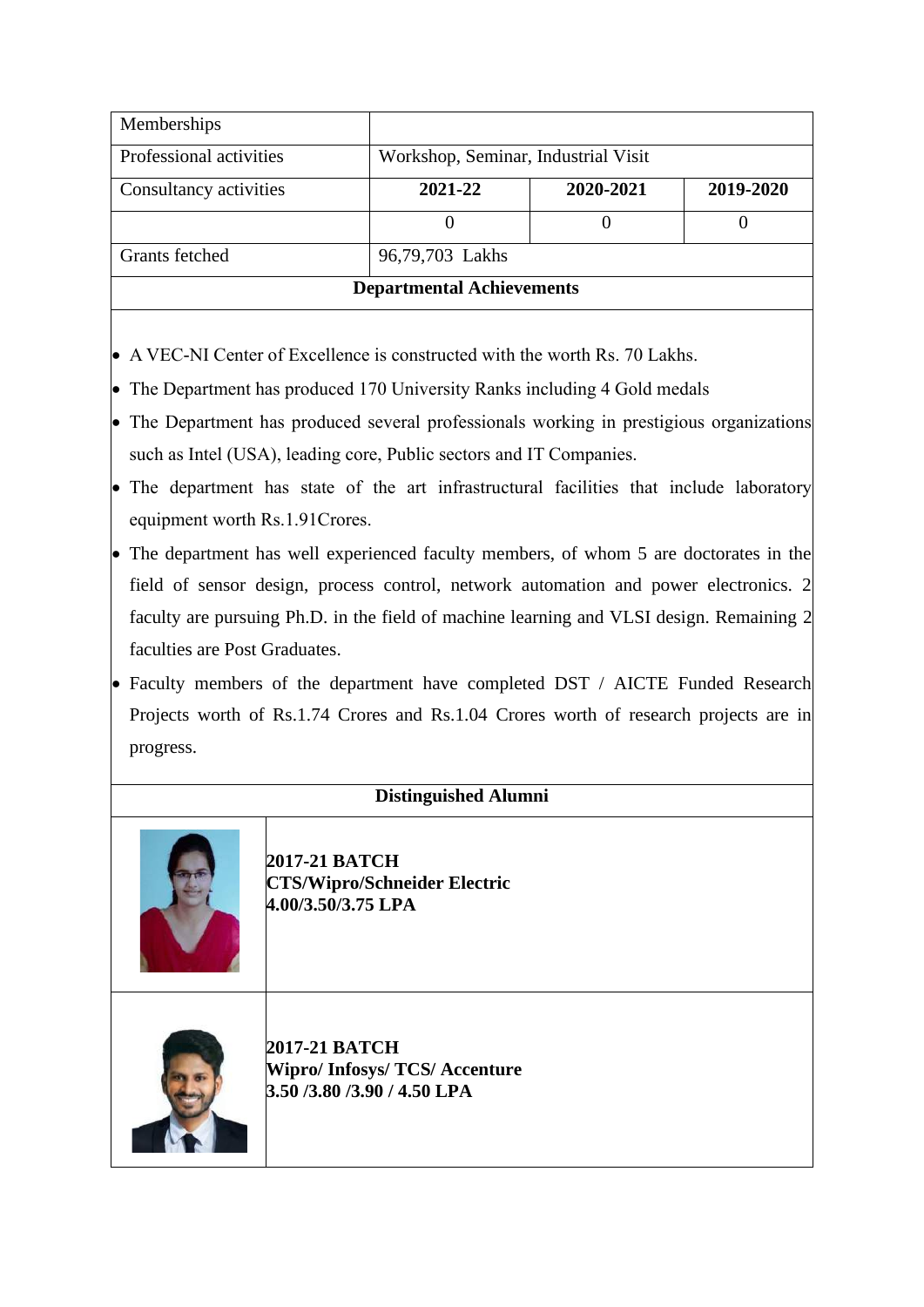| Memberships                      |                                     |           |           |
|----------------------------------|-------------------------------------|-----------|-----------|
| Professional activities          | Workshop, Seminar, Industrial Visit |           |           |
| Consultancy activities           | 2021-22                             | 2020-2021 | 2019-2020 |
|                                  |                                     |           |           |
| Grants fetched                   | 96,79,703 Lakhs                     |           |           |
| <b>Departmental Achievements</b> |                                     |           |           |

- A VEC-NI Center of Excellence is constructed with the worth Rs. 70 Lakhs.
- The Department has produced 170 University Ranks including 4 Gold medals
- The Department has produced several professionals working in prestigious organizations such as Intel (USA), leading core, Public sectors and IT Companies.
- The department has state of the art infrastructural facilities that include laboratory equipment worth Rs.1.91Crores.
- The department has well experienced faculty members, of whom 5 are doctorates in the field of sensor design, process control, network automation and power electronics. 2 faculty are pursuing Ph.D. in the field of machine learning and VLSI design. Remaining 2 faculties are Post Graduates.
- Faculty members of the department have completed DST / AICTE Funded Research Projects worth of Rs.1.74 Crores and Rs.1.04 Crores worth of research projects are in progress.



**2017-21 BATCH CTS/Wipro/Schneider Electric 4.00/3.50/3.75 LPA**



**2017-21 BATCH Wipro/ Infosys/ TCS/ Accenture 3.50 /3.80 /3.90 / 4.50 LPA**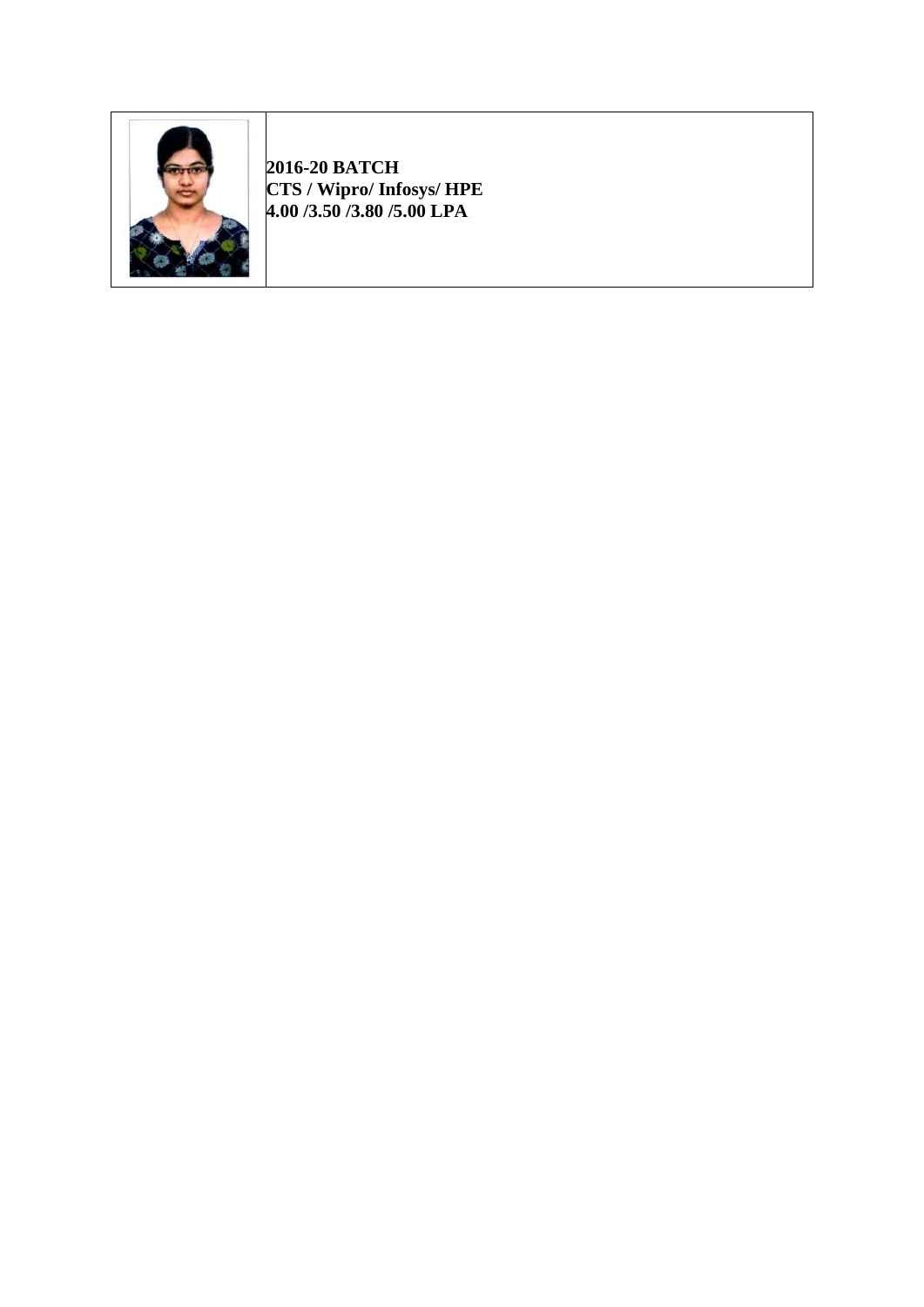

**2016-20 BATCH CTS / Wipro/ Infosys/ HPE 4.00 /3.50 /3.80 /5.00 LPA**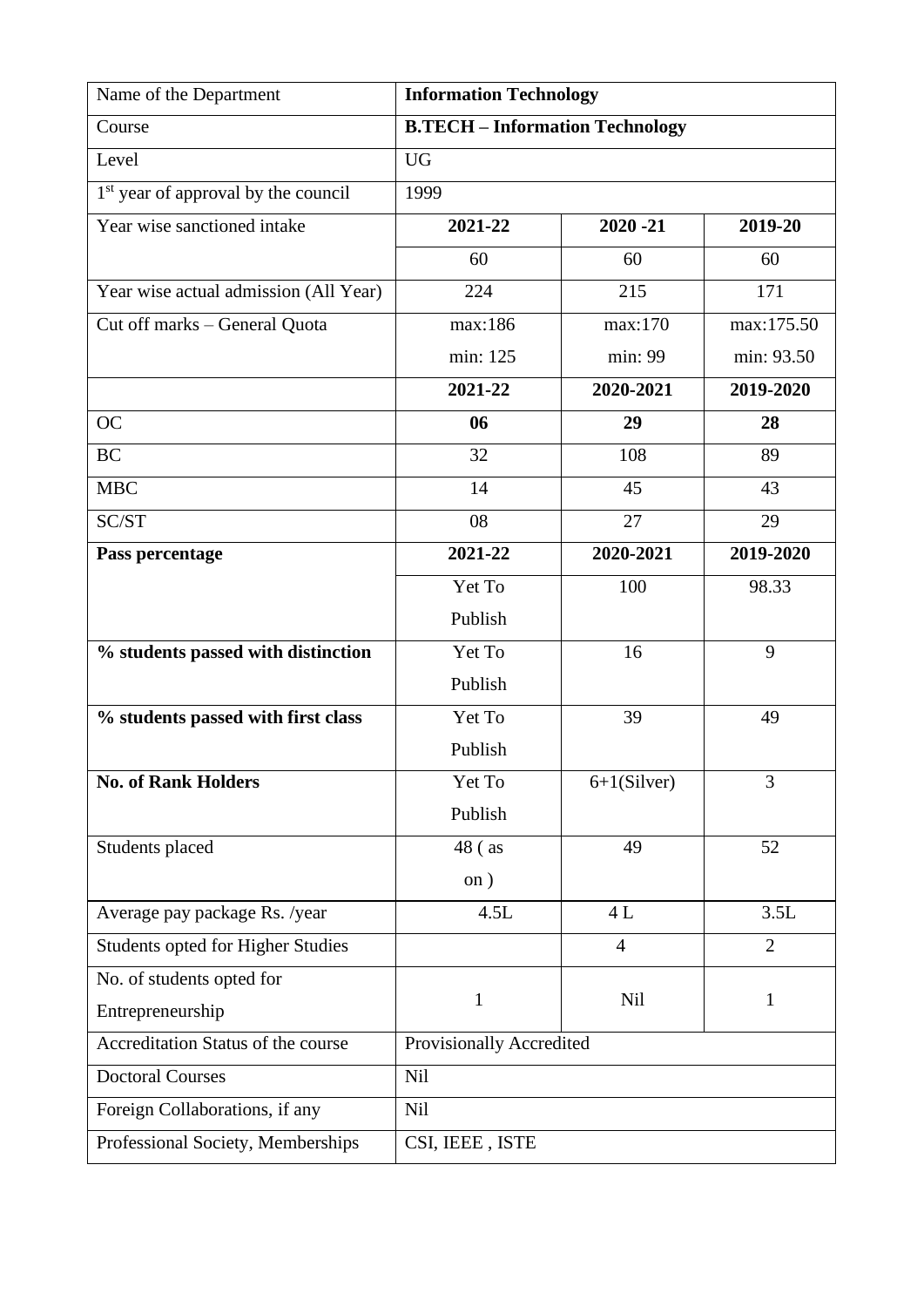| Name of the Department                          | <b>Information Technology</b>          |                |                |
|-------------------------------------------------|----------------------------------------|----------------|----------------|
| Course                                          | <b>B.TECH - Information Technology</b> |                |                |
| Level                                           | <b>UG</b>                              |                |                |
| 1 <sup>st</sup> year of approval by the council | 1999                                   |                |                |
| Year wise sanctioned intake                     | 2021-22                                | $2020 - 21$    | 2019-20        |
|                                                 | 60                                     | 60             | 60             |
| Year wise actual admission (All Year)           | 224                                    | 215            | 171            |
| Cut off marks - General Quota                   | max:186                                | max:170        | max:175.50     |
|                                                 | min: 125                               | min: 99        | min: 93.50     |
|                                                 | 2021-22                                | 2020-2021      | 2019-2020      |
| <b>OC</b>                                       | 06                                     | 29             | 28             |
| <b>BC</b>                                       | 32                                     | 108            | 89             |
| <b>MBC</b>                                      | 14                                     | 45             | 43             |
| SC/ST                                           | 08                                     | 27             | 29             |
| Pass percentage                                 | 2021-22                                | 2020-2021      | 2019-2020      |
|                                                 | Yet To                                 | 100            | 98.33          |
|                                                 | Publish                                |                |                |
| % students passed with distinction              | Yet To                                 | 16             | 9              |
|                                                 | Publish                                |                |                |
| % students passed with first class              | Yet To                                 | 39             | 49             |
|                                                 | Publish                                |                |                |
| <b>No. of Rank Holders</b>                      | Yet To                                 | $6+1(Silver)$  | 3              |
|                                                 | Publish                                |                |                |
| Students placed                                 | 48 (as                                 | 49             | 52             |
|                                                 | on)                                    |                |                |
| Average pay package Rs. /year                   | 4.5L                                   | 4L             | 3.5L           |
| Students opted for Higher Studies               |                                        | $\overline{4}$ | $\overline{2}$ |
| No. of students opted for                       |                                        |                |                |
| Entrepreneurship                                | $\mathbf{1}$                           | Nil            | $\mathbf{1}$   |
| Accreditation Status of the course              | Provisionally Accredited               |                |                |
| <b>Doctoral Courses</b>                         | <b>Nil</b>                             |                |                |
| Foreign Collaborations, if any                  | Nil                                    |                |                |
| Professional Society, Memberships               | CSI, IEEE, ISTE                        |                |                |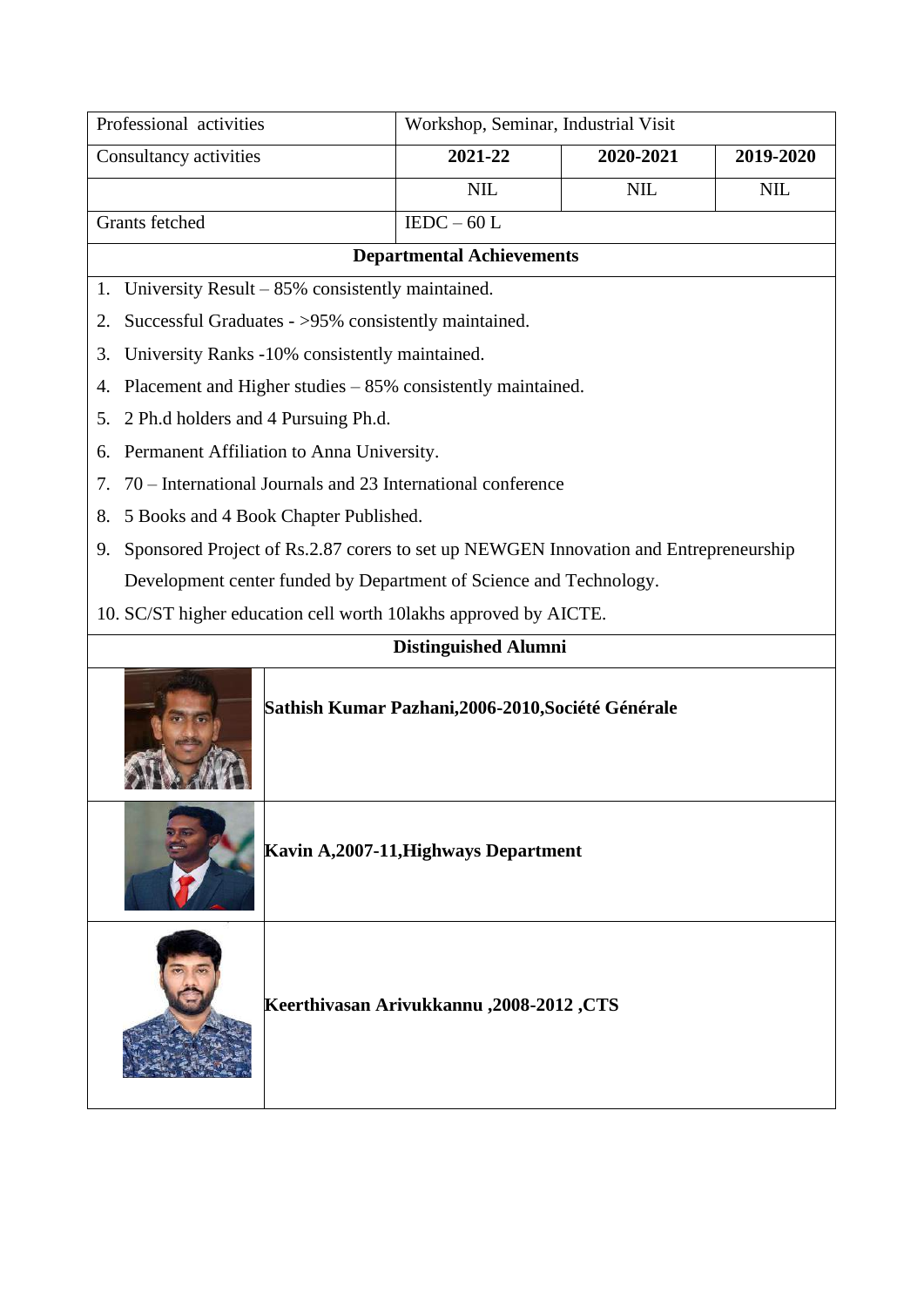| Professional activities                                                                    | Workshop, Seminar, Industrial Visit |            |            |  |
|--------------------------------------------------------------------------------------------|-------------------------------------|------------|------------|--|
| Consultancy activities                                                                     | 2021-22                             | 2020-2021  | 2019-2020  |  |
|                                                                                            | <b>NIL</b>                          | <b>NIL</b> | <b>NIL</b> |  |
| Grants fetched                                                                             | $IEDC - 60L$                        |            |            |  |
| <b>Departmental Achievements</b>                                                           |                                     |            |            |  |
| 1. University Result – 85% consistently maintained.                                        |                                     |            |            |  |
| Successful Graduates - >95% consistently maintained.<br>2.                                 |                                     |            |            |  |
| University Ranks -10% consistently maintained.<br>3.                                       |                                     |            |            |  |
| Placement and Higher studies $-85%$ consistently maintained.<br>4.                         |                                     |            |            |  |
| 2 Ph.d holders and 4 Pursuing Ph.d.<br>5.                                                  |                                     |            |            |  |
| Permanent Affiliation to Anna University.<br>6.                                            |                                     |            |            |  |
| 70 – International Journals and 23 International conference<br>7.                          |                                     |            |            |  |
| 5 Books and 4 Book Chapter Published.<br>8.                                                |                                     |            |            |  |
| Sponsored Project of Rs.2.87 corers to set up NEWGEN Innovation and Entrepreneurship<br>9. |                                     |            |            |  |
| Development center funded by Department of Science and Technology.                         |                                     |            |            |  |
| 10. SC/ST higher education cell worth 10lakhs approved by AICTE.                           |                                     |            |            |  |
|                                                                                            | <b>Distinguished Alumni</b>         |            |            |  |
| Sathish Kumar Pazhani, 2006-2010, Société Générale                                         |                                     |            |            |  |
| Kavin A, 2007-11, Highways Department                                                      |                                     |            |            |  |
| Keerthivasan Arivukkannu , 2008-2012, CTS                                                  |                                     |            |            |  |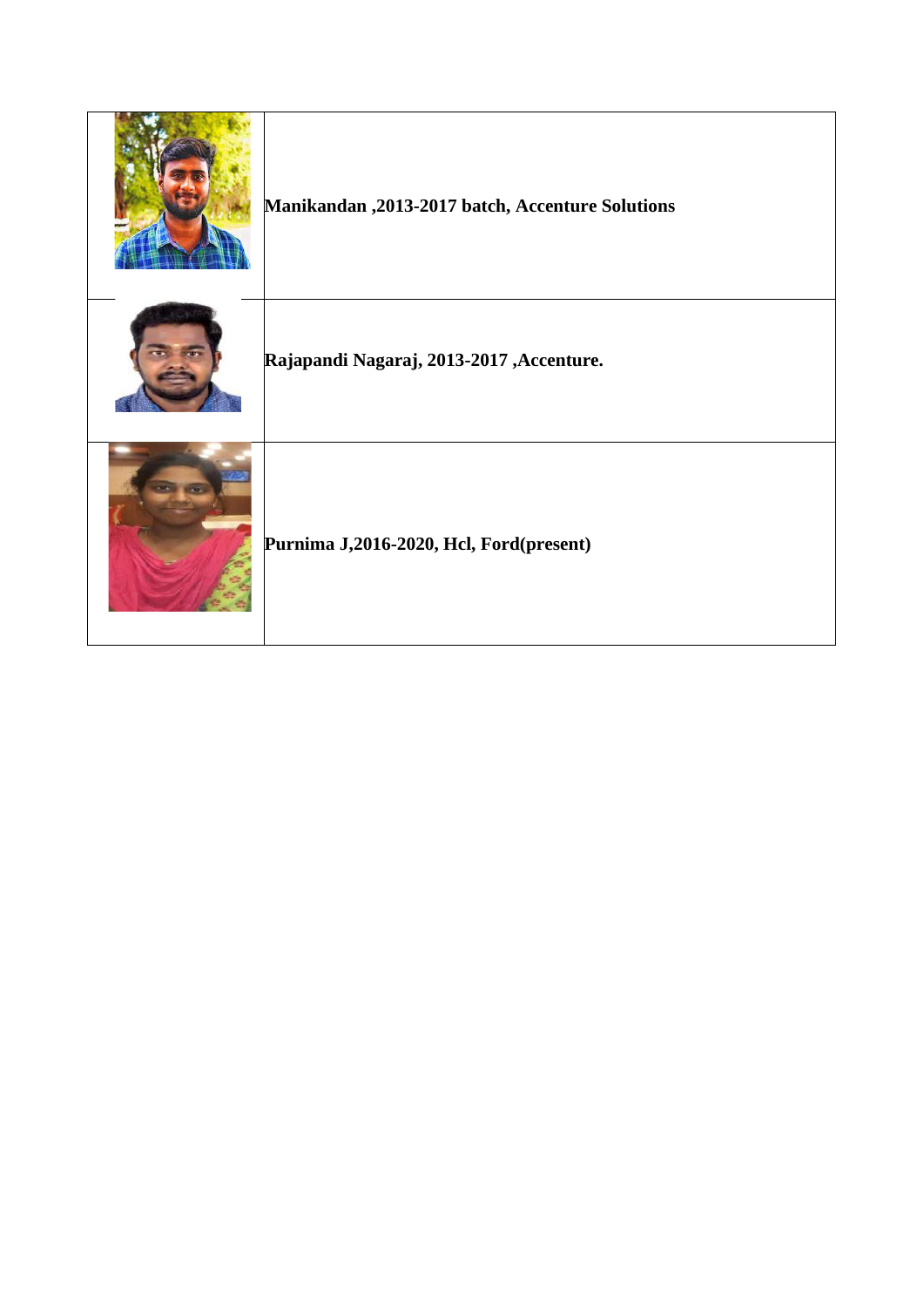| Manikandan , 2013-2017 batch, Accenture Solutions |
|---------------------------------------------------|
| Rajapandi Nagaraj, 2013-2017, Accenture.          |
| Purnima J,2016-2020, Hcl, Ford(present)           |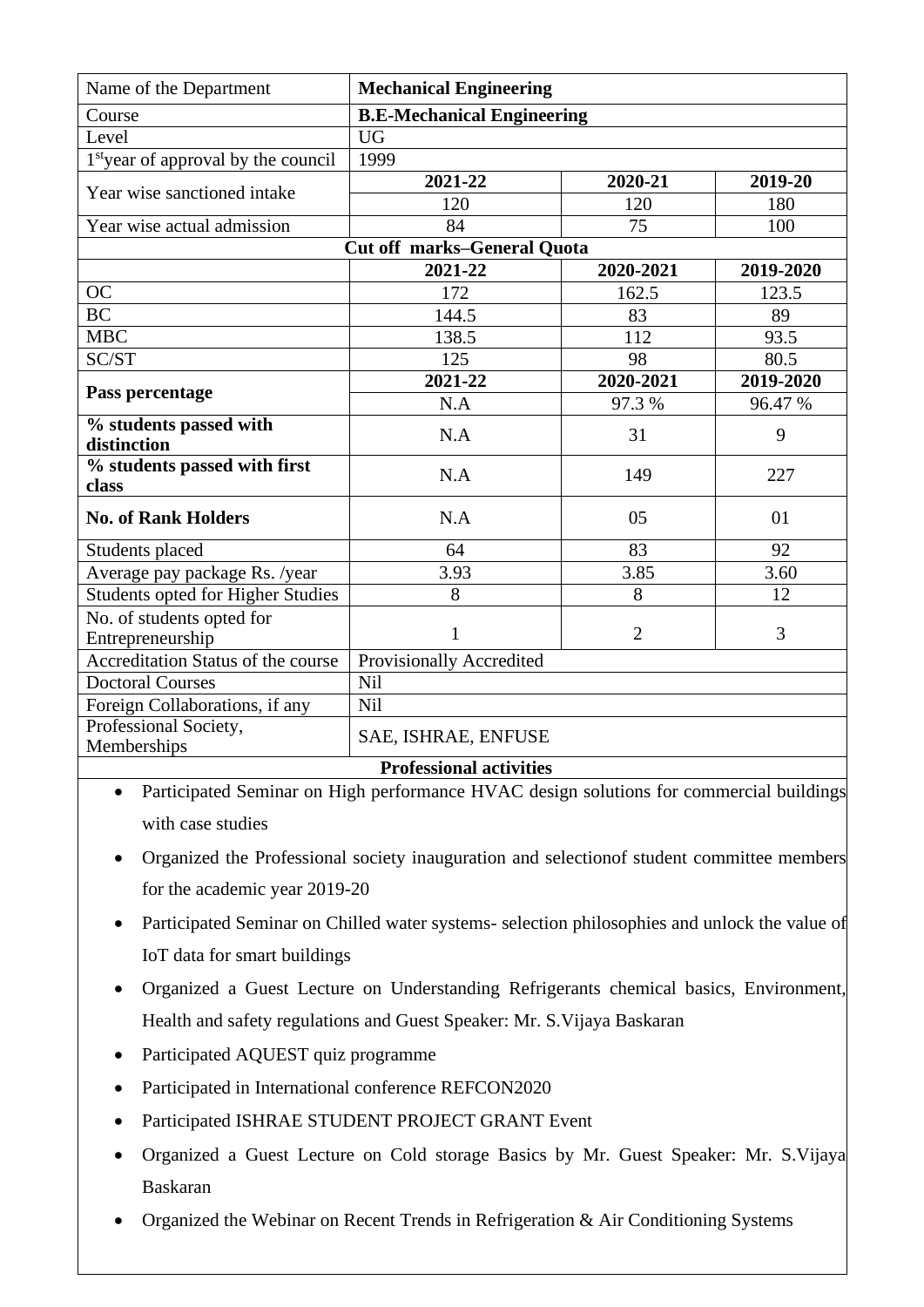| Name of the Department                          | <b>Mechanical Engineering</b>      |                |           |  |
|-------------------------------------------------|------------------------------------|----------------|-----------|--|
| Course                                          | <b>B.E-Mechanical Engineering</b>  |                |           |  |
| Level                                           | <b>UG</b>                          |                |           |  |
| 1 <sup>st</sup> year of approval by the council | 1999                               |                |           |  |
| Year wise sanctioned intake                     | 2021-22                            | 2020-21        | 2019-20   |  |
|                                                 | 120                                | 120            | 180       |  |
| Year wise actual admission                      | 84                                 | 75             | 100       |  |
|                                                 | <b>Cut off marks-General Quota</b> |                |           |  |
|                                                 | 2021-22<br>2020-2021<br>2019-2020  |                |           |  |
| OC                                              | 172                                | 162.5          | 123.5     |  |
| <b>BC</b>                                       | 144.5                              | 83             | 89        |  |
| <b>MBC</b>                                      | 138.5                              | 112            | 93.5      |  |
| SC/ST                                           | 125                                | 98             | 80.5      |  |
| Pass percentage                                 | 2021-22                            | 2020-2021      | 2019-2020 |  |
|                                                 | N.A                                | 97.3 %         | 96.47 %   |  |
| % students passed with<br>distinction           | N.A                                | 31             | 9         |  |
| % students passed with first<br>class           | N.A                                | 149            | 227       |  |
| <b>No. of Rank Holders</b>                      | N.A                                | 05             | 01        |  |
| Students placed                                 | 64                                 | 83             | 92        |  |
| Average pay package Rs. /year                   | 3.93                               | 3.85           | 3.60      |  |
| Students opted for Higher Studies               | 8                                  | 8              | 12        |  |
| No. of students opted for<br>Entrepreneurship   | $\mathbf{1}$                       | $\overline{2}$ | 3         |  |
| Accreditation Status of the course              | Provisionally Accredited           |                |           |  |
| <b>Doctoral Courses</b>                         | Nil                                |                |           |  |
| Foreign Collaborations, if any                  | Nil                                |                |           |  |
| Professional Society,<br>Memberships            | SAE, ISHRAE, ENFUSE                |                |           |  |
| <b>Professional activities</b>                  |                                    |                |           |  |

• Participated Seminar on High performance HVAC design solutions for commercial buildings with case studies

- Organized the Professional society inauguration and selection of student committee members for the academic year 2019-20
- Participated Seminar on Chilled water systems- selection philosophies and unlock the value of IoT data for smart buildings
- Organized a Guest Lecture on Understanding Refrigerants chemical basics, Environment, Health and safety regulations and Guest Speaker: Mr. S.Vijaya Baskaran
- Participated AQUEST quiz programme
- Participated in International conference REFCON2020
- Participated ISHRAE STUDENT PROJECT GRANT Event
- Organized a Guest Lecture on Cold storage Basics by Mr. Guest Speaker: Mr. S.Vijaya Baskaran
- Organized the Webinar on Recent Trends in Refrigeration & Air Conditioning Systems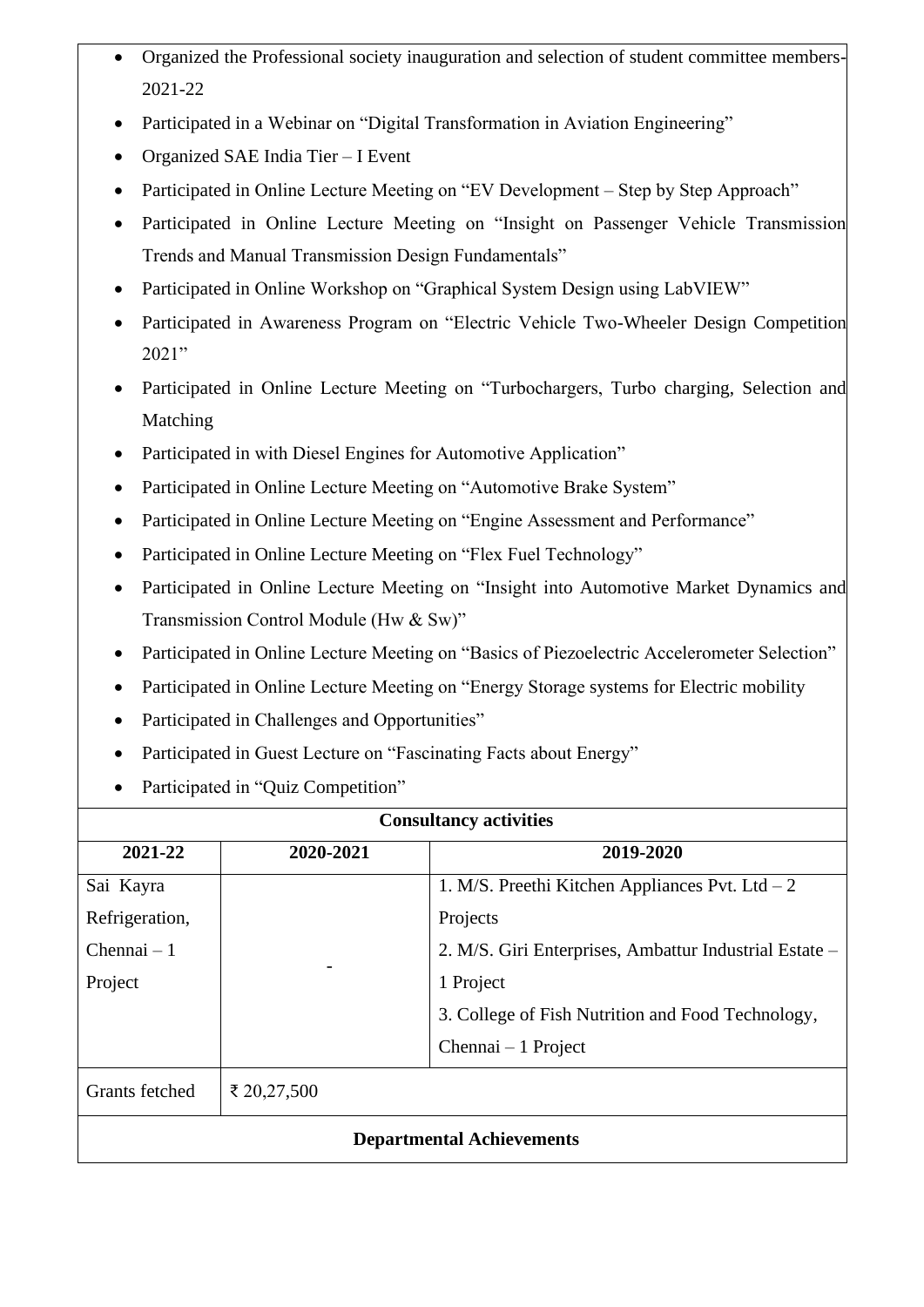- Organized the Professional society inauguration and selection of student committee members-2021-22
- Participated in a Webinar on "Digital Transformation in Aviation Engineering"
- Organized SAE India Tier I Event
- Participated in Online Lecture Meeting on "EV Development Step by Step Approach"
- Participated in Online Lecture Meeting on "Insight on Passenger Vehicle Transmission Trends and Manual Transmission Design Fundamentals"
- Participated in Online Workshop on "Graphical System Design using LabVIEW"
- Participated in Awareness Program on "Electric Vehicle Two-Wheeler Design Competition 2021"
- Participated in Online Lecture Meeting on "Turbochargers, Turbo charging, Selection and Matching
- Participated in with Diesel Engines for Automotive Application"
- Participated in Online Lecture Meeting on "Automotive Brake System"
- Participated in Online Lecture Meeting on "Engine Assessment and Performance"
- Participated in Online Lecture Meeting on "Flex Fuel Technology"
- Participated in Online Lecture Meeting on "Insight into Automotive Market Dynamics and Transmission Control Module (Hw & Sw)"
- Participated in Online Lecture Meeting on "Basics of Piezoelectric Accelerometer Selection"
- Participated in Online Lecture Meeting on "Energy Storage systems for Electric mobility
- Participated in Challenges and Opportunities"
- Participated in Guest Lecture on "Fascinating Facts about Energy"
- Participated in "Quiz Competition"

| <b>Consultancy activities</b>    |             |                                                        |  |
|----------------------------------|-------------|--------------------------------------------------------|--|
| 2021-22                          | 2020-2021   | 2019-2020                                              |  |
| Sai Kayra                        |             | 1. M/S. Preethi Kitchen Appliances Pvt. Ltd $-2$       |  |
| Refrigeration,                   |             | Projects                                               |  |
| $Chennai - 1$                    |             | 2. M/S. Giri Enterprises, Ambattur Industrial Estate – |  |
| Project                          |             | 1 Project                                              |  |
|                                  |             | 3. College of Fish Nutrition and Food Technology,      |  |
|                                  |             | Chennai $-1$ Project                                   |  |
| Grants fetched                   | ₹ 20,27,500 |                                                        |  |
| <b>Departmental Achievements</b> |             |                                                        |  |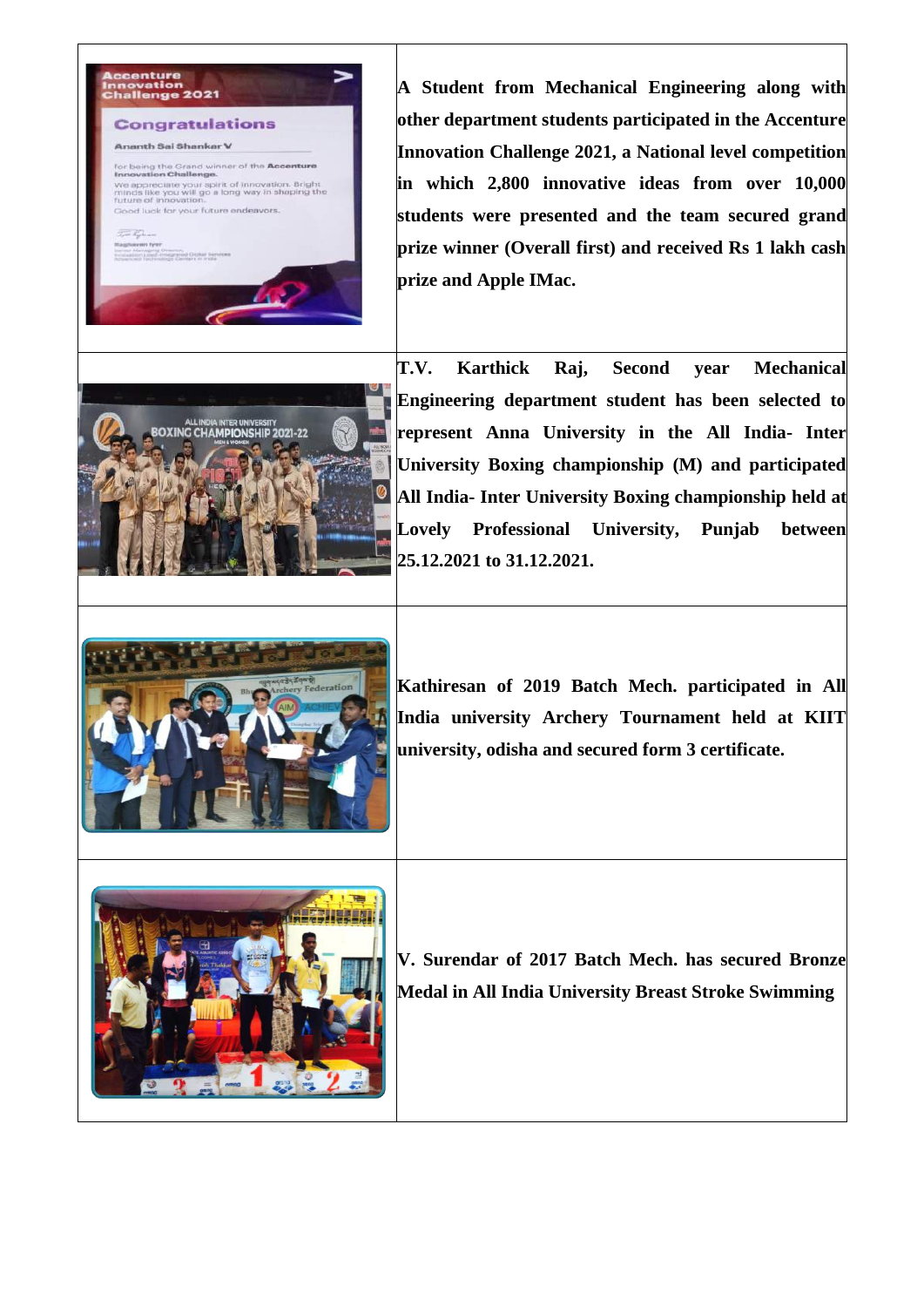

**A Student from Mechanical Engineering along with other department students participated in the Accenture Innovation Challenge 2021, a National level competition in which 2,800 innovative ideas from over 10,000 students were presented and the team secured grand prize winner (Overall first) and received Rs 1 lakh cash prize and Apple IMac.**



**T.V. Karthick Raj, Second year Mechanical Engineering department student has been selected to represent Anna University in the All India- Inter University Boxing championship (M) and participated All India- Inter University Boxing championship held at Lovely Professional University, Punjab between 25.12.2021 to 31.12.2021.**



**Kathiresan of 2019 Batch Mech. participated in All India university Archery Tournament held at KIIT university, odisha and secured form 3 certificate.**



**V. Surendar of 2017 Batch Mech. has secured Bronze Medal in All India University Breast Stroke Swimming**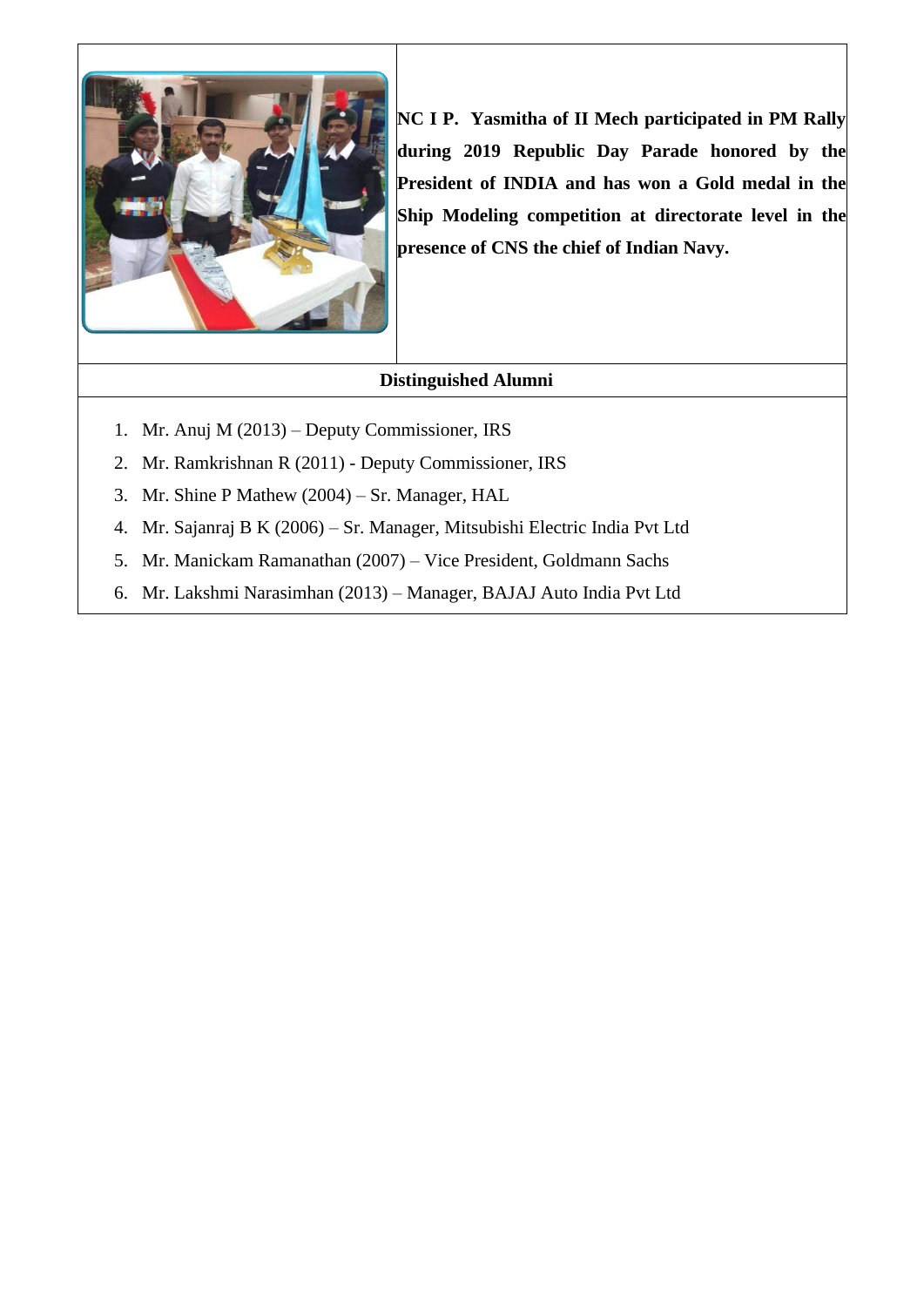

**NC I P. Yasmitha of II Mech participated in PM Rally during 2019 Republic Day Parade honored by the President of INDIA and has won a Gold medal in the Ship Modeling competition at directorate level in the presence of CNS the chief of Indian Navy.**

- 1. Mr. Anuj M (2013) Deputy Commissioner, IRS
- 2. Mr. Ramkrishnan R (2011) Deputy Commissioner, IRS
- 3. Mr. Shine P Mathew (2004) Sr. Manager, HAL
- 4. Mr. Sajanraj B K (2006) Sr. Manager, Mitsubishi Electric India Pvt Ltd
- 5. Mr. Manickam Ramanathan (2007) Vice President, Goldmann Sachs
- 6. Mr. Lakshmi Narasimhan (2013) Manager, BAJAJ Auto India Pvt Ltd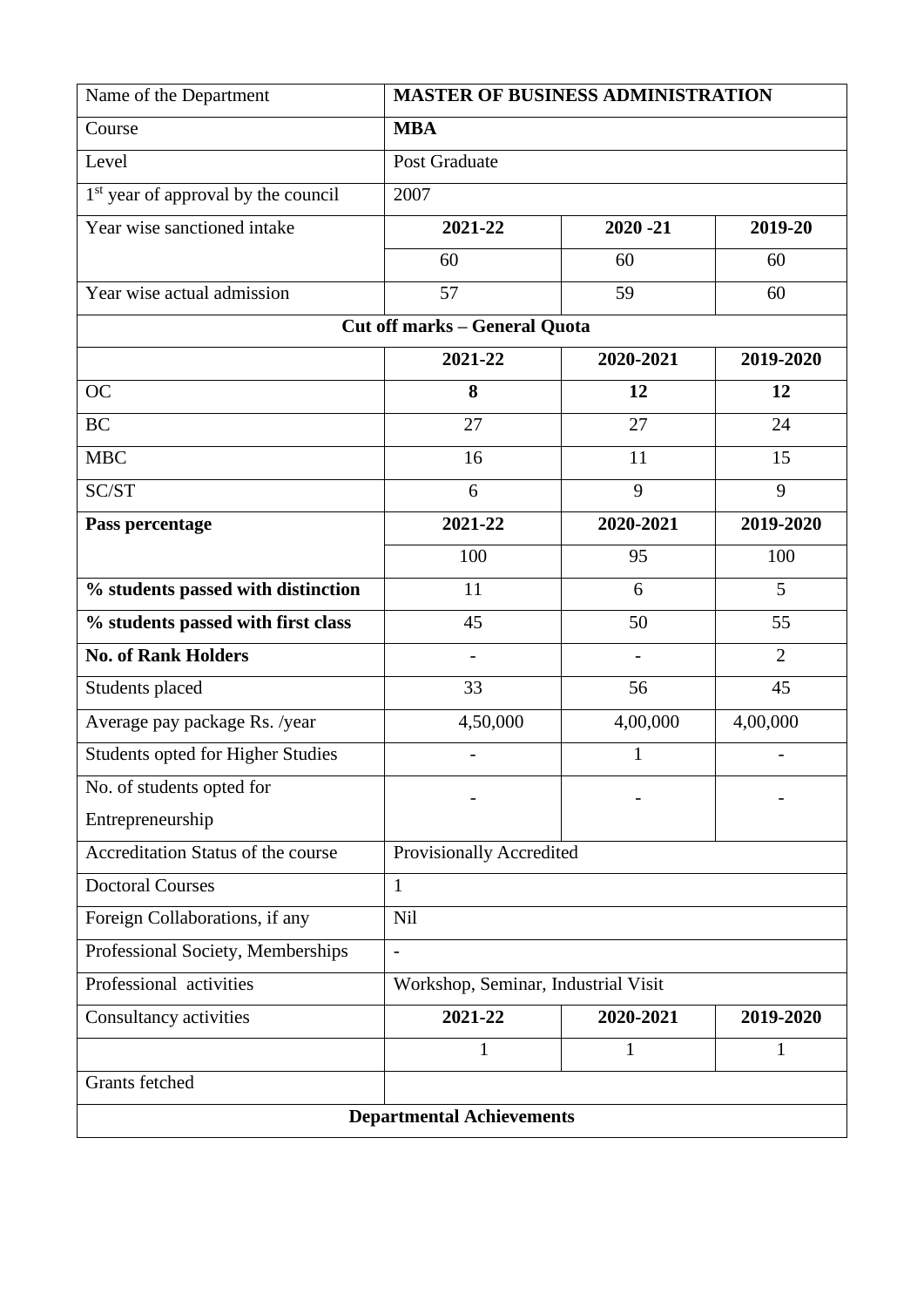| Name of the Department                          | <b>MASTER OF BUSINESS ADMINISTRATION</b> |                        |                |  |  |
|-------------------------------------------------|------------------------------------------|------------------------|----------------|--|--|
| Course                                          | <b>MBA</b>                               |                        |                |  |  |
| Level                                           | Post Graduate                            |                        |                |  |  |
| 1 <sup>st</sup> year of approval by the council | 2007                                     |                        |                |  |  |
| Year wise sanctioned intake                     | 2021-22                                  | $2020 - 21$            | 2019-20        |  |  |
|                                                 | 60                                       | 60                     | 60             |  |  |
| Year wise actual admission                      | 57                                       | 59                     | 60             |  |  |
|                                                 | <b>Cut off marks - General Quota</b>     |                        |                |  |  |
|                                                 | 2021-22                                  | 2020-2021<br>2019-2020 |                |  |  |
| <b>OC</b>                                       | 8                                        | 12                     | 12             |  |  |
| <b>BC</b>                                       | 27                                       | 27                     | 24             |  |  |
| <b>MBC</b>                                      | 16                                       | 11                     | 15             |  |  |
| SC/ST                                           | 6                                        | 9                      | 9              |  |  |
| Pass percentage                                 | 2021-22                                  | 2020-2021              | 2019-2020      |  |  |
|                                                 | 100                                      | 95                     | 100            |  |  |
| % students passed with distinction              | 11                                       | 6                      | 5              |  |  |
| % students passed with first class              | 45                                       | 50                     | 55             |  |  |
| <b>No. of Rank Holders</b>                      | $\overline{a}$                           | $\overline{a}$         | $\overline{2}$ |  |  |
| Students placed                                 | 33                                       | 56                     | 45             |  |  |
| Average pay package Rs. /year                   | 4,50,000                                 | 4,00,000               | 4,00,000       |  |  |
| Students opted for Higher Studies               | $\overline{\phantom{a}}$                 | 1                      |                |  |  |
| No. of students opted for                       |                                          |                        |                |  |  |
| Entrepreneurship                                |                                          |                        |                |  |  |
| Accreditation Status of the course              | Provisionally Accredited                 |                        |                |  |  |
| <b>Doctoral Courses</b>                         | 1                                        |                        |                |  |  |
| Foreign Collaborations, if any                  | Nil                                      |                        |                |  |  |
| Professional Society, Memberships               | $\overline{a}$                           |                        |                |  |  |
| Professional activities                         | Workshop, Seminar, Industrial Visit      |                        |                |  |  |
| Consultancy activities                          | 2021-22                                  | 2020-2021              | 2019-2020      |  |  |
|                                                 | 1                                        | 1                      | 1              |  |  |
| Grants fetched                                  |                                          |                        |                |  |  |
| <b>Departmental Achievements</b>                |                                          |                        |                |  |  |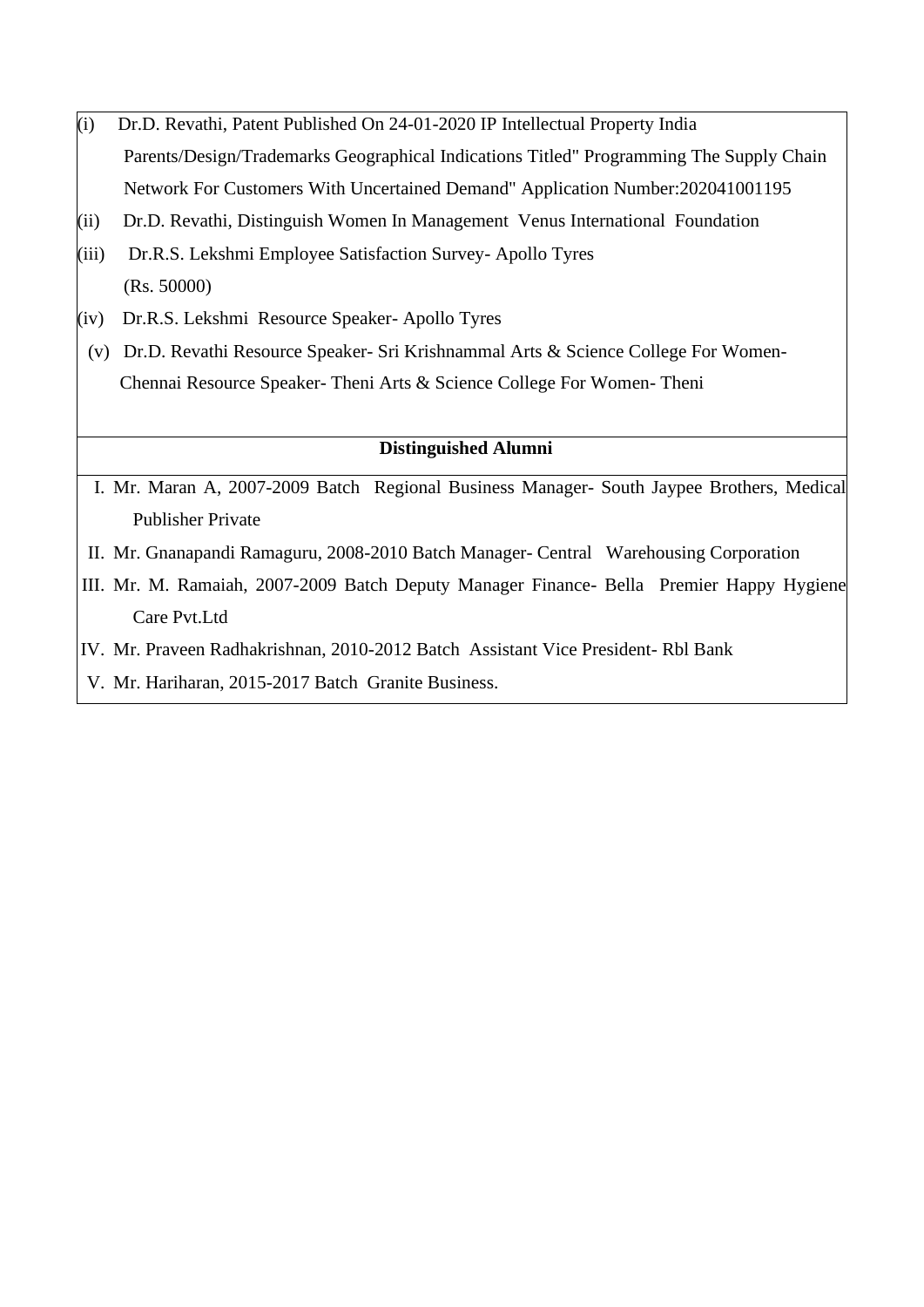- (i) Dr.D. Revathi, Patent Published On 24-01-2020 IP Intellectual Property India Parents/Design/Trademarks Geographical Indications Titled" Programming The Supply Chain Network For Customers With Uncertained Demand" Application Number:202041001195
- (ii) Dr.D. Revathi, Distinguish Women In Management Venus International Foundation
- (iii) Dr.R.S. Lekshmi Employee Satisfaction Survey- Apollo Tyres (Rs. 50000)
- (iv) Dr.R.S. Lekshmi Resource Speaker- Apollo Tyres
- (v) Dr.D. Revathi Resource Speaker- Sri Krishnammal Arts & Science College For Women-Chennai Resource Speaker- Theni Arts & Science College For Women- Theni

- I. Mr. Maran A, 2007-2009 Batch Regional Business Manager- South Jaypee Brothers, Medical Publisher Private
- II. Mr. Gnanapandi Ramaguru, 2008-2010 Batch Manager- Central Warehousing Corporation
- III. Mr. M. Ramaiah, 2007-2009 Batch Deputy Manager Finance- Bella Premier Happy Hygiene Care Pvt.Ltd
- IV. Mr. Praveen Radhakrishnan, 2010-2012 Batch Assistant Vice President- Rbl Bank
- V. Mr. Hariharan, 2015-2017 Batch Granite Business.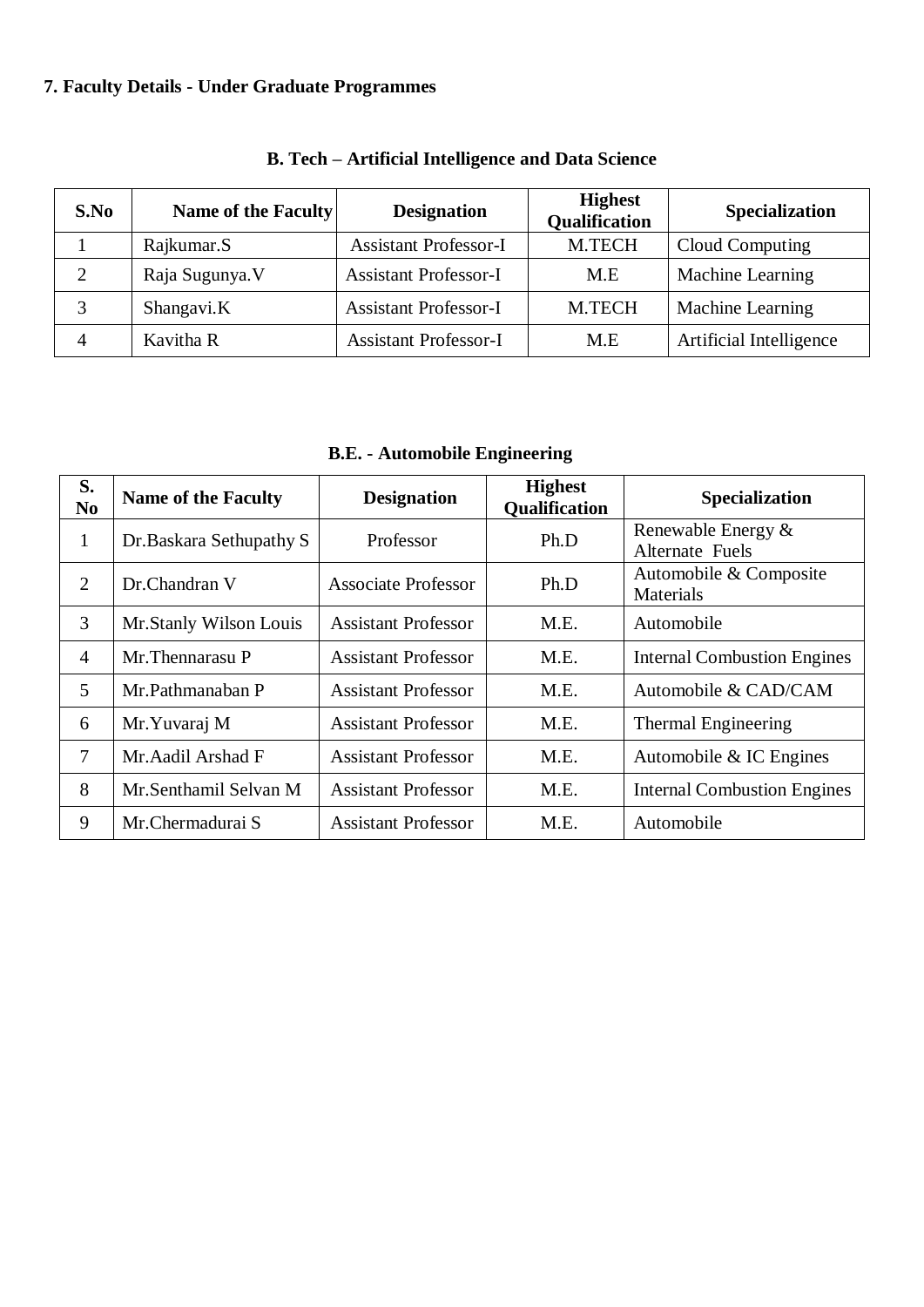# **7. Faculty Details - Under Graduate Programmes**

| S.No | Name of the Faculty | <b>Designation</b>           | <b>Highest</b><br><b>Qualification</b> | <b>Specialization</b>   |
|------|---------------------|------------------------------|----------------------------------------|-------------------------|
|      | Rajkumar.S          | <b>Assistant Professor-I</b> | M.TECH                                 | Cloud Computing         |
| 2    | Raja Sugunya. V     | <b>Assistant Professor-I</b> | M.E                                    | Machine Learning        |
| 3    | Shangavi.K          | <b>Assistant Professor-I</b> | M.TECH                                 | Machine Learning        |
| 4    | Kavitha R           | <b>Assistant Professor-I</b> | M.E                                    | Artificial Intelligence |

## **B. Tech – Artificial Intelligence and Data Science**

**B.E. - Automobile Engineering** 

| S.<br>N <sub>0</sub> | <b>Name of the Faculty</b> | <b>Designation</b>         | <b>Highest</b><br>Qualification | <b>Specialization</b>                        |
|----------------------|----------------------------|----------------------------|---------------------------------|----------------------------------------------|
| 1                    | Dr.Baskara Sethupathy S    | Professor                  | Ph.D                            | Renewable Energy &<br><b>Alternate Fuels</b> |
| $\overline{2}$       | Dr.Chandran V              | Associate Professor        | Ph.D                            | Automobile & Composite<br>Materials          |
| 3                    | Mr.Stanly Wilson Louis     | <b>Assistant Professor</b> | M.E.                            | Automobile                                   |
| $\overline{A}$       | Mr. Thennarasu P           | <b>Assistant Professor</b> | M.E.                            | <b>Internal Combustion Engines</b>           |
| 5                    | Mr.Pathmanaban P           | <b>Assistant Professor</b> | M.E.                            | Automobile & CAD/CAM                         |
| 6                    | Mr. Yuvaraj M              | <b>Assistant Professor</b> | M.E.                            | Thermal Engineering                          |
| 7                    | Mr. Aadil Arshad F         | <b>Assistant Professor</b> | M.E.                            | Automobile & IC Engines                      |
| 8                    | Mr.Senthamil Selvan M      | <b>Assistant Professor</b> | M.E.                            | <b>Internal Combustion Engines</b>           |
| 9                    | Mr.Chermadurai S           | <b>Assistant Professor</b> | M.E.                            | Automobile                                   |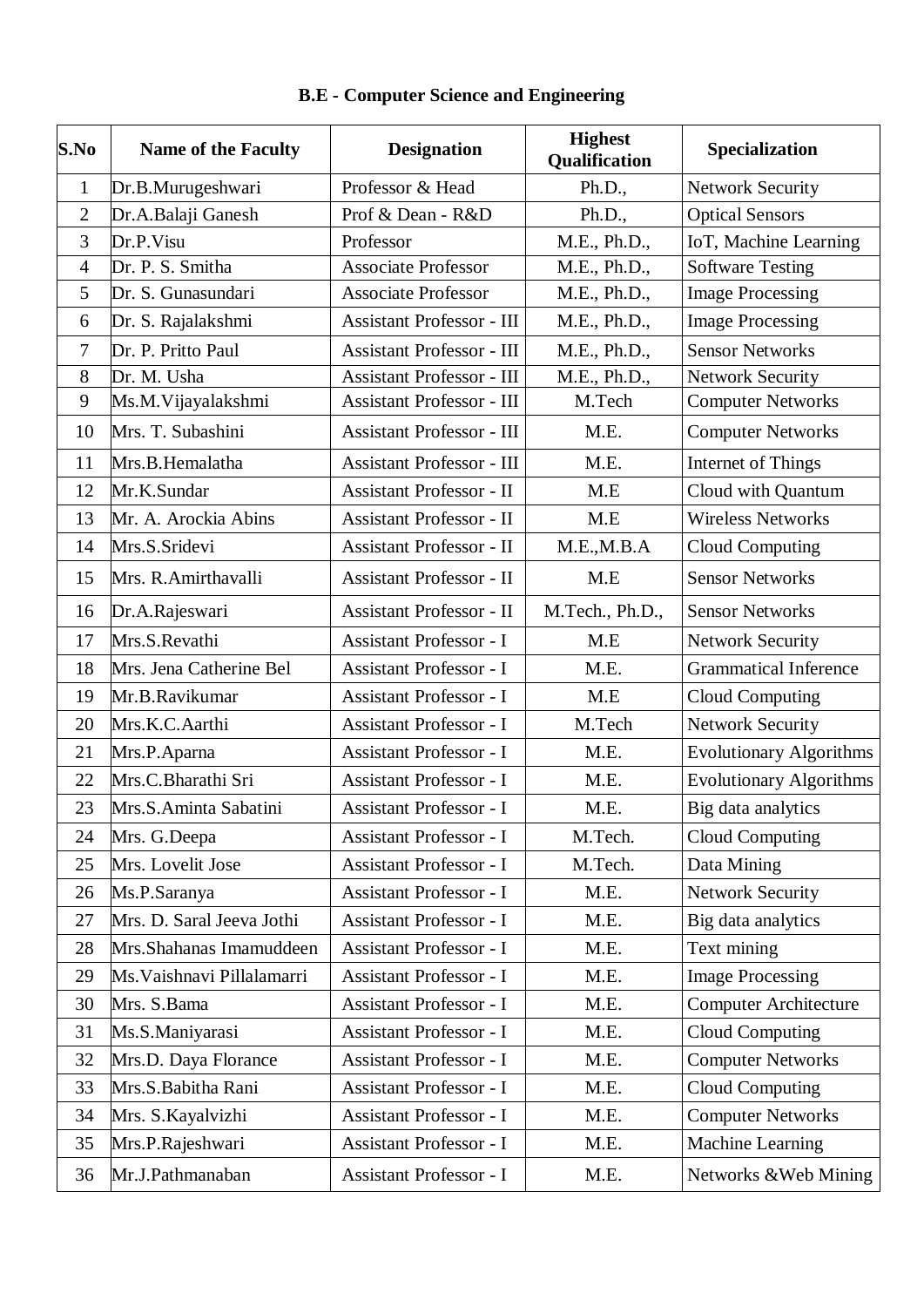| S.No           | <b>Name of the Faculty</b> | <b>Designation</b>               | <b>Highest</b><br>Qualification | Specialization                 |
|----------------|----------------------------|----------------------------------|---------------------------------|--------------------------------|
| $\mathbf{1}$   | Dr.B.Murugeshwari          | Professor & Head                 | Ph.D.,                          | <b>Network Security</b>        |
| $\overline{2}$ | Dr.A.Balaji Ganesh         | Prof & Dean - R&D                | Ph.D.,                          | <b>Optical Sensors</b>         |
| 3              | Dr.P.Visu                  | Professor                        | M.E., Ph.D.,                    | IoT, Machine Learning          |
| $\overline{4}$ | Dr. P. S. Smitha           | <b>Associate Professor</b>       | M.E., Ph.D.,                    | <b>Software Testing</b>        |
| 5              | Dr. S. Gunasundari         | <b>Associate Professor</b>       | M.E., Ph.D.,                    | <b>Image Processing</b>        |
| 6              | Dr. S. Rajalakshmi         | <b>Assistant Professor - III</b> | M.E., Ph.D.,                    | <b>Image Processing</b>        |
| $\overline{7}$ | Dr. P. Pritto Paul         | <b>Assistant Professor - III</b> | M.E., Ph.D.,                    | <b>Sensor Networks</b>         |
| 8              | Dr. M. Usha                | <b>Assistant Professor - III</b> | M.E., Ph.D.,                    | <b>Network Security</b>        |
| 9              | Ms.M. Vijayalakshmi        | <b>Assistant Professor - III</b> | M.Tech                          | <b>Computer Networks</b>       |
| 10             | Mrs. T. Subashini          | <b>Assistant Professor - III</b> | M.E.                            | <b>Computer Networks</b>       |
| 11             | Mrs.B.Hemalatha            | <b>Assistant Professor - III</b> | M.E.                            | Internet of Things             |
| 12             | Mr.K.Sundar                | Assistant Professor - II         | M.E                             | Cloud with Quantum             |
| 13             | Mr. A. Arockia Abins       | <b>Assistant Professor - II</b>  | M.E                             | <b>Wireless Networks</b>       |
| 14             | Mrs.S.Sridevi              | <b>Assistant Professor - II</b>  | M.E., M.B.A                     | <b>Cloud Computing</b>         |
| 15             | Mrs. R.Amirthavalli        | Assistant Professor - II         | M.E                             | <b>Sensor Networks</b>         |
| 16             | Dr.A.Rajeswari             | Assistant Professor - II         | M.Tech., Ph.D.,                 | <b>Sensor Networks</b>         |
| 17             | Mrs.S.Revathi              | <b>Assistant Professor - I</b>   | M.E                             | <b>Network Security</b>        |
| 18             | Mrs. Jena Catherine Bel    | <b>Assistant Professor - I</b>   | M.E.                            | <b>Grammatical Inference</b>   |
| 19             | Mr.B.Ravikumar             | <b>Assistant Professor - I</b>   | M.E                             | <b>Cloud Computing</b>         |
| 20             | Mrs.K.C.Aarthi             | <b>Assistant Professor - I</b>   | M.Tech                          | <b>Network Security</b>        |
| 21             | Mrs.P.Aparna               | <b>Assistant Professor - I</b>   | M.E.                            | <b>Evolutionary Algorithms</b> |
| 22             | Mrs.C.Bharathi Sri         | <b>Assistant Professor - I</b>   | M.E.                            | <b>Evolutionary Algorithms</b> |
| 23             | Mrs.S.Aminta Sabatini      | <b>Assistant Professor - I</b>   | M.E.                            | Big data analytics             |
| 24             | Mrs. G.Deepa               | Assistant Professor - I          | M.Tech.                         | <b>Cloud Computing</b>         |
| 25             | Mrs. Lovelit Jose          | <b>Assistant Professor - I</b>   | M.Tech.                         | Data Mining                    |
| 26             | Ms.P.Saranya               | <b>Assistant Professor - I</b>   | M.E.                            | <b>Network Security</b>        |
| 27             | Mrs. D. Saral Jeeva Jothi  | <b>Assistant Professor - I</b>   | M.E.                            | Big data analytics             |
| 28             | Mrs. Shahanas Imamuddeen   | Assistant Professor - I          | M.E.                            | Text mining                    |
| 29             | Ms. Vaishnavi Pillalamarri | <b>Assistant Professor - I</b>   | M.E.                            | <b>Image Processing</b>        |
| 30             | Mrs. S.Bama                | <b>Assistant Professor - I</b>   | M.E.                            | <b>Computer Architecture</b>   |
| 31             | Ms.S.Maniyarasi            | <b>Assistant Professor - I</b>   | M.E.                            | <b>Cloud Computing</b>         |
| 32             | Mrs.D. Daya Florance       | <b>Assistant Professor - I</b>   | M.E.                            | <b>Computer Networks</b>       |
| 33             | Mrs.S.Babitha Rani         | <b>Assistant Professor - I</b>   | M.E.                            | <b>Cloud Computing</b>         |
| 34             | Mrs. S. Kayalvizhi         | <b>Assistant Professor - I</b>   | M.E.                            | <b>Computer Networks</b>       |
| 35             | Mrs.P.Rajeshwari           | Assistant Professor - I          | M.E.                            | Machine Learning               |
| 36             | Mr.J.Pathmanaban           | Assistant Professor - I          | M.E.                            | Networks & Web Mining          |

## **B.E - Computer Science and Engineering**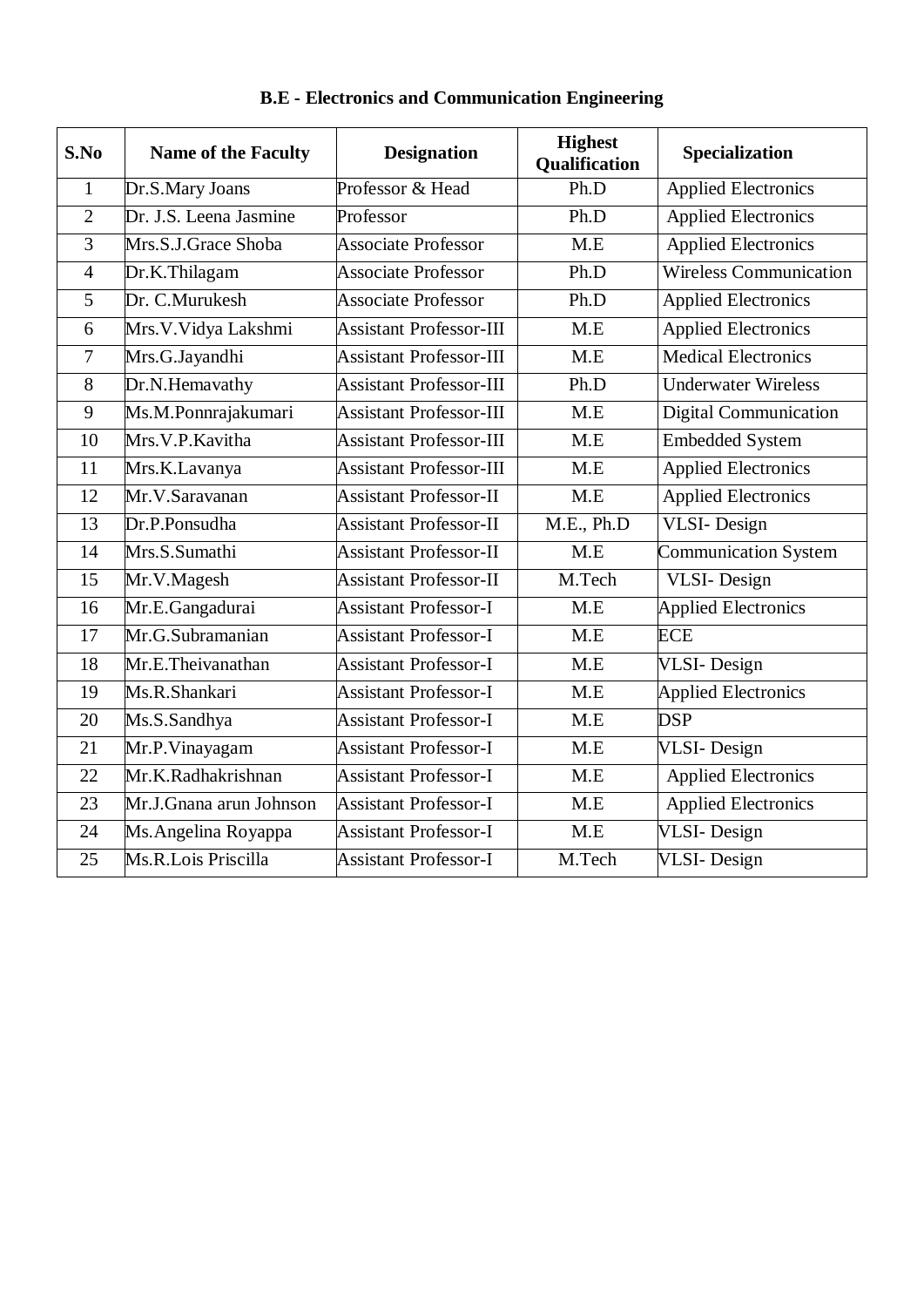| S.No           | <b>Name of the Faculty</b> | <b>Designation</b>             | <b>Highest</b><br>Qualification | Specialization                |
|----------------|----------------------------|--------------------------------|---------------------------------|-------------------------------|
| $\mathbf 1$    | Dr.S.Mary Joans            | Professor & Head               | Ph.D                            | <b>Applied Electronics</b>    |
| $\overline{2}$ | Dr. J.S. Leena Jasmine     | Professor                      | Ph.D                            | <b>Applied Electronics</b>    |
| $\overline{3}$ | Mrs.S.J.Grace Shoba        | <b>Associate Professor</b>     | M.E                             | <b>Applied Electronics</b>    |
| $\overline{4}$ | Dr.K.Thilagam              | <b>Associate Professor</b>     | Ph.D                            | <b>Wireless Communication</b> |
| 5              | Dr. C.Murukesh             | <b>Associate Professor</b>     | Ph.D                            | <b>Applied Electronics</b>    |
| 6              | Mrs.V.Vidya Lakshmi        | <b>Assistant Professor-III</b> | M.E                             | <b>Applied Electronics</b>    |
| $\overline{7}$ | Mrs.G.Jayandhi             | <b>Assistant Professor-III</b> | M.E                             | <b>Medical Electronics</b>    |
| 8              | Dr.N.Hemavathy             | <b>Assistant Professor-III</b> | Ph.D                            | <b>Underwater Wireless</b>    |
| 9              | Ms.M.Ponnrajakumari        | <b>Assistant Professor-III</b> | M.E                             | <b>Digital Communication</b>  |
| 10             | Mrs.V.P.Kavitha            | <b>Assistant Professor-III</b> | M.E                             | <b>Embedded System</b>        |
| 11             | Mrs.K.Lavanya              | <b>Assistant Professor-III</b> | M.E                             | <b>Applied Electronics</b>    |
| 12             | Mr.V.Saravanan             | <b>Assistant Professor-II</b>  | M.E                             | <b>Applied Electronics</b>    |
| 13             | Dr.P.Ponsudha              | <b>Assistant Professor-II</b>  | M.E., Ph.D                      | VLSI-Design                   |
| 14             | Mrs.S.Sumathi              | <b>Assistant Professor-II</b>  | M.E                             | <b>Communication System</b>   |
| 15             | Mr.V.Magesh                | <b>Assistant Professor-II</b>  | M.Tech                          | VLSI-Design                   |
| 16             | Mr.E.Gangadurai            | <b>Assistant Professor-I</b>   | M.E                             | <b>Applied Electronics</b>    |
| 17             | Mr.G.Subramanian           | <b>Assistant Professor-I</b>   | M.E                             | <b>ECE</b>                    |
| 18             | Mr.E.Theivanathan          | <b>Assistant Professor-I</b>   | M.E                             | <b>VLSI-Design</b>            |
| 19             | Ms.R.Shankari              | <b>Assistant Professor-I</b>   | M.E                             | <b>Applied Electronics</b>    |
| 20             | Ms.S.Sandhya               | <b>Assistant Professor-I</b>   | M.E                             | <b>DSP</b>                    |
| 21             | Mr.P.Vinayagam             | <b>Assistant Professor-I</b>   | M.E                             | <b>VLSI-Design</b>            |
| 22             | Mr.K.Radhakrishnan         | <b>Assistant Professor-I</b>   | M.E                             | <b>Applied Electronics</b>    |
| 23             | Mr.J.Gnana arun Johnson    | <b>Assistant Professor-I</b>   | M.E                             | <b>Applied Electronics</b>    |
| 24             | Ms. Angelina Royappa       | <b>Assistant Professor-I</b>   | M.E                             | <b>VLSI-Design</b>            |
| 25             | Ms.R.Lois Priscilla        | <b>Assistant Professor-I</b>   | M.Tech                          | <b>VLSI-Design</b>            |

## **B.E - Electronics and Communication Engineering**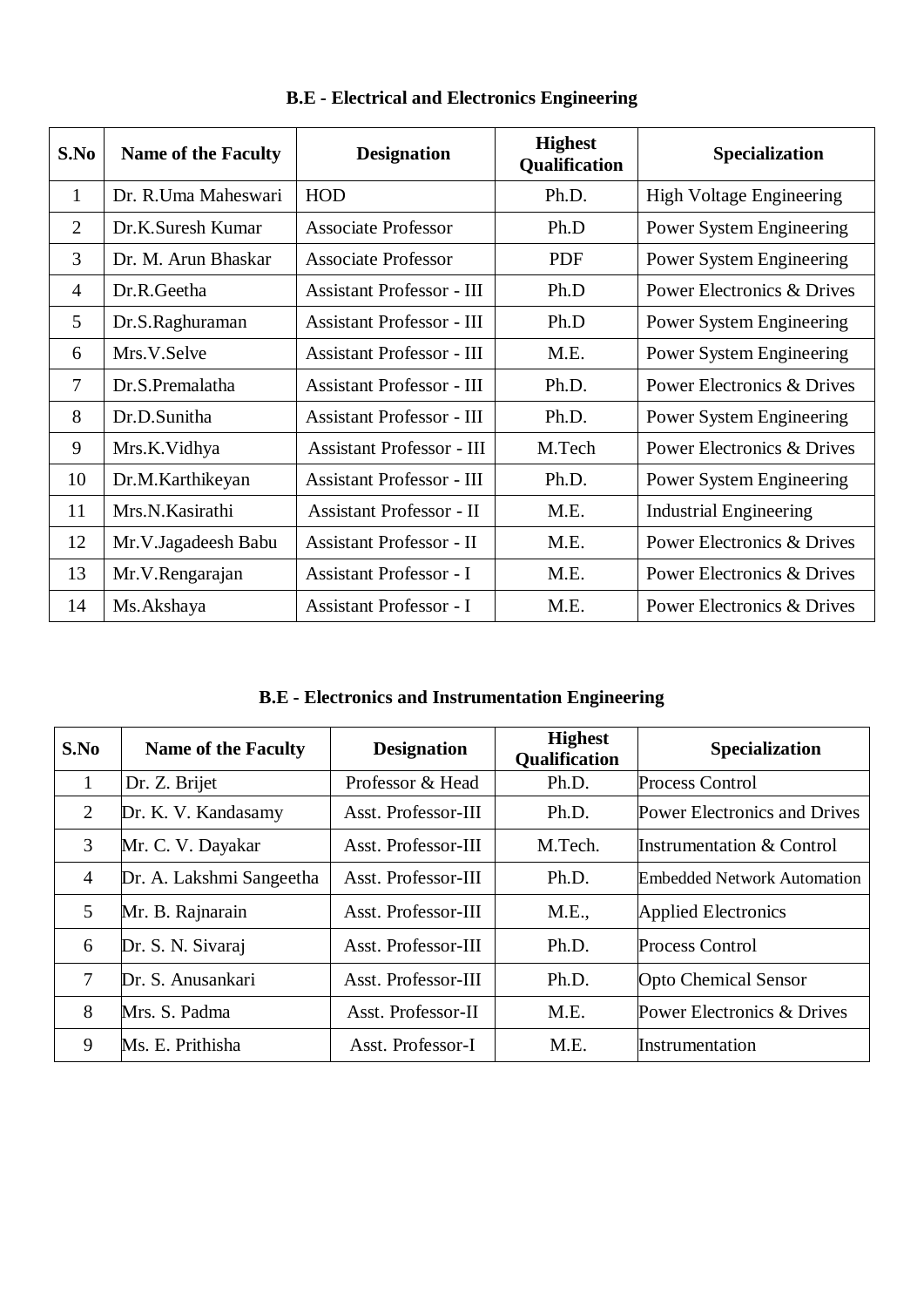| S.No | <b>Name of the Faculty</b> | <b>Designation</b>               | <b>Highest</b><br>Qualification | Specialization                  |
|------|----------------------------|----------------------------------|---------------------------------|---------------------------------|
| 1    | Dr. R.Uma Maheswari        | <b>HOD</b>                       | Ph.D.                           | <b>High Voltage Engineering</b> |
| 2    | Dr.K.Suresh Kumar          | <b>Associate Professor</b>       | Ph.D                            | Power System Engineering        |
| 3    | Dr. M. Arun Bhaskar        | <b>Associate Professor</b>       | <b>PDF</b>                      | Power System Engineering        |
| 4    | Dr.R.Geetha                | <b>Assistant Professor - III</b> | Ph.D                            | Power Electronics & Drives      |
| 5    | Dr.S.Raghuraman            | <b>Assistant Professor - III</b> | Ph.D                            | Power System Engineering        |
| 6    | Mrs.V.Selve                | <b>Assistant Professor - III</b> | M.E.                            | Power System Engineering        |
| 7    | Dr.S.Premalatha            | <b>Assistant Professor - III</b> | Ph.D.                           | Power Electronics & Drives      |
| 8    | Dr.D.Sunitha               | <b>Assistant Professor - III</b> | Ph.D.                           | Power System Engineering        |
| 9    | Mrs.K.Vidhya               | <b>Assistant Professor - III</b> | M.Tech                          | Power Electronics & Drives      |
| 10   | Dr.M.Karthikeyan           | <b>Assistant Professor - III</b> | Ph.D.                           | Power System Engineering        |
| 11   | Mrs.N.Kasirathi            | <b>Assistant Professor - II</b>  | M.E.                            | <b>Industrial Engineering</b>   |
| 12   | Mr.V.Jagadeesh Babu        | <b>Assistant Professor - II</b>  | M.E.                            | Power Electronics & Drives      |
| 13   | Mr.V.Rengarajan            | <b>Assistant Professor - I</b>   | M.E.                            | Power Electronics & Drives      |
| 14   | Ms. Akshaya                | <b>Assistant Professor - I</b>   | M.E.                            | Power Electronics & Drives      |

**B.E - Electrical and Electronics Engineering**

**B.E - Electronics and Instrumentation Engineering**

| S.No           | <b>Name of the Faculty</b> | <b>Designation</b>  | <b>Highest</b><br><b>Qualification</b> | <b>Specialization</b>                |
|----------------|----------------------------|---------------------|----------------------------------------|--------------------------------------|
| 1              | Dr. Z. Brijet              | Professor & Head    | Ph.D.                                  | <b>Process Control</b>               |
| 2              | Dr. K. V. Kandasamy        | Asst. Professor-III | Ph.D.                                  | <b>Power Electronics and Drives</b>  |
| 3              | Mr. C. V. Dayakar          | Asst. Professor-III | M.Tech.                                | <b>Instrumentation &amp; Control</b> |
| $\overline{4}$ | Dr. A. Lakshmi Sangeetha   | Asst. Professor-III | Ph.D.                                  | <b>Embedded Network Automation</b>   |
| 5              | Mr. B. Rajnarain           | Asst. Professor-III | M.E.,                                  | <b>Applied Electronics</b>           |
| 6              | Dr. S. N. Sivaraj          | Asst. Professor-III | Ph.D.                                  | <b>Process Control</b>               |
| $\tau$         | Dr. S. Anusankari          | Asst. Professor-III | Ph.D.                                  | <b>Opto Chemical Sensor</b>          |
| 8              | Mrs. S. Padma              | Asst. Professor-II  | M.E.                                   | Power Electronics & Drives           |
| 9              | Ms. E. Prithisha           | Asst. Professor-I   | M.E.                                   | Instrumentation                      |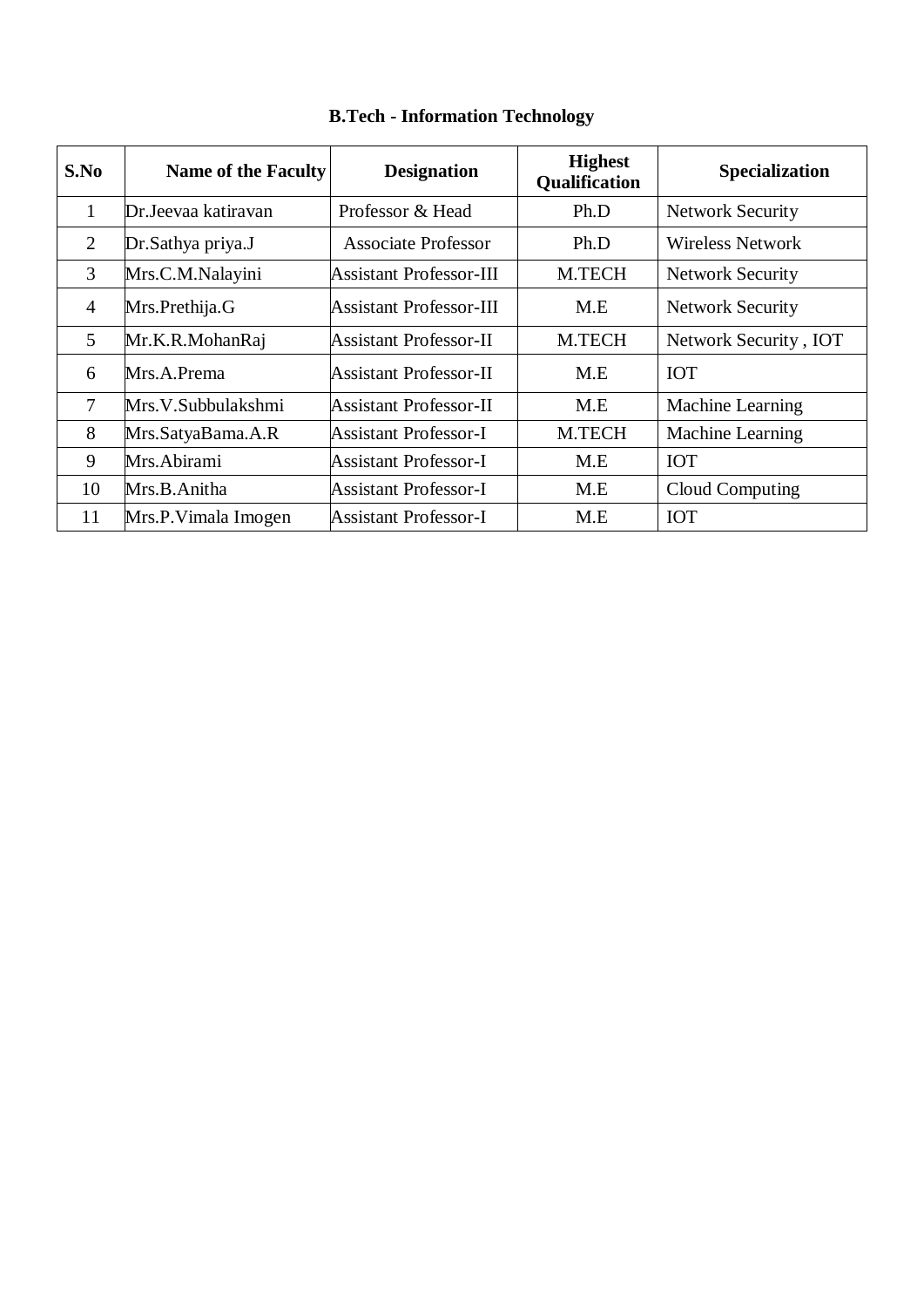| S.No           | <b>Name of the Faculty</b> | <b>Designation</b>      | <b>Highest</b><br>Qualification | <b>Specialization</b>   |
|----------------|----------------------------|-------------------------|---------------------------------|-------------------------|
| 1              | Dr.Jeevaa katiravan        | Professor & Head        | Ph.D                            | <b>Network Security</b> |
| 2              | Dr.Sathya priya.J          | Associate Professor     | Ph.D                            | <b>Wireless Network</b> |
| 3              | Mrs.C.M.Nalayini           | Assistant Professor-III | <b>M.TECH</b>                   | <b>Network Security</b> |
| $\overline{4}$ | Mrs.Prethija.G             | Assistant Professor-III | M.E                             | <b>Network Security</b> |
| 5              | Mr.K.R.MohanRaj            | Assistant Professor-II  | <b>M.TECH</b>                   | Network Security, IOT   |
| 6              | Mrs.A.Prema                | Assistant Professor-II  | M.E                             | <b>IOT</b>              |
| $\overline{7}$ | Mrs.V.Subbulakshmi         | Assistant Professor-II  | M.E                             | Machine Learning        |
| 8              | Mrs.SatyaBama.A.R          | Assistant Professor-I   | <b>M.TECH</b>                   | Machine Learning        |
| 9              | Mrs.Abirami                | Assistant Professor-I   | M.E                             | <b>IOT</b>              |
| 10             | Mrs.B.Anitha               | Assistant Professor-I   | M.E                             | Cloud Computing         |
| 11             | Mrs.P. Vimala Imogen       | Assistant Professor-I   | M.E                             | <b>IOT</b>              |

## **B.Tech - Information Technology**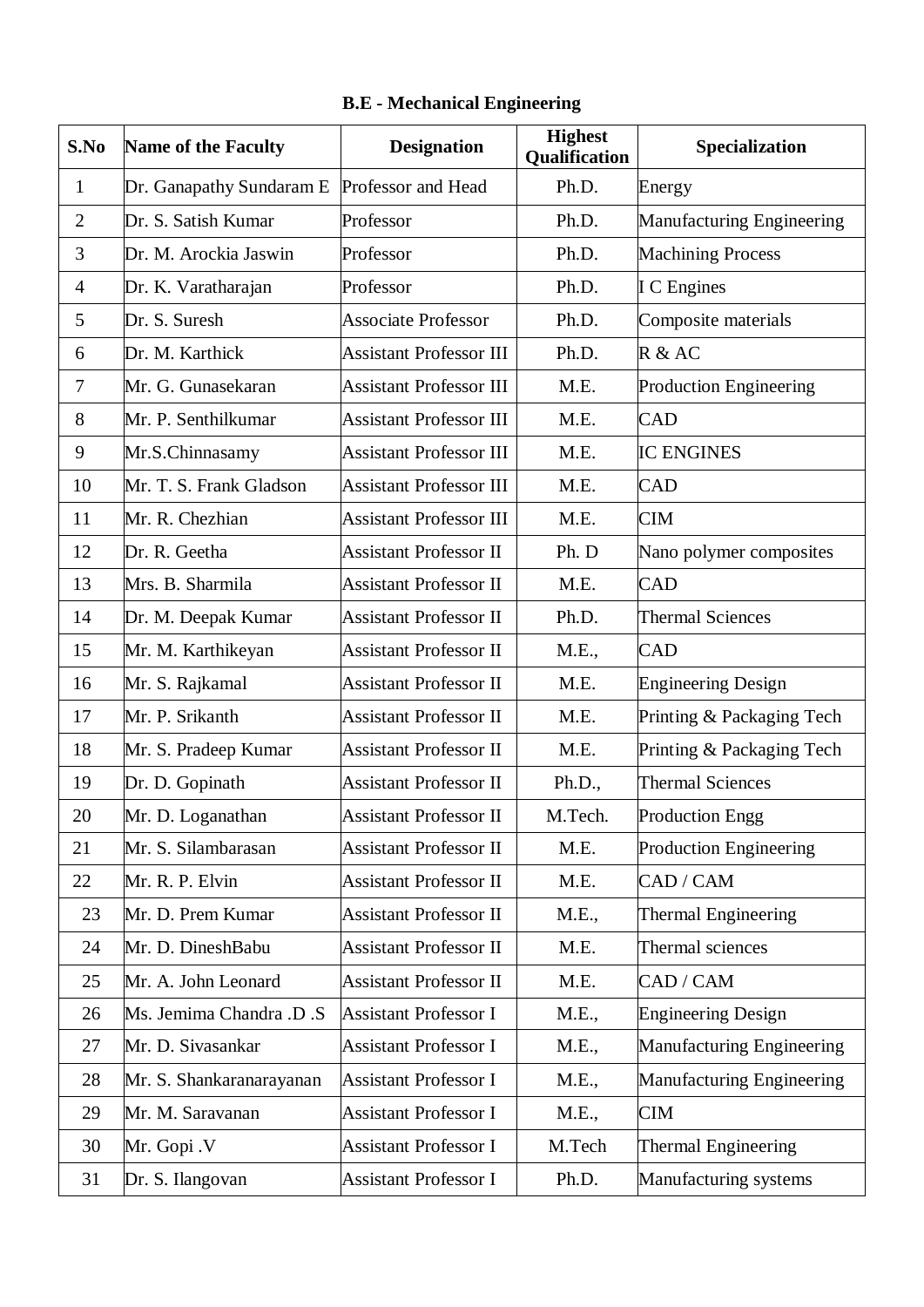| S.No           | <b>Name of the Faculty</b> | <b>Designation</b>             | <b>Highest</b><br>Qualification | Specialization                   |
|----------------|----------------------------|--------------------------------|---------------------------------|----------------------------------|
| $\mathbf{1}$   | Dr. Ganapathy Sundaram E   | Professor and Head             | Ph.D.                           | Energy                           |
| $\overline{2}$ | Dr. S. Satish Kumar        | Professor                      | Ph.D.                           | <b>Manufacturing Engineering</b> |
| 3              | Dr. M. Arockia Jaswin      | Professor                      | Ph.D.                           | <b>Machining Process</b>         |
| 4              | Dr. K. Varatharajan        | Professor                      | Ph.D.                           | <b>I</b> C Engines               |
| 5              | Dr. S. Suresh              | <b>Associate Professor</b>     | Ph.D.                           | Composite materials              |
| 6              | Dr. M. Karthick            | <b>Assistant Professor III</b> | Ph.D.                           | R & AC                           |
| 7              | Mr. G. Gunasekaran         | <b>Assistant Professor III</b> | M.E.                            | Production Engineering           |
| 8              | Mr. P. Senthilkumar        | <b>Assistant Professor III</b> | M.E.                            | <b>CAD</b>                       |
| 9              | Mr.S.Chinnasamy            | <b>Assistant Professor III</b> | M.E.                            | <b>IC ENGINES</b>                |
| 10             | Mr. T. S. Frank Gladson    | <b>Assistant Professor III</b> | M.E.                            | <b>CAD</b>                       |
| 11             | Mr. R. Chezhian            | <b>Assistant Professor III</b> | M.E.                            | <b>CIM</b>                       |
| 12             | Dr. R. Geetha              | <b>Assistant Professor II</b>  | Ph. D                           | Nano polymer composites          |
| 13             | Mrs. B. Sharmila           | <b>Assistant Professor II</b>  | M.E.                            | <b>CAD</b>                       |
| 14             | Dr. M. Deepak Kumar        | <b>Assistant Professor II</b>  | Ph.D.                           | <b>Thermal Sciences</b>          |
| 15             | Mr. M. Karthikeyan         | <b>Assistant Professor II</b>  | M.E.,                           | <b>CAD</b>                       |
| 16             | Mr. S. Rajkamal            | <b>Assistant Professor II</b>  | M.E.                            | <b>Engineering Design</b>        |
| 17             | Mr. P. Srikanth            | <b>Assistant Professor II</b>  | M.E.                            | Printing & Packaging Tech        |
| 18             | Mr. S. Pradeep Kumar       | <b>Assistant Professor II</b>  | M.E.                            | Printing & Packaging Tech        |
| 19             | Dr. D. Gopinath            | <b>Assistant Professor II</b>  | Ph.D.,                          | <b>Thermal Sciences</b>          |
| 20             | Mr. D. Loganathan          | <b>Assistant Professor II</b>  | M.Tech.                         | Production Engg                  |
| 21             | Mr. S. Silambarasan        | <b>Assistant Professor II</b>  | M.E.                            | <b>Production Engineering</b>    |
| 22             | Mr. R. P. Elvin            | <b>Assistant Professor II</b>  | M.E.                            | CAD / CAM                        |
| 23             | Mr. D. Prem Kumar          | <b>Assistant Professor II</b>  | M.E.,                           | <b>Thermal Engineering</b>       |
| 24             | Mr. D. DineshBabu          | <b>Assistant Professor II</b>  | M.E.                            | Thermal sciences                 |
| 25             | Mr. A. John Leonard        | <b>Assistant Professor II</b>  | M.E.                            | CAD / CAM                        |
| 26             | Ms. Jemima Chandra .D .S   | <b>Assistant Professor I</b>   | M.E.,                           | <b>Engineering Design</b>        |
| 27             | Mr. D. Sivasankar          | <b>Assistant Professor I</b>   | M.E.,                           | Manufacturing Engineering        |
| 28             | Mr. S. Shankaranarayanan   | <b>Assistant Professor I</b>   | M.E.,                           | Manufacturing Engineering        |
| 29             | Mr. M. Saravanan           | <b>Assistant Professor I</b>   | M.E.,                           | <b>CIM</b>                       |
| 30             | Mr. Gopi .V                | <b>Assistant Professor I</b>   | M.Tech                          | Thermal Engineering              |
| 31             | Dr. S. Ilangovan           | <b>Assistant Professor I</b>   | Ph.D.                           | Manufacturing systems            |

## **B.E - Mechanical Engineering**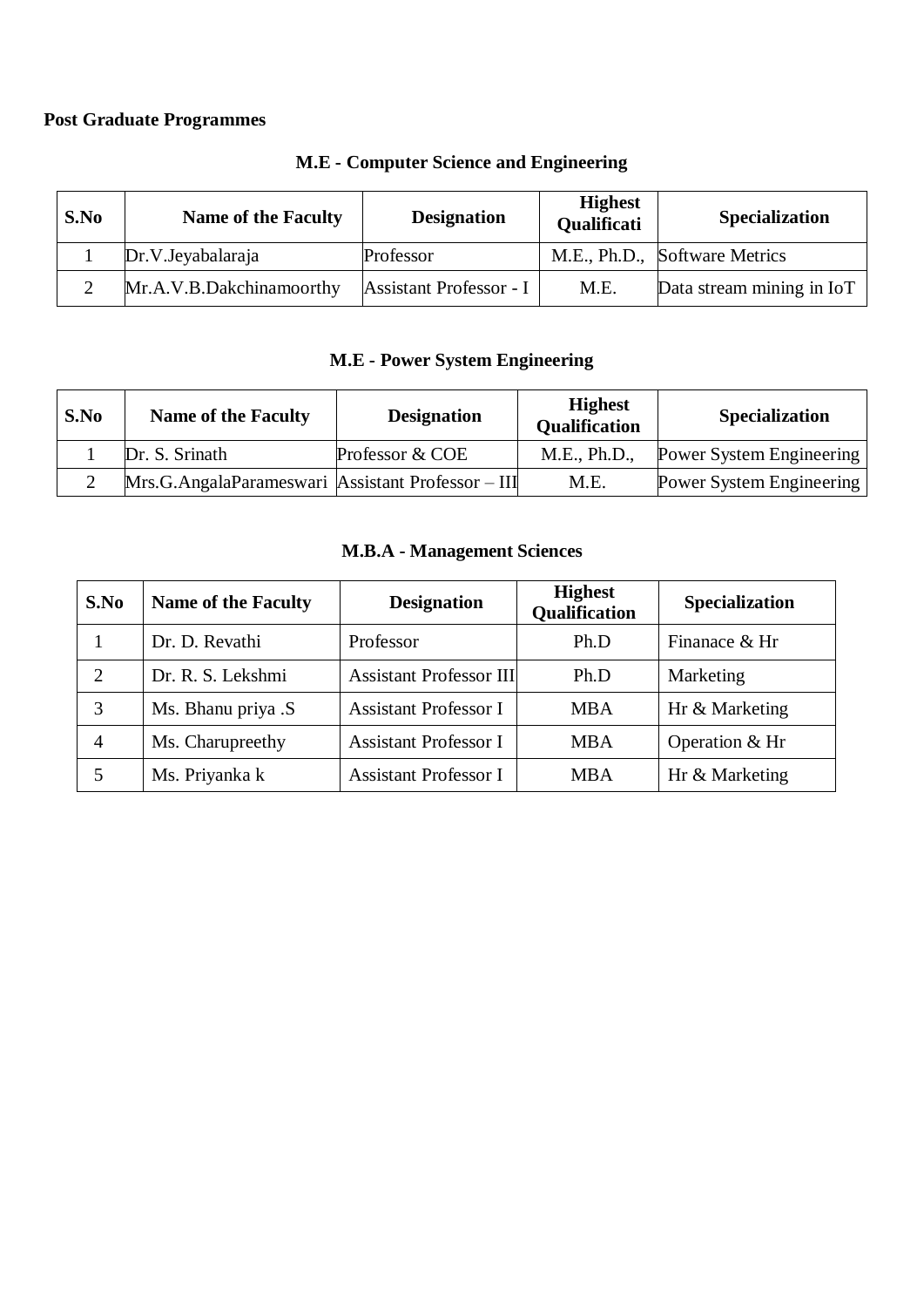## **Post Graduate Programmes**

| S.No | <b>Name of the Faculty</b> | <b>Designation</b>      | <b>Highest</b><br>Qualificati | <b>Specialization</b>         |
|------|----------------------------|-------------------------|-------------------------------|-------------------------------|
|      | Dr.V.Jeyabalaraja          | Professor               |                               | M.E., Ph.D., Software Metrics |
|      | Mr.A.V.B.Dakchinamoorthy   | Assistant Professor - I | M.E.                          | Data stream mining in IoT     |

#### **M.E - Computer Science and Engineering**

## **M.E - Power System Engineering**

| S.No | <b>Name of the Faculty</b>                        | <b>Designation</b> | <b>Highest</b><br><b>Qualification</b> | <b>Specialization</b>           |
|------|---------------------------------------------------|--------------------|----------------------------------------|---------------------------------|
|      | Dr. S. Srinath                                    | Professor & COE    | M.E., Ph.D.,                           | Power System Engineering        |
|      | Mrs.G.AngalaParameswari Assistant Professor – III |                    | M.E.                                   | <b>Power System Engineering</b> |

#### **M.B.A - Management Sciences**

| S.No | <b>Name of the Faculty</b> | <b>Designation</b>             | <b>Highest</b><br><b>Qualification</b> | Specialization |
|------|----------------------------|--------------------------------|----------------------------------------|----------------|
|      | Dr. D. Revathi             | Professor                      | Ph.D                                   | Finanace & Hr  |
|      | Dr. R. S. Lekshmi          | <b>Assistant Professor III</b> | Ph.D                                   | Marketing      |
| 3    | Ms. Bhanu priya .S         | <b>Assistant Professor I</b>   | <b>MBA</b>                             | Hr & Marketing |
| 4    | Ms. Charupreethy           | <b>Assistant Professor I</b>   | <b>MBA</b>                             | Operation & Hr |
|      | Ms. Priyanka k             | <b>Assistant Professor I</b>   | <b>MBA</b>                             | Hr & Marketing |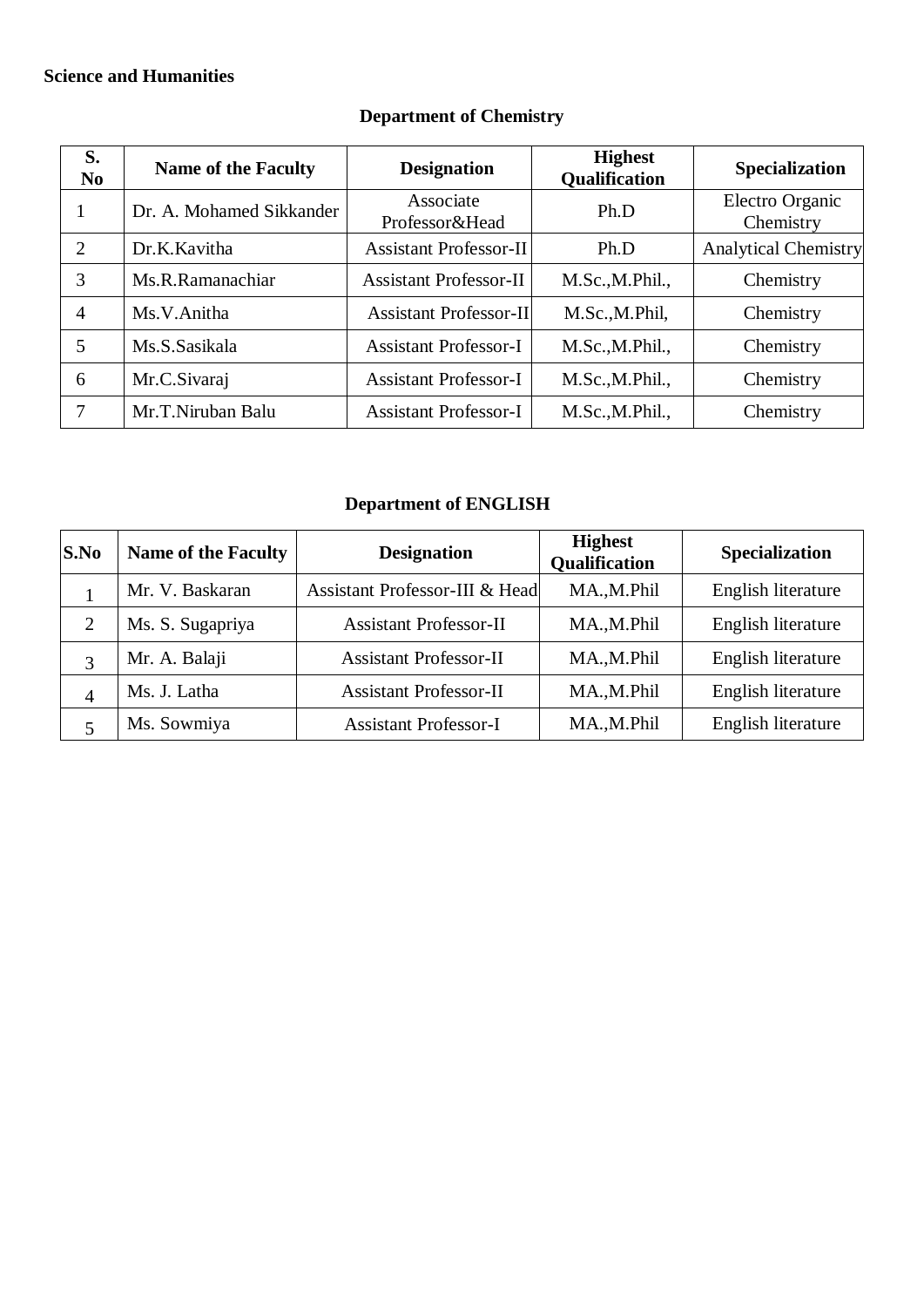### **Science and Humanities**

| S.<br>N <sub>0</sub> | <b>Name of the Faculty</b> | <b>Designation</b>            | <b>Highest</b><br>Qualification | Specialization               |
|----------------------|----------------------------|-------------------------------|---------------------------------|------------------------------|
|                      | Dr. A. Mohamed Sikkander   | Associate<br>Professor&Head   | Ph.D                            | Electro Organic<br>Chemistry |
| 2                    | Dr.K.Kavitha               | <b>Assistant Professor-II</b> | Ph.D                            | <b>Analytical Chemistry</b>  |
| 3                    | Ms.R.Ramanachiar           | <b>Assistant Professor-II</b> | M.Sc., M.Phil.,                 | Chemistry                    |
| 4                    | Ms.V.Anitha                | <b>Assistant Professor-II</b> | M.Sc., M.Phil,                  | Chemistry                    |
| 5                    | Ms.S.Sasikala              | <b>Assistant Professor-I</b>  | M.Sc., M.Phil.,                 | Chemistry                    |
| 6                    | Mr.C.Sivaraj               | <b>Assistant Professor-I</b>  | M.Sc., M.Phil.,                 | Chemistry                    |
|                      | Mr.T.Niruban Balu          | <b>Assistant Professor-I</b>  | M.Sc., M.Phil.,                 | Chemistry                    |

## **Department of Chemistry**

## **Department of ENGLISH**

| S.No           | <b>Name of the Faculty</b> | <b>Designation</b>             | <b>Highest</b><br>Qualification | <b>Specialization</b> |
|----------------|----------------------------|--------------------------------|---------------------------------|-----------------------|
|                | Mr. V. Baskaran            | Assistant Professor-III & Head | MA.,M.Phil                      | English literature    |
|                | Ms. S. Sugapriya           | <b>Assistant Professor-II</b>  | MA.,M.Phil                      | English literature    |
|                | Mr. A. Balaji              | <b>Assistant Professor-II</b>  | MA., M.Phil                     | English literature    |
| $\overline{4}$ | Ms. J. Latha               | <b>Assistant Professor-II</b>  | MA.,M.Phil                      | English literature    |
|                | Ms. Sowmiya                | <b>Assistant Professor-I</b>   | MA.,M.Phil                      | English literature    |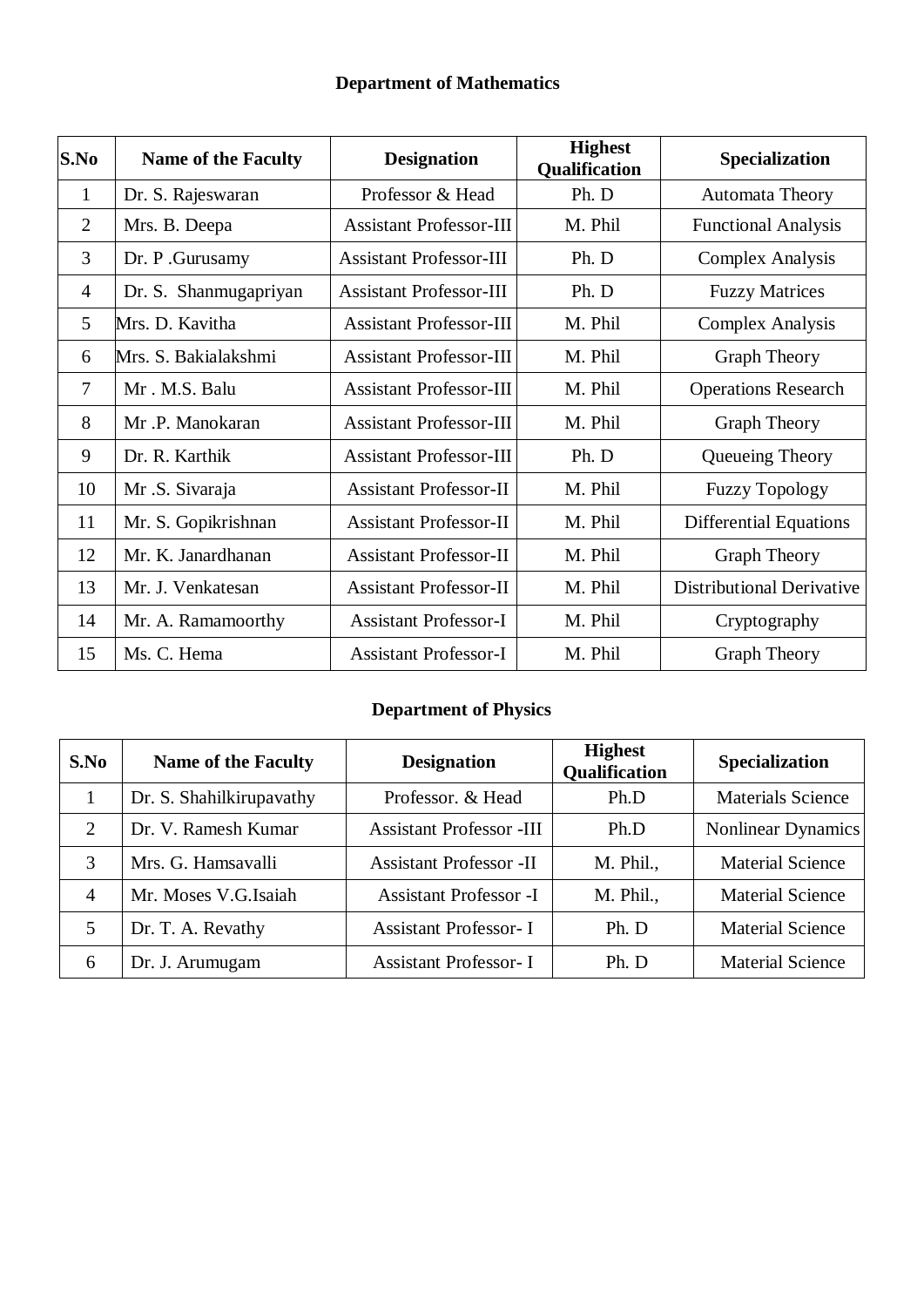## **Department of Mathematics**

| S.No           | <b>Name of the Faculty</b> | <b>Designation</b>             | <b>Highest</b><br>Qualification | <b>Specialization</b>            |
|----------------|----------------------------|--------------------------------|---------------------------------|----------------------------------|
| 1              | Dr. S. Rajeswaran          | Professor & Head               | Ph. D                           | Automata Theory                  |
| $\overline{2}$ | Mrs. B. Deepa              | <b>Assistant Professor-III</b> | M. Phil                         | <b>Functional Analysis</b>       |
| 3              | Dr. P. Gurusamy            | <b>Assistant Professor-III</b> | Ph. D                           | <b>Complex Analysis</b>          |
| $\overline{4}$ | Dr. S. Shanmugapriyan      | <b>Assistant Professor-III</b> | Ph. D                           | <b>Fuzzy Matrices</b>            |
| 5              | Mrs. D. Kavitha            | <b>Assistant Professor-III</b> | M. Phil                         | <b>Complex Analysis</b>          |
| 6              | Mrs. S. Bakialakshmi       | <b>Assistant Professor-III</b> | M. Phil                         | <b>Graph Theory</b>              |
| 7              | Mr. M.S. Balu              | <b>Assistant Professor-III</b> | M. Phil                         | <b>Operations Research</b>       |
| 8              | Mr.P. Manokaran            | <b>Assistant Professor-III</b> | M. Phil                         | <b>Graph Theory</b>              |
| 9              | Dr. R. Karthik             | <b>Assistant Professor-III</b> | Ph. D                           | Queueing Theory                  |
| 10             | Mr.S. Sivaraja             | <b>Assistant Professor-II</b>  | M. Phil                         | <b>Fuzzy Topology</b>            |
| 11             | Mr. S. Gopikrishnan        | <b>Assistant Professor-II</b>  | M. Phil                         | <b>Differential Equations</b>    |
| 12             | Mr. K. Janardhanan         | <b>Assistant Professor-II</b>  | M. Phil                         | <b>Graph Theory</b>              |
| 13             | Mr. J. Venkatesan          | <b>Assistant Professor-II</b>  | M. Phil                         | <b>Distributional Derivative</b> |
| 14             | Mr. A. Ramamoorthy         | <b>Assistant Professor-I</b>   | M. Phil                         | Cryptography                     |
| 15             | Ms. C. Hema                | <b>Assistant Professor-I</b>   | M. Phil                         | <b>Graph Theory</b>              |

## **Department of Physics**

| S.No           | <b>Name of the Faculty</b> | <b>Designation</b>              | <b>Highest</b><br>Qualification | <b>Specialization</b>     |
|----------------|----------------------------|---------------------------------|---------------------------------|---------------------------|
|                | Dr. S. Shahilkirupavathy   | Professor. & Head               | Ph.D                            | <b>Materials Science</b>  |
| 2              | Dr. V. Ramesh Kumar        | <b>Assistant Professor -III</b> | Ph.D                            | <b>Nonlinear Dynamics</b> |
| 3              | Mrs. G. Hamsavalli         | <b>Assistant Professor -II</b>  | M. Phil.,                       | <b>Material Science</b>   |
| $\overline{4}$ | Mr. Moses V.G.Isaiah       | <b>Assistant Professor -I</b>   | M. Phil.,                       | <b>Material Science</b>   |
| 5              | Dr. T. A. Revathy          | <b>Assistant Professor-I</b>    | Ph. D                           | <b>Material Science</b>   |
| 6              | Dr. J. Arumugam            | <b>Assistant Professor-I</b>    | Ph. D                           | <b>Material Science</b>   |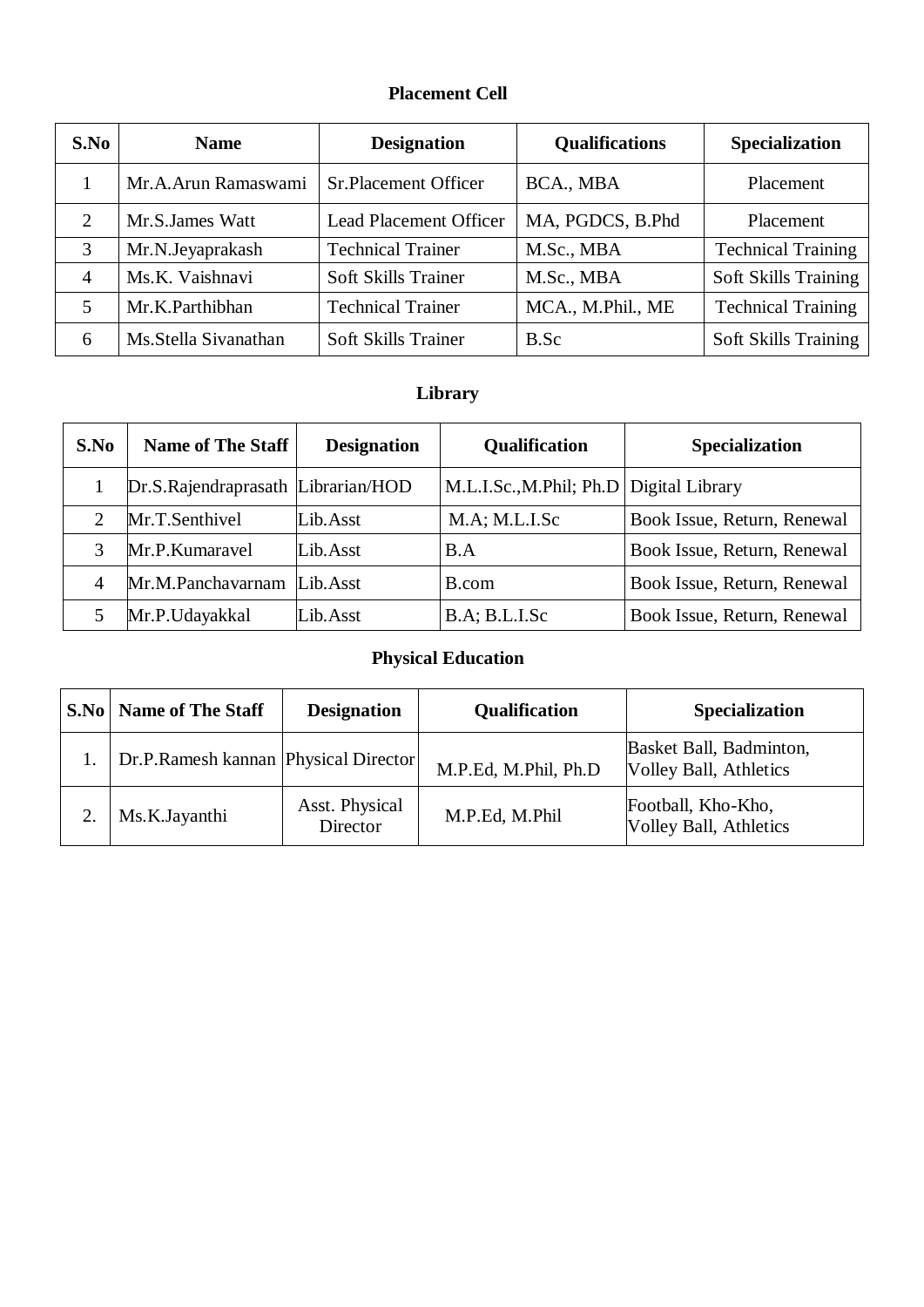### **Placement Cell**

| S.No           | <b>Name</b>          | <b>Designation</b>            | <b>Qualifications</b> | <b>Specialization</b>       |
|----------------|----------------------|-------------------------------|-----------------------|-----------------------------|
|                | Mr.A.Arun Ramaswami  | <b>Sr.Placement Officer</b>   | BCA., MBA             | Placement                   |
| 2              | Mr.S.James Watt      | <b>Lead Placement Officer</b> | MA, PGDCS, B.Phd      | Placement                   |
| 3              | Mr.N.Jeyaprakash     | <b>Technical Trainer</b>      | M.Sc., MBA            | <b>Technical Training</b>   |
| $\overline{4}$ | Ms.K. Vaishnavi      | Soft Skills Trainer           | M.Sc., MBA            | Soft Skills Training        |
|                | Mr.K.Parthibhan      | <b>Technical Trainer</b>      | MCA., M.Phil., ME     | <b>Technical Training</b>   |
| 6              | Ms.Stella Sivanathan | <b>Soft Skills Trainer</b>    | B.Sc                  | <b>Soft Skills Training</b> |

# **Library**

| S.No | Name of The Staff                  | <b>Designation</b> | <b>Qualification</b>                      | Specialization              |
|------|------------------------------------|--------------------|-------------------------------------------|-----------------------------|
|      | Dr.S.Rajendraprasath Librarian/HOD |                    | M.L.I.Sc., M.Phil; Ph.D   Digital Library |                             |
| ∍    | Mr.T.Senthivel                     | Lib.Asst           | $M.A$ ; $M.L.I.Sc$                        | Book Issue, Return, Renewal |
|      | Mr.P.Kumaravel                     | Lib.Asst           | B.A                                       | Book Issue, Return, Renewal |
| 4    | Mr.M.Panchavarnam                  | Lib.Asst           | B.com                                     | Book Issue, Return, Renewal |
|      | Mr.P.Udayakkal                     | Lib.Asst           | B.A; B.L.I.Sc                             | Book Issue, Return, Renewal |

# **Physical Education**

| S.No   Name of The Staff             | <b>Designation</b>         | Qualification        | <b>Specialization</b>                                    |
|--------------------------------------|----------------------------|----------------------|----------------------------------------------------------|
| Dr.P.Ramesh kannan Physical Director |                            | M.P.Ed, M.Phil, Ph.D | Basket Ball, Badminton,<br><b>Volley Ball, Athletics</b> |
| Ms.K.Jayanthi                        | Asst. Physical<br>Director | M.P.Ed, M.Phil       | Football, Kho-Kho,<br>Volley Ball, Athletics             |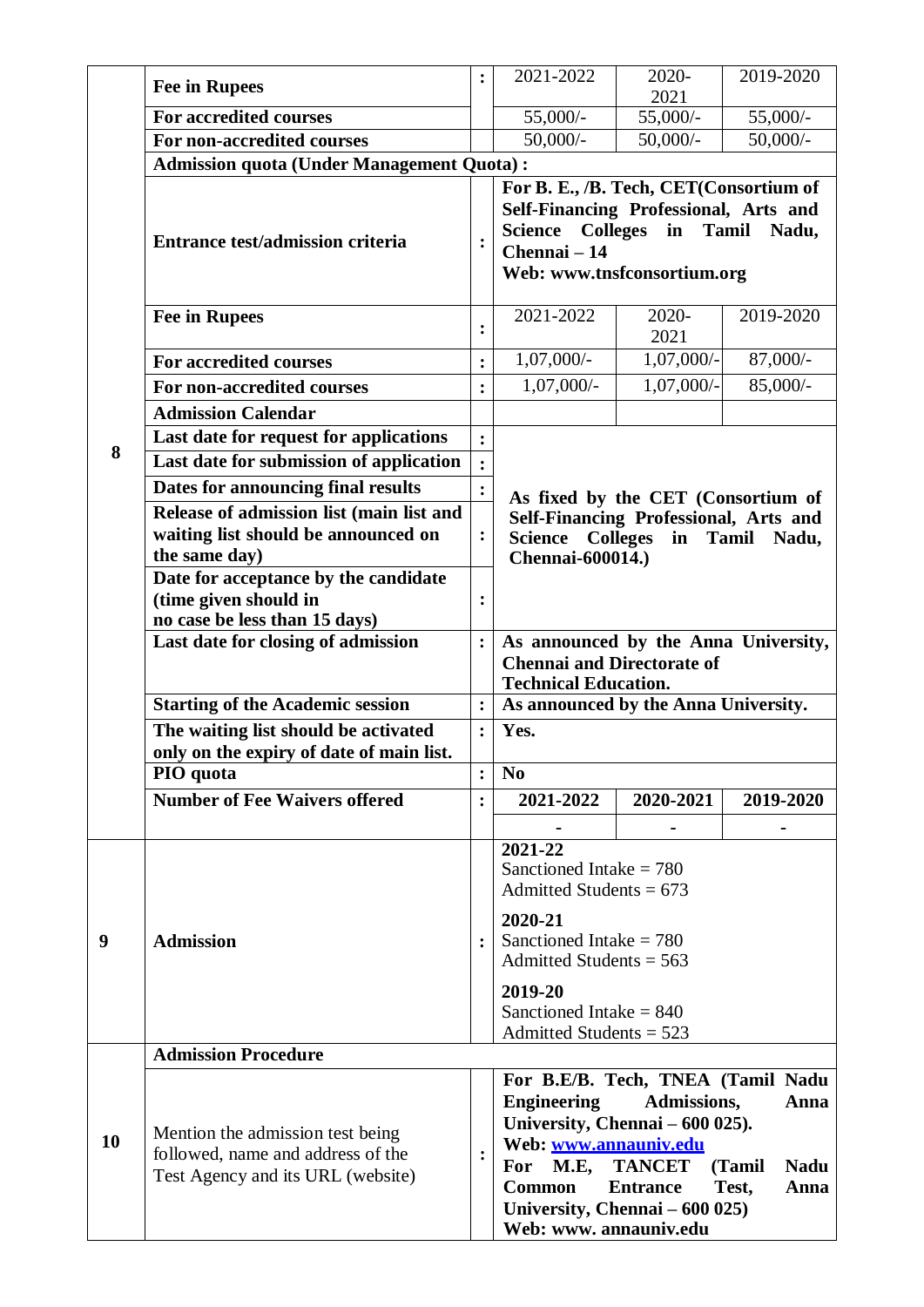|           | <b>Fee in Rupees</b>                                   | $\ddot{\cdot}$ | 2021-2022                                                                                                                                        | 2020-<br>2021   | 2019-2020             |  |  |  |
|-----------|--------------------------------------------------------|----------------|--------------------------------------------------------------------------------------------------------------------------------------------------|-----------------|-----------------------|--|--|--|
|           | For accredited courses                                 |                | 55,000/-                                                                                                                                         | $55,000/-$      | 55,000/-              |  |  |  |
|           | For non-accredited courses                             |                | $50,000/$ -                                                                                                                                      | $50,000/-$      | $50,000/-$            |  |  |  |
|           | <b>Admission quota (Under Management Quota):</b>       |                |                                                                                                                                                  |                 |                       |  |  |  |
|           |                                                        |                | For B. E., /B. Tech, CET(Consortium of                                                                                                           |                 |                       |  |  |  |
|           |                                                        |                | Self-Financing Professional, Arts and                                                                                                            |                 |                       |  |  |  |
|           | <b>Entrance test/admission criteria</b>                |                | Science                                                                                                                                          | Colleges in     | Tamil Nadu,           |  |  |  |
|           |                                                        |                | Chennai - 14                                                                                                                                     |                 |                       |  |  |  |
|           |                                                        |                | Web: www.tnsfconsortium.org                                                                                                                      |                 |                       |  |  |  |
|           | <b>Fee in Rupees</b>                                   | $\ddot{\cdot}$ | 2021-2022                                                                                                                                        | 2020-           | 2019-2020             |  |  |  |
|           |                                                        |                |                                                                                                                                                  | 2021            |                       |  |  |  |
|           | <b>For accredited courses</b>                          |                | $1,07,000/-$                                                                                                                                     | $1,07,000/-$    | 87,000/-              |  |  |  |
|           | For non-accredited courses                             | $\ddot{\cdot}$ | $1,07,000/-$                                                                                                                                     | $1,07,000/-$    | $85,000/-$            |  |  |  |
|           | <b>Admission Calendar</b>                              |                |                                                                                                                                                  |                 |                       |  |  |  |
| 8         | Last date for request for applications                 | $\ddot{\cdot}$ |                                                                                                                                                  |                 |                       |  |  |  |
|           | Last date for submission of application                |                |                                                                                                                                                  |                 |                       |  |  |  |
|           | Dates for announcing final results                     | $\ddot{\cdot}$ |                                                                                                                                                  |                 |                       |  |  |  |
|           | Release of admission list (main list and               |                | As fixed by the CET (Consortium of<br>Self-Financing Professional, Arts and<br><b>Colleges</b><br>Tamil Nadu,<br><b>Science</b><br>$\mathbf{in}$ |                 |                       |  |  |  |
|           | waiting list should be announced on                    | :              |                                                                                                                                                  |                 |                       |  |  |  |
|           | the same day)                                          |                | <b>Chennai-600014.)</b>                                                                                                                          |                 |                       |  |  |  |
|           | Date for acceptance by the candidate                   |                |                                                                                                                                                  |                 |                       |  |  |  |
|           | (time given should in<br>no case be less than 15 days) | :              |                                                                                                                                                  |                 |                       |  |  |  |
|           | Last date for closing of admission                     | $\ddot{\cdot}$ | As announced by the Anna University,                                                                                                             |                 |                       |  |  |  |
|           |                                                        |                | <b>Chennai and Directorate of</b>                                                                                                                |                 |                       |  |  |  |
|           |                                                        |                | <b>Technical Education.</b>                                                                                                                      |                 |                       |  |  |  |
|           | <b>Starting of the Academic session</b>                | $\ddot{\cdot}$ | As announced by the Anna University.                                                                                                             |                 |                       |  |  |  |
|           | The waiting list should be activated                   | $\ddot{\cdot}$ | Yes.                                                                                                                                             |                 |                       |  |  |  |
|           | only on the expiry of date of main list.               |                |                                                                                                                                                  |                 |                       |  |  |  |
|           | PIO quota                                              | $\ddot{\cdot}$ | N <sub>0</sub>                                                                                                                                   |                 |                       |  |  |  |
|           | <b>Number of Fee Waivers offered</b>                   | $\ddot{\cdot}$ | 2021-2022                                                                                                                                        | 2020-2021       | 2019-2020             |  |  |  |
|           |                                                        |                | 2021-22                                                                                                                                          |                 |                       |  |  |  |
|           |                                                        |                | Sanctioned Intake = $780$                                                                                                                        |                 |                       |  |  |  |
|           |                                                        |                | Admitted Students = $673$                                                                                                                        |                 |                       |  |  |  |
|           |                                                        |                | 2020-21                                                                                                                                          |                 |                       |  |  |  |
| 9         | <b>Admission</b>                                       | $\ddot{\cdot}$ | Sanctioned Intake $= 780$                                                                                                                        |                 |                       |  |  |  |
|           |                                                        |                | Admitted Students = $563$                                                                                                                        |                 |                       |  |  |  |
|           |                                                        |                | 2019-20                                                                                                                                          |                 |                       |  |  |  |
|           |                                                        |                | Sanctioned Intake = $840$                                                                                                                        |                 |                       |  |  |  |
|           |                                                        |                | Admitted Students $= 523$                                                                                                                        |                 |                       |  |  |  |
|           | <b>Admission Procedure</b>                             |                |                                                                                                                                                  |                 |                       |  |  |  |
|           |                                                        |                | For B.E/B. Tech, TNEA (Tamil Nadu                                                                                                                |                 |                       |  |  |  |
|           |                                                        |                | <b>Engineering</b>                                                                                                                               | Admissions,     | Anna                  |  |  |  |
| <b>10</b> | Mention the admission test being                       |                | University, Chennai - 600 025).<br>Web: www.annauniv.edu                                                                                         |                 |                       |  |  |  |
|           | followed, name and address of the                      |                | M.E,<br>For                                                                                                                                      | <b>TANCET</b>   | (Tamil<br><b>Nadu</b> |  |  |  |
|           | Test Agency and its URL (website)                      |                | <b>Common</b>                                                                                                                                    | <b>Entrance</b> | Test,<br>Anna         |  |  |  |
|           |                                                        |                | University, Chennai – 600 025)                                                                                                                   |                 |                       |  |  |  |
|           |                                                        |                | Web: www. annauniv.edu                                                                                                                           |                 |                       |  |  |  |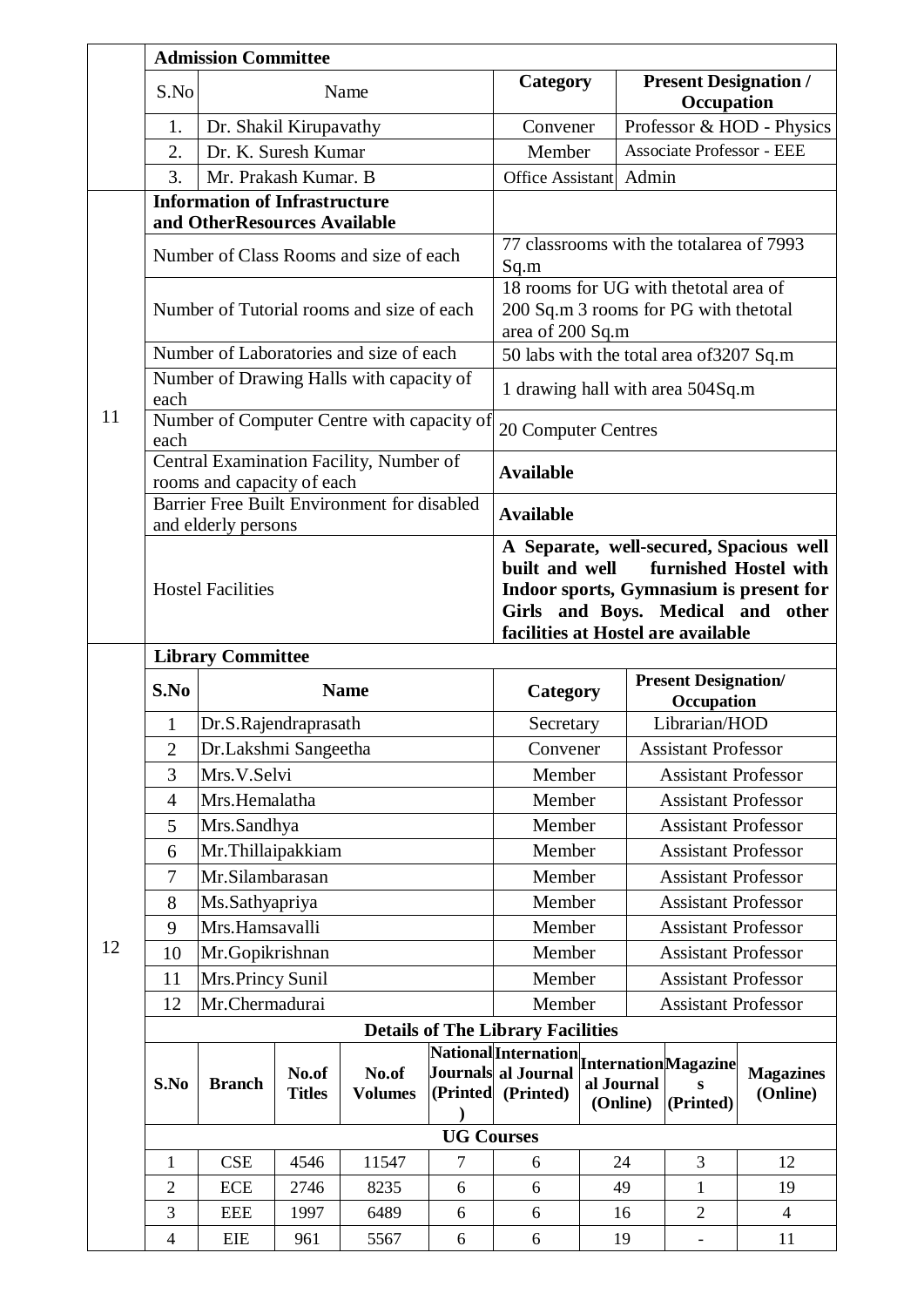|    |                                                  | <b>Admission Committee</b>                                           |      |                                             |                   |                                                                                                                                                                                                             |                                      |   |                                  |                              |
|----|--------------------------------------------------|----------------------------------------------------------------------|------|---------------------------------------------|-------------------|-------------------------------------------------------------------------------------------------------------------------------------------------------------------------------------------------------------|--------------------------------------|---|----------------------------------|------------------------------|
|    | S.No                                             |                                                                      |      | Name                                        |                   | Category                                                                                                                                                                                                    |                                      |   | Occupation                       | <b>Present Designation /</b> |
|    | 1.                                               | Dr. Shakil Kirupavathy                                               |      |                                             |                   | Convener                                                                                                                                                                                                    |                                      |   |                                  | Professor & HOD - Physics    |
|    | 2.                                               | Dr. K. Suresh Kumar                                                  |      |                                             |                   | Member                                                                                                                                                                                                      |                                      |   | <b>Associate Professor - EEE</b> |                              |
|    | 3.                                               | Mr. Prakash Kumar. B                                                 |      |                                             |                   | Office Assistant Admin                                                                                                                                                                                      |                                      |   |                                  |                              |
|    |                                                  | <b>Information of Infrastructure</b><br>and OtherResources Available |      |                                             |                   |                                                                                                                                                                                                             |                                      |   |                                  |                              |
|    |                                                  |                                                                      |      | Number of Class Rooms and size of each      |                   | 77 classrooms with the totalarea of 7993<br>Sq.m                                                                                                                                                            |                                      |   |                                  |                              |
|    |                                                  |                                                                      |      | Number of Tutorial rooms and size of each   |                   | 18 rooms for UG with the total area of<br>200 Sq.m 3 rooms for PG with the total<br>area of 200 Sq.m                                                                                                        |                                      |   |                                  |                              |
|    |                                                  |                                                                      |      | Number of Laboratories and size of each     |                   | 50 labs with the total area of 3207 Sq.m                                                                                                                                                                    |                                      |   |                                  |                              |
|    | Number of Drawing Halls with capacity of<br>each |                                                                      |      |                                             |                   | 1 drawing hall with area 504Sq.m                                                                                                                                                                            |                                      |   |                                  |                              |
| 11 | each                                             |                                                                      |      | Number of Computer Centre with capacity of  |                   | 20 Computer Centres                                                                                                                                                                                         |                                      |   |                                  |                              |
|    |                                                  | rooms and capacity of each                                           |      | Central Examination Facility, Number of     |                   | <b>Available</b>                                                                                                                                                                                            |                                      |   |                                  |                              |
|    |                                                  | and elderly persons                                                  |      | Barrier Free Built Environment for disabled |                   | <b>Available</b>                                                                                                                                                                                            |                                      |   |                                  |                              |
|    | <b>Hostel Facilities</b>                         |                                                                      |      |                                             |                   | A Separate, well-secured, Spacious well<br>built and well<br>furnished Hostel with<br>Indoor sports, Gymnasium is present for<br>Girls and Boys. Medical and<br>other<br>facilities at Hostel are available |                                      |   |                                  |                              |
|    |                                                  |                                                                      |      |                                             |                   |                                                                                                                                                                                                             |                                      |   |                                  |                              |
|    | <b>Library Committee</b>                         |                                                                      |      |                                             |                   |                                                                                                                                                                                                             |                                      |   | <b>Present Designation/</b>      |                              |
|    |                                                  | S.No<br><b>Name</b>                                                  |      |                                             |                   |                                                                                                                                                                                                             | <b>Category</b><br>Occupation        |   |                                  |                              |
|    | $\mathbf{1}$                                     | Dr.S.Rajendraprasath                                                 |      |                                             |                   | Librarian/HOD<br>Secretary                                                                                                                                                                                  |                                      |   |                                  |                              |
|    | $\mathbf{2}$                                     | Dr.Lakshmi Sangeetha                                                 |      |                                             |                   | <b>Assistant Professor</b><br>Convener                                                                                                                                                                      |                                      |   |                                  |                              |
|    | 3                                                | Mrs.V.Selvi                                                          |      |                                             |                   | Member<br><b>Assistant Professor</b>                                                                                                                                                                        |                                      |   |                                  |                              |
|    | $\overline{4}$                                   | Mrs.Hemalatha                                                        |      |                                             |                   | Member<br><b>Assistant Professor</b>                                                                                                                                                                        |                                      |   |                                  |                              |
|    | 5                                                | Mrs.Sandhya                                                          |      |                                             |                   | Member<br><b>Assistant Professor</b>                                                                                                                                                                        |                                      |   |                                  |                              |
|    | 6                                                | Mr.Thillaipakkiam                                                    |      |                                             |                   |                                                                                                                                                                                                             | Member<br><b>Assistant Professor</b> |   |                                  |                              |
|    | $\tau$                                           | Mr.Silambarasan                                                      |      |                                             |                   |                                                                                                                                                                                                             | Member<br><b>Assistant Professor</b> |   |                                  |                              |
|    | 8                                                | Ms.Sathyapriya                                                       |      |                                             |                   | Member                                                                                                                                                                                                      |                                      |   | <b>Assistant Professor</b>       |                              |
| 12 | 9                                                | Mrs.Hamsavalli                                                       |      |                                             |                   | Member                                                                                                                                                                                                      |                                      |   | <b>Assistant Professor</b>       |                              |
|    | 10                                               | Mr.Gopikrishnan                                                      |      |                                             |                   | Member                                                                                                                                                                                                      |                                      |   | <b>Assistant Professor</b>       |                              |
|    | 11                                               | Mrs.Princy Sunil                                                     |      |                                             |                   | Member                                                                                                                                                                                                      |                                      |   | <b>Assistant Professor</b>       |                              |
|    | 12                                               | Mr.Chermadurai                                                       |      |                                             |                   | Member                                                                                                                                                                                                      |                                      |   | <b>Assistant Professor</b>       |                              |
|    |                                                  |                                                                      |      |                                             |                   | <b>Details of The Library Facilities</b>                                                                                                                                                                    |                                      |   |                                  |                              |
|    |                                                  |                                                                      |      | No.of                                       |                   | <b>National</b> Internation Internation Magazine<br>Journals al Journal                                                                                                                                     |                                      |   |                                  | <b>Magazines</b>             |
|    |                                                  | No.of<br><b>Branch</b><br><b>Titles</b>                              |      |                                             |                   | al Journal                                                                                                                                                                                                  |                                      | S |                                  |                              |
|    | S.No                                             |                                                                      |      | <b>Volumes</b>                              | (Printed          | (Printed)                                                                                                                                                                                                   |                                      |   |                                  | (Online)                     |
|    |                                                  |                                                                      |      |                                             |                   |                                                                                                                                                                                                             | (Online)                             |   | (Printed)                        |                              |
|    |                                                  |                                                                      |      |                                             | <b>UG Courses</b> |                                                                                                                                                                                                             |                                      |   |                                  |                              |
|    | 1                                                | <b>CSE</b>                                                           | 4546 | 11547                                       | 7                 | 6                                                                                                                                                                                                           | 24                                   |   | 3                                | 12                           |
|    | $\overline{c}$                                   | <b>ECE</b>                                                           | 2746 | 8235                                        | 6                 | 6                                                                                                                                                                                                           | 49                                   |   | $\mathbf{1}$                     | 19                           |
|    | 3                                                | <b>EEE</b>                                                           | 1997 | 6489                                        | 6                 | 6                                                                                                                                                                                                           | 16                                   |   | $\overline{2}$                   | $\overline{4}$               |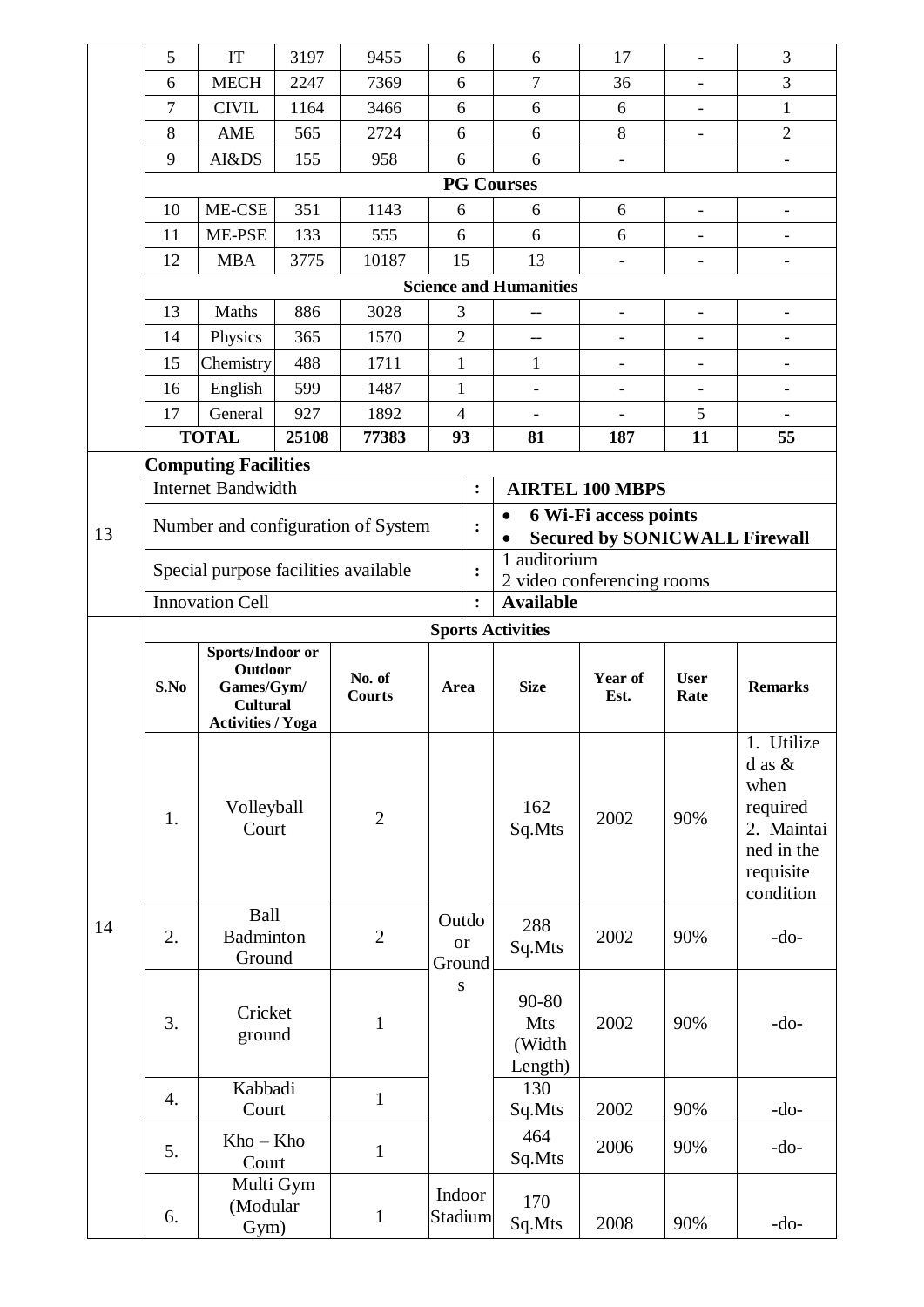|    | 5                                  | IT                                                                                       | 3197  | 9455                            | 6                 |                              | 6                                        | 17                                                            | $\overline{\phantom{0}}$ | 3                                                                                                  |  |  |  |
|----|------------------------------------|------------------------------------------------------------------------------------------|-------|---------------------------------|-------------------|------------------------------|------------------------------------------|---------------------------------------------------------------|--------------------------|----------------------------------------------------------------------------------------------------|--|--|--|
|    | 6                                  | <b>MECH</b>                                                                              | 2247  | 7369                            | 6                 |                              | $\overline{7}$                           | 36                                                            | $\overline{\phantom{0}}$ | 3                                                                                                  |  |  |  |
|    | 7                                  | <b>CIVIL</b>                                                                             | 1164  | 3466                            | 6                 |                              | 6                                        | 6                                                             | $\overline{\phantom{0}}$ | $\mathbf{1}$                                                                                       |  |  |  |
|    | 8                                  | AME                                                                                      | 565   | 2724                            | 6                 |                              | 6                                        | 8                                                             |                          | $\overline{2}$                                                                                     |  |  |  |
|    | 9                                  | AI&DS                                                                                    | 155   | 958                             | 6                 |                              | 6                                        | $\overline{\phantom{a}}$                                      |                          |                                                                                                    |  |  |  |
|    |                                    |                                                                                          |       |                                 |                   | <b>PG Courses</b>            |                                          |                                                               |                          |                                                                                                    |  |  |  |
|    | 10                                 | ME-CSE                                                                                   | 351   | 1143                            | 6                 |                              | 6                                        | 6                                                             | $\overline{\phantom{0}}$ |                                                                                                    |  |  |  |
|    | 11                                 | ME-PSE                                                                                   | 133   | 555                             | 6                 |                              | 6                                        | 6                                                             |                          |                                                                                                    |  |  |  |
|    | 12                                 | <b>MBA</b>                                                                               | 3775  | 10187                           | 15                |                              | 13                                       |                                                               | $\overline{\phantom{0}}$ |                                                                                                    |  |  |  |
|    |                                    |                                                                                          |       |                                 |                   |                              | <b>Science and Humanities</b>            |                                                               |                          |                                                                                                    |  |  |  |
|    | 13                                 | Maths                                                                                    | 886   | 3028                            | 3                 |                              |                                          | $\overline{\phantom{a}}$                                      | $\overline{\phantom{0}}$ |                                                                                                    |  |  |  |
|    | 14                                 | Physics                                                                                  | 365   | 1570                            | $\overline{2}$    |                              | $-$                                      |                                                               |                          |                                                                                                    |  |  |  |
|    | 15                                 | Chemistry                                                                                | 488   | 1711                            | $\mathbf{1}$      |                              | $\mathbf{1}$                             | $\overline{\phantom{a}}$                                      | $\overline{\phantom{0}}$ | $\overline{\phantom{0}}$                                                                           |  |  |  |
|    | 16                                 | English                                                                                  | 599   | 1487                            | 1                 |                              | $\overline{\phantom{a}}$                 | $\overline{\phantom{a}}$                                      |                          |                                                                                                    |  |  |  |
|    | 17                                 | General                                                                                  | 927   | 1892                            | $\overline{4}$    |                              |                                          |                                                               | 5                        |                                                                                                    |  |  |  |
|    |                                    | <b>TOTAL</b>                                                                             | 25108 | 77383                           | 93                |                              | 81                                       | 187                                                           | 11                       | 55                                                                                                 |  |  |  |
|    |                                    | <b>Computing Facilities</b>                                                              |       |                                 |                   |                              |                                          |                                                               |                          |                                                                                                    |  |  |  |
|    | <b>Internet Bandwidth</b>          |                                                                                          |       |                                 |                   | $\ddot{\cdot}$               |                                          | <b>AIRTEL 100 MBPS</b>                                        |                          |                                                                                                    |  |  |  |
| 13 | Number and configuration of System |                                                                                          |       |                                 |                   |                              | $\bullet$                                | 6 Wi-Fi access points<br><b>Secured by SONICWALL Firewall</b> |                          |                                                                                                    |  |  |  |
|    |                                    | Special purpose facilities available                                                     |       |                                 |                   | $\ddot{\cdot}$               | 1 auditorium                             | 2 video conferencing rooms                                    |                          |                                                                                                    |  |  |  |
|    |                                    | <b>Innovation Cell</b>                                                                   |       |                                 |                   | $\ddot{\cdot}$               | <b>Available</b>                         |                                                               |                          |                                                                                                    |  |  |  |
|    | <b>Sports Activities</b>           |                                                                                          |       |                                 |                   |                              |                                          |                                                               |                          |                                                                                                    |  |  |  |
|    | S.No                               | Sports/Indoor or<br>Outdoor<br>Games/Gym/<br><b>Cultural</b><br><b>Activities / Yoga</b> |       | No. of<br>Area<br><b>Courts</b> |                   |                              | <b>Size</b>                              | Year of<br>Est.                                               | <b>User</b><br>Rate      | <b>Remarks</b>                                                                                     |  |  |  |
|    | 1.                                 | Volleyball<br>Court                                                                      |       | $\overline{2}$                  |                   |                              | 162<br>Sq.Mts                            | 2002                                                          | 90%                      | 1. Utilize<br>$d$ as $&$<br>when<br>required<br>2. Maintai<br>ned in the<br>requisite<br>condition |  |  |  |
| 14 | 2.                                 | Ball<br><b>Badminton</b><br>Ground                                                       |       | $\overline{2}$                  |                   | Outdo<br><b>or</b><br>Ground | 288<br>Sq.Mts                            | 2002                                                          | 90%                      | $-do-$                                                                                             |  |  |  |
|    | 3.                                 | Cricket<br>ground                                                                        |       | $\mathbf{1}$                    | ${\bf S}$         |                              | 90-80<br><b>Mts</b><br>(Width<br>Length) | 2002                                                          | 90%                      | $-do-$                                                                                             |  |  |  |
|    | 4.                                 | Kabbadi<br>Court                                                                         |       | $\mathbf{1}$                    |                   |                              | 130<br>Sq.Mts                            | 2002                                                          | 90%                      | $-do-$                                                                                             |  |  |  |
|    | 5.                                 | $Kho - Kho$<br>Court                                                                     |       | $\mathbf{1}$                    |                   |                              | 464<br>Sq.Mts                            | 2006                                                          | 90%                      | $-do-$                                                                                             |  |  |  |
|    | 6.                                 | Multi Gym<br>(Modular<br>Gym)                                                            |       | $\mathbf{1}$                    | Indoor<br>Stadium |                              | 170<br>Sq.Mts                            | 2008                                                          | 90%                      | $-do-$                                                                                             |  |  |  |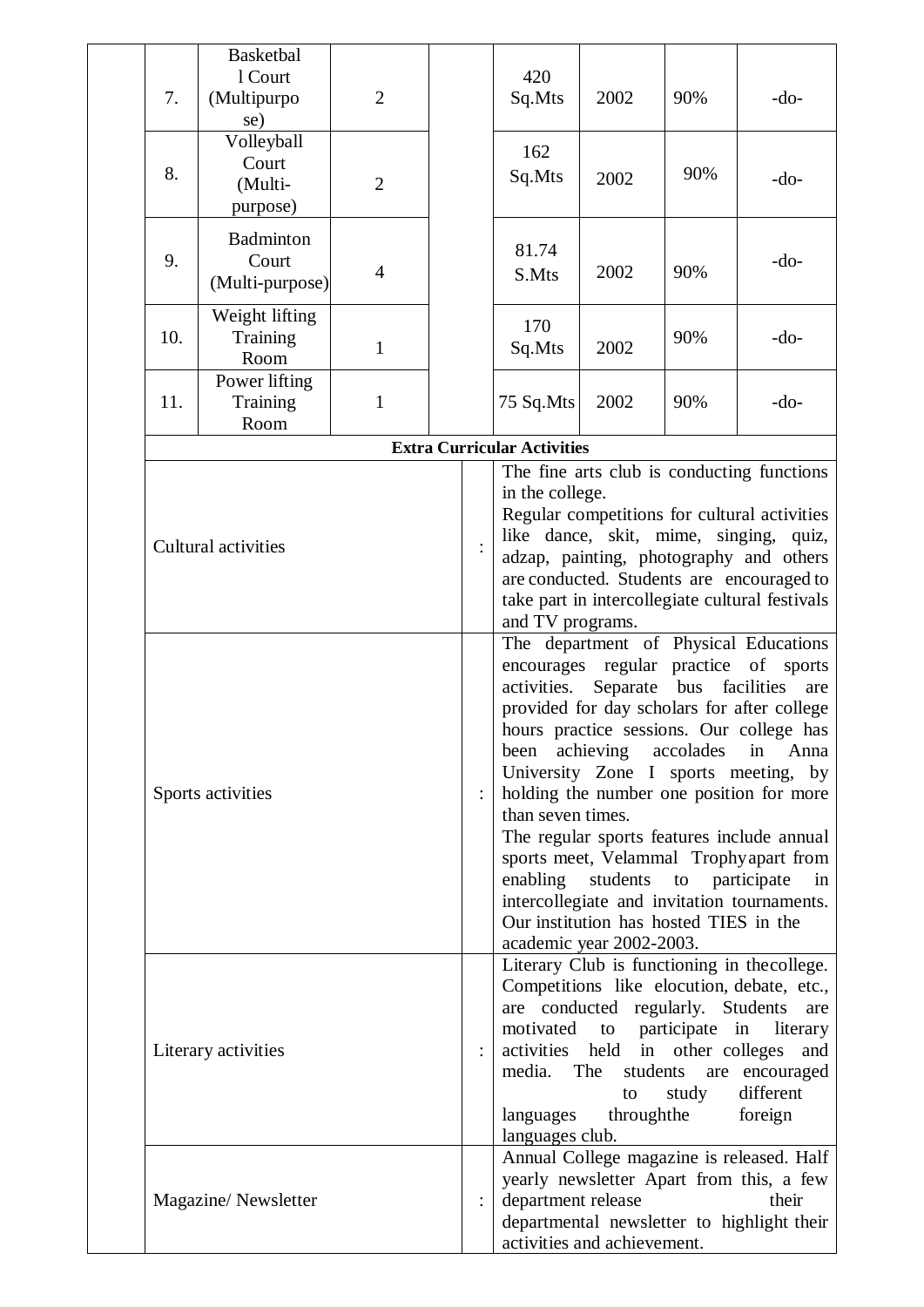| 7.  | Basketbal<br>1 Court<br>(Multipurpo<br>se) | $\overline{2}$ |  | 420<br>Sq.Mts                              | 2002                                                                                                                                      | 90%                 | $-do-$                                                                                                                                                                                                                                                                                                                                                                                                                                        |
|-----|--------------------------------------------|----------------|--|--------------------------------------------|-------------------------------------------------------------------------------------------------------------------------------------------|---------------------|-----------------------------------------------------------------------------------------------------------------------------------------------------------------------------------------------------------------------------------------------------------------------------------------------------------------------------------------------------------------------------------------------------------------------------------------------|
| 8.  | Volleyball<br>Court<br>(Multi-<br>purpose) | $\overline{2}$ |  | 162<br>Sq.Mts                              | 2002                                                                                                                                      | 90%                 | $-do-$                                                                                                                                                                                                                                                                                                                                                                                                                                        |
| 9.  | Badminton<br>Court<br>(Multi-purpose)      | $\overline{4}$ |  | 81.74<br>S.Mts                             | 2002                                                                                                                                      | 90%                 | $-do-$                                                                                                                                                                                                                                                                                                                                                                                                                                        |
| 10. | Weight lifting<br>Training<br>Room         | $\mathbf{1}$   |  | 170<br>Sq.Mts                              | 2002                                                                                                                                      | 90%                 | $-do-$                                                                                                                                                                                                                                                                                                                                                                                                                                        |
| 11. | Power lifting<br>Training<br>Room          | $\mathbf{1}$   |  | 75 Sq.Mts                                  | 2002                                                                                                                                      | 90%                 | $-do-$                                                                                                                                                                                                                                                                                                                                                                                                                                        |
|     |                                            |                |  | <b>Extra Curricular Activities</b>         |                                                                                                                                           |                     |                                                                                                                                                                                                                                                                                                                                                                                                                                               |
|     | Cultural activities                        |                |  | in the college.<br>and TV programs.        |                                                                                                                                           |                     | The fine arts club is conducting functions<br>Regular competitions for cultural activities<br>like dance, skit, mime, singing, quiz,<br>adzap, painting, photography and others<br>are conducted. Students are encouraged to<br>take part in intercollegiate cultural festivals                                                                                                                                                               |
|     | Sports activities                          |                |  | activities.<br>been<br>than seven times.   | Separate<br>achieving accolades<br>enabling students to participate<br>Our institution has hosted TIES in the<br>academic year 2002-2003. | bus                 | The department of Physical Educations<br>encourages regular practice of sports<br>facilities<br>are<br>provided for day scholars for after college<br>hours practice sessions. Our college has<br>Anna<br>in<br>University Zone I sports meeting, by<br>holding the number one position for more<br>The regular sports features include annual<br>sports meet, Velammal Trophyapart from<br>in<br>intercollegiate and invitation tournaments. |
|     | Literary activities                        |                |  | media. The<br>languages<br>languages club. | are conducted regularly. Students<br>activities held in other colleges<br>students<br>to                                                  | study<br>throughthe | Literary Club is functioning in the college.<br>Competitions like elocution, debate, etc.,<br>are<br>motivated to participate in literary<br>and<br>are encouraged<br>different<br>foreign                                                                                                                                                                                                                                                    |
|     | Magazine/Newsletter                        |                |  | department release                         | activities and achievement.                                                                                                               |                     | Annual College magazine is released. Half<br>yearly newsletter Apart from this, a few<br>their<br>departmental newsletter to highlight their                                                                                                                                                                                                                                                                                                  |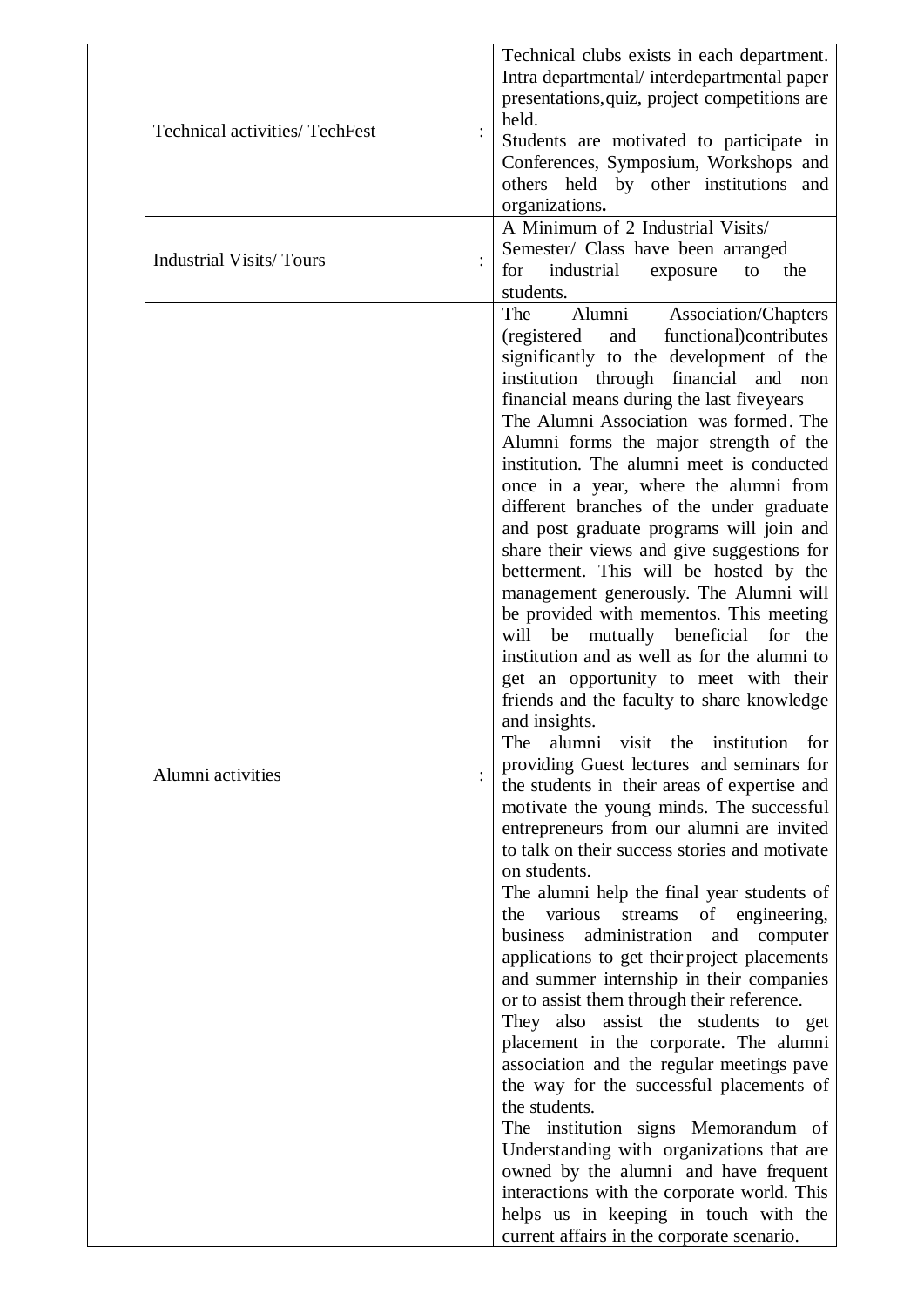| <b>Technical activities/ TechFest</b> | held.<br>$\ddot{\cdot}$   | Technical clubs exists in each department.<br>Intra departmental/interdepartmental paper<br>presentations, quiz, project competitions are<br>Students are motivated to participate in<br>Conferences, Symposium, Workshops and<br>others held by other institutions and<br>organizations.                                                                                                                                                                                                                                                                                                                                                                                                                                                                                                                                                                                                                                                                                                                                                                                                                                                                                                                                                                                                                                                                                                                                                                                                                                                                                                                                                                                                                                                                                                                                                                                                                          |
|---------------------------------------|---------------------------|--------------------------------------------------------------------------------------------------------------------------------------------------------------------------------------------------------------------------------------------------------------------------------------------------------------------------------------------------------------------------------------------------------------------------------------------------------------------------------------------------------------------------------------------------------------------------------------------------------------------------------------------------------------------------------------------------------------------------------------------------------------------------------------------------------------------------------------------------------------------------------------------------------------------------------------------------------------------------------------------------------------------------------------------------------------------------------------------------------------------------------------------------------------------------------------------------------------------------------------------------------------------------------------------------------------------------------------------------------------------------------------------------------------------------------------------------------------------------------------------------------------------------------------------------------------------------------------------------------------------------------------------------------------------------------------------------------------------------------------------------------------------------------------------------------------------------------------------------------------------------------------------------------------------|
| <b>Industrial Visits/Tours</b>        | $\vdots$<br>for           | A Minimum of 2 Industrial Visits/<br>Semester/ Class have been arranged<br>industrial<br>the<br>exposure<br>to<br>students.                                                                                                                                                                                                                                                                                                                                                                                                                                                                                                                                                                                                                                                                                                                                                                                                                                                                                                                                                                                                                                                                                                                                                                                                                                                                                                                                                                                                                                                                                                                                                                                                                                                                                                                                                                                        |
| Alumni activities                     | The<br>will<br>The<br>the | Alumni<br>Association/Chapters<br>functional) contributes<br>(registered)<br>and<br>significantly to the development of the<br>institution through financial and<br>non<br>financial means during the last fiveyears<br>The Alumni Association was formed. The<br>Alumni forms the major strength of the<br>institution. The alumni meet is conducted<br>once in a year, where the alumni from<br>different branches of the under graduate<br>and post graduate programs will join and<br>share their views and give suggestions for<br>betterment. This will be hosted by the<br>management generously. The Alumni will<br>be provided with mementos. This meeting<br>be mutually beneficial<br>for the<br>institution and as well as for the alumni to<br>get an opportunity to meet with their<br>friends and the faculty to share knowledge<br>and insights.<br>alumni visit the<br>institution<br>for<br>providing Guest lectures and seminars for<br>the students in their areas of expertise and<br>motivate the young minds. The successful<br>entrepreneurs from our alumni are invited<br>to talk on their success stories and motivate<br>on students.<br>The alumni help the final year students of<br>various<br>streams<br>of engineering,<br>administration<br>business<br>and<br>computer<br>applications to get their project placements<br>and summer internship in their companies<br>or to assist them through their reference.<br>They also assist the students to get<br>placement in the corporate. The alumni<br>association and the regular meetings pave<br>the way for the successful placements of<br>the students.<br>The institution signs Memorandum of<br>Understanding with organizations that are<br>owned by the alumni and have frequent<br>interactions with the corporate world. This<br>helps us in keeping in touch with the<br>current affairs in the corporate scenario. |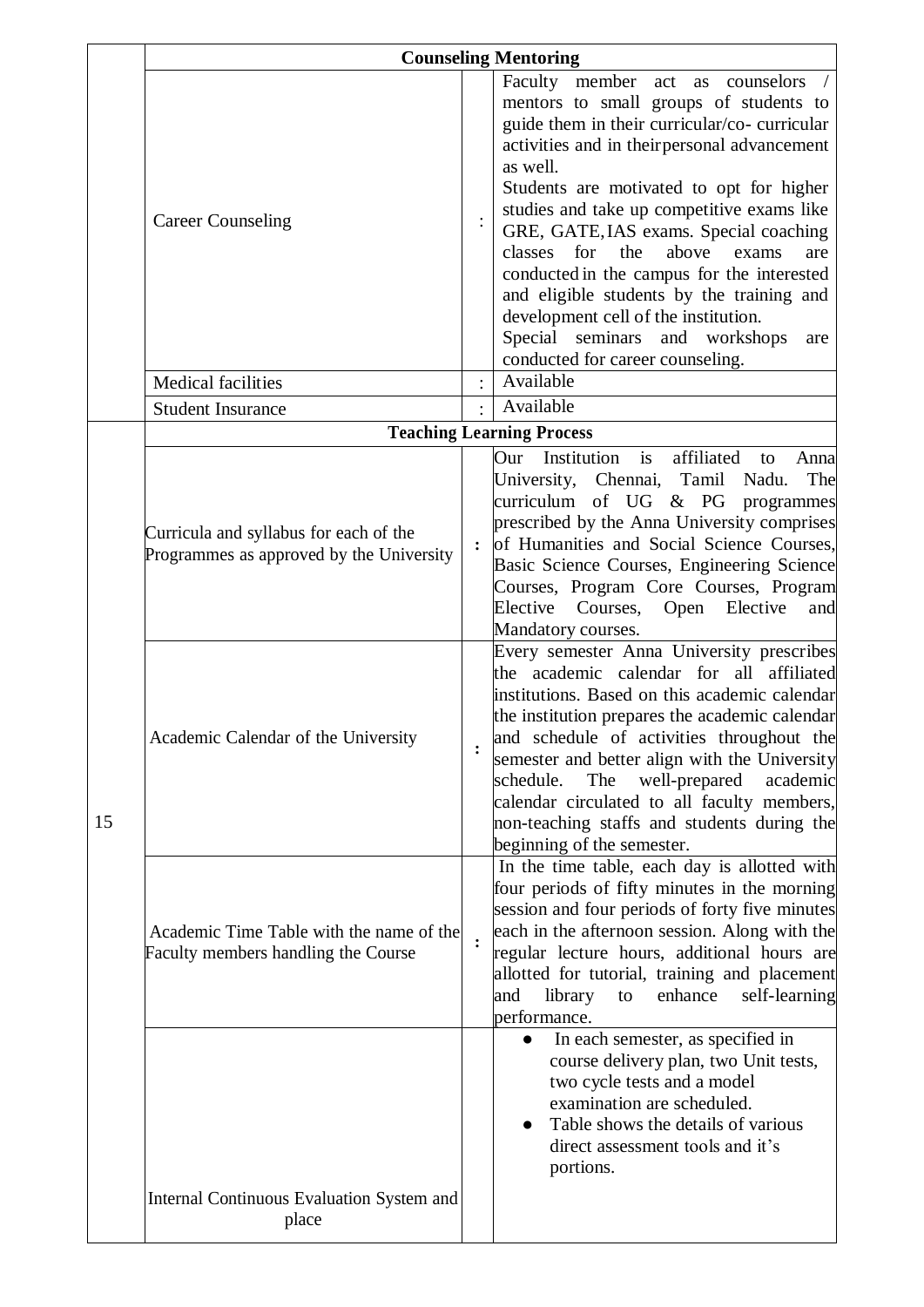|    |                                                                                        |                | <b>Counseling Mentoring</b>                                                                                                                                                                                                                                                                                                                                                                                                                                         |
|----|----------------------------------------------------------------------------------------|----------------|---------------------------------------------------------------------------------------------------------------------------------------------------------------------------------------------------------------------------------------------------------------------------------------------------------------------------------------------------------------------------------------------------------------------------------------------------------------------|
|    |                                                                                        |                | Faculty member<br>act as counselors /<br>mentors to small groups of students to<br>guide them in their curricular/co- curricular<br>activities and in their personal advancement<br>as well.                                                                                                                                                                                                                                                                        |
|    | <b>Career Counseling</b>                                                               |                | Students are motivated to opt for higher<br>studies and take up competitive exams like<br>GRE, GATE, IAS exams. Special coaching<br>classes<br>for<br>the<br>above<br>exams<br>are<br>conducted in the campus for the interested<br>and eligible students by the training and<br>development cell of the institution.<br>Special seminars and workshops<br>are<br>conducted for career counseling.                                                                  |
|    | <b>Medical facilities</b>                                                              |                | Available                                                                                                                                                                                                                                                                                                                                                                                                                                                           |
|    | <b>Student Insurance</b>                                                               |                | Available                                                                                                                                                                                                                                                                                                                                                                                                                                                           |
|    |                                                                                        |                | <b>Teaching Learning Process</b>                                                                                                                                                                                                                                                                                                                                                                                                                                    |
|    | Curricula and syllabus for each of the<br>Programmes as approved by the University     | $\ddot{\cdot}$ | Institution<br>is<br>affiliated<br>Our<br>Anna<br>to<br>University, Chennai, Tamil Nadu.<br>The<br>curriculum of UG $& PG$ programmes<br>prescribed by the Anna University comprises<br>of Humanities and Social Science Courses,<br>Basic Science Courses, Engineering Science<br>Courses, Program Core Courses, Program<br>Elective<br>Courses,<br>Elective<br>Open<br>and<br>Mandatory courses.                                                                  |
| 15 | Academic Calendar of the University                                                    |                | Every semester Anna University prescribes<br>the academic calendar for all affiliated<br>institutions. Based on this academic calendar<br>the institution prepares the academic calendar<br>and schedule of activities throughout the<br>semester and better align with the University<br>well-prepared<br>schedule.<br>The<br>academic<br>calendar circulated to all faculty members,<br>non-teaching staffs and students during the<br>beginning of the semester. |
|    | Academic Time Table with the name of the<br><b>Faculty members handling the Course</b> | $\ddot{\cdot}$ | In the time table, each day is allotted with<br>four periods of fifty minutes in the morning<br>session and four periods of forty five minutes<br>each in the afternoon session. Along with the<br>regular lecture hours, additional hours are<br>allotted for tutorial, training and placement<br>library<br>enhance<br>and<br>to<br>self-learning<br>performance.                                                                                                 |
|    |                                                                                        |                | In each semester, as specified in<br>$\bullet$<br>course delivery plan, two Unit tests,<br>two cycle tests and a model<br>examination are scheduled.<br>Table shows the details of various<br>$\bullet$<br>direct assessment tools and it's<br>portions.                                                                                                                                                                                                            |
|    | Internal Continuous Evaluation System and<br>place                                     |                |                                                                                                                                                                                                                                                                                                                                                                                                                                                                     |